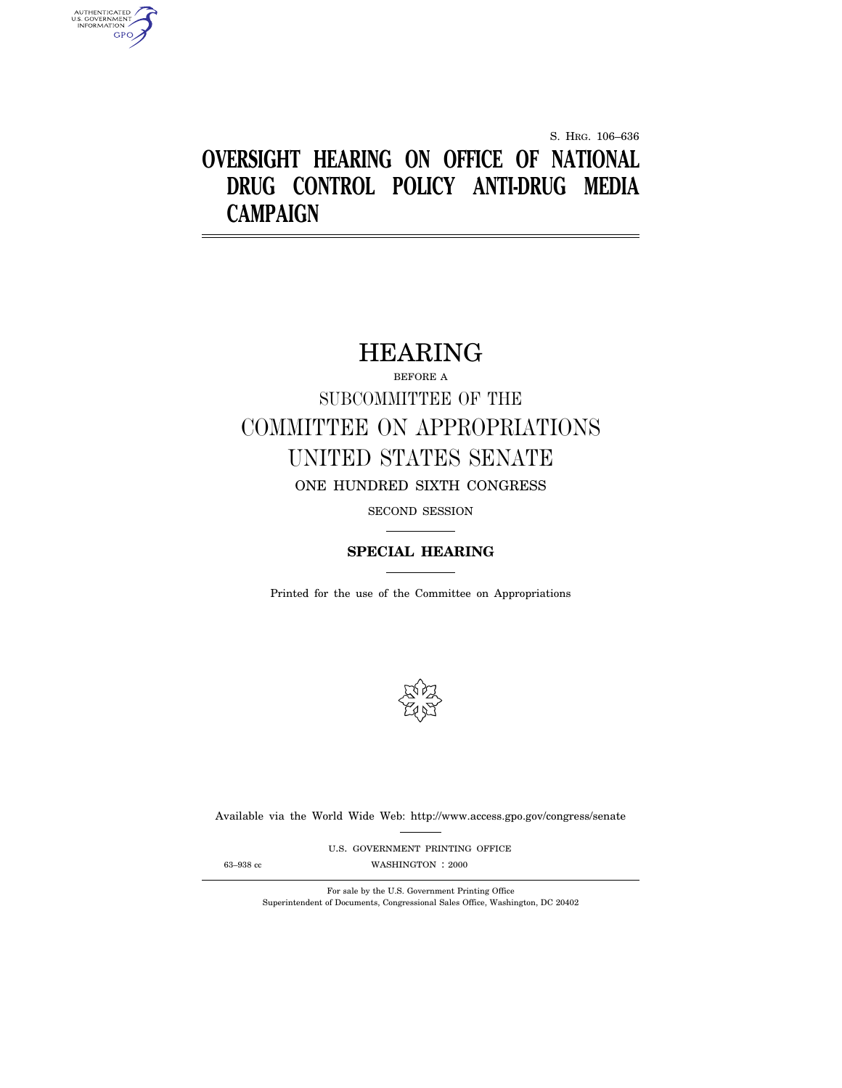S. HRG. 106–636

# **OVERSIGHT HEARING ON OFFICE OF NATIONAL DRUG CONTROL POLICY ANTI-DRUG MEDIA CAMPAIGN**

# HEARING

BEFORE A SUBCOMMITTEE OF THE COMMITTEE ON APPROPRIATIONS UNITED STATES SENATE ONE HUNDRED SIXTH CONGRESS

SECOND SESSION

# **SPECIAL HEARING**

Printed for the use of the Committee on Appropriations



Available via the World Wide Web: http://www.access.gpo.gov/congress/senate

U.S. GOVERNMENT PRINTING OFFICE 63–938 cc WASHINGTON : 2000

AUTHENTICATED<br>U.S. GOVERNMENT<br>INFORMATION **GPO** 

For sale by the U.S. Government Printing Office Superintendent of Documents, Congressional Sales Office, Washington, DC 20402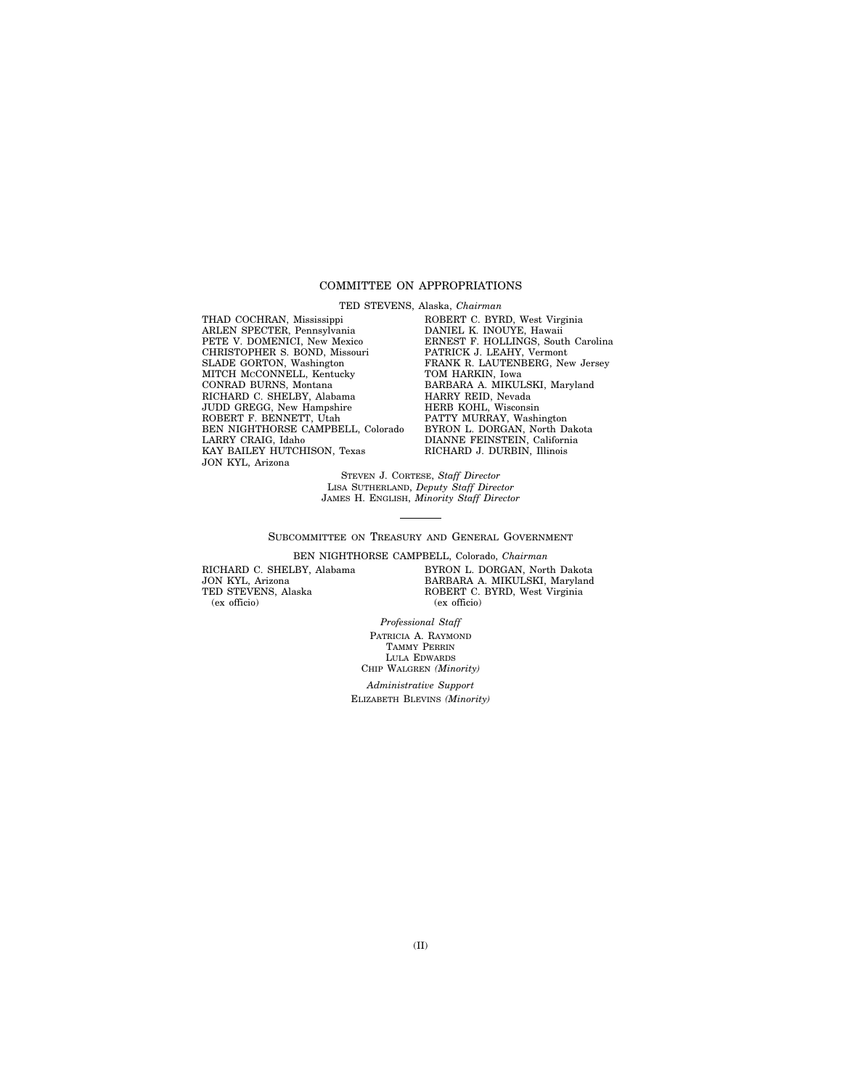# COMMITTEE ON APPROPRIATIONS

TED STEVENS, Alaska, *Chairman*

THAD COCHRAN, Mississippi ARLEN SPECTER, Pennsylvania PETE V. DOMENICI, New Mexico CHRISTOPHER S. BOND, Missouri SLADE GORTON, Washington MITCH MCCONNELL, Kentucky CONRAD BURNS, Montana RICHARD C. SHELBY, Alabama JUDD GREGG, New Hampshire ROBERT F. BENNETT, Utah BEN NIGHTHORSE CAMPBELL, Colorado LARRY CRAIG, Idaho KAY BAILEY HUTCHISON, Texas JON KYL, Arizona

ROBERT C. BYRD, West Virginia DANIEL K. INOUYE, Hawaii ERNEST F. HOLLINGS, South Carolina PATRICK J. LEAHY, Vermont FRANK R. LAUTENBERG, New Jersey TOM HARKIN, Iowa BARBARA A. MIKULSKI, Maryland HARRY REID, Nevada HERB KOHL, Wisconsin PATTY MURRAY, Washington BYRON L. DORGAN, North Dakota DIANNE FEINSTEIN, California RICHARD J. DURBIN, Illinois

STEVEN J. CORTESE, *Staff Director* LISA SUTHERLAND, *Deputy Staff Director* JAMES H. ENGLISH, *Minority Staff Director*

SUBCOMMITTEE ON TREASURY AND GENERAL GOVERNMENT

BEN NIGHTHORSE CAMPBELL, Colorado, *Chairman*

RICHARD C. SHELBY, Alabama JON KYL, Arizona TED STEVENS, Alaska (ex officio)

BYRON L. DORGAN, North Dakota BARBARA A. MIKULSKI, Maryland ROBERT C. BYRD, West Virginia (ex officio)

*Professional Staff* PATRICIA A. RAYMOND TAMMY PERRIN LULA EDWARDS

CHIP WALGREN *(Minority) Administrative Support* ELIZABETH BLEVINS *(Minority)*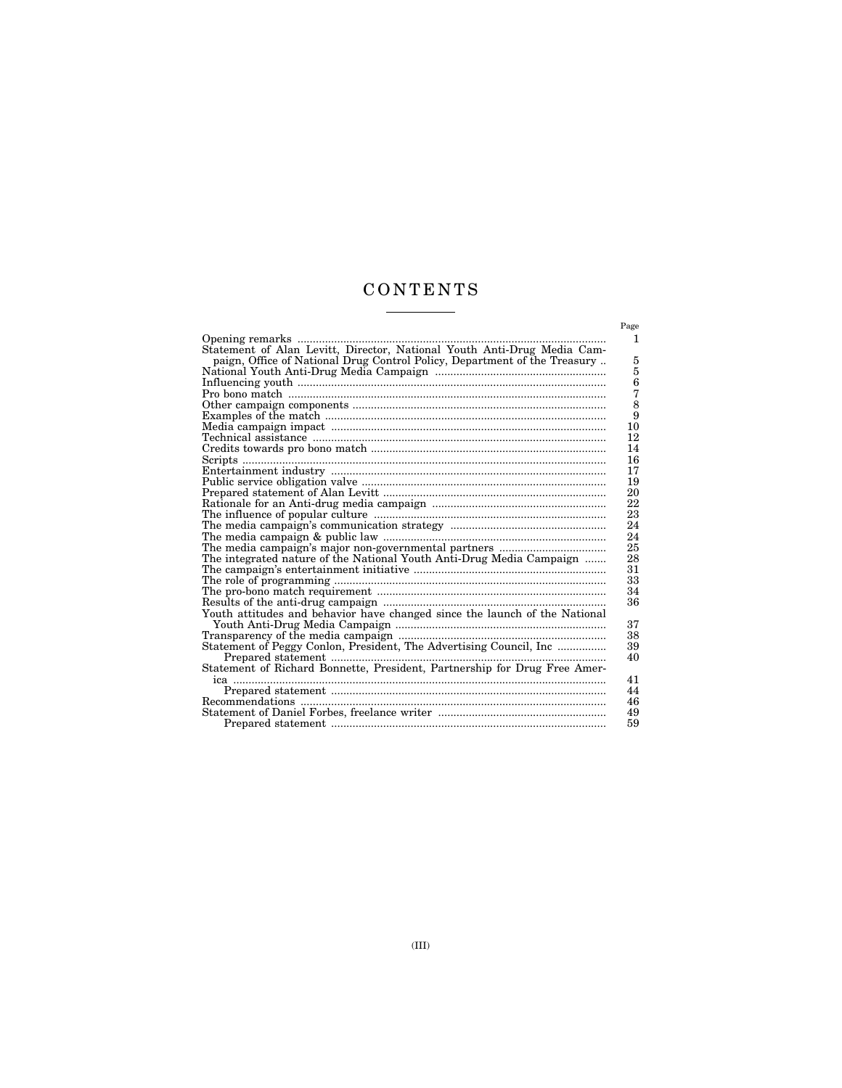# CONTENTS <u> The Common State State State State State State State State State State State State State State State State State State State State State State State State State State State State State State State State State State State</u>

| Opening remarks                                                            |
|----------------------------------------------------------------------------|
| Statement of Alan Levitt, Director, National Youth Anti-Drug Media Cam-    |
| paign, Office of National Drug Control Policy, Department of the Treasury  |
|                                                                            |
|                                                                            |
|                                                                            |
|                                                                            |
|                                                                            |
|                                                                            |
|                                                                            |
|                                                                            |
| Scripts.                                                                   |
|                                                                            |
|                                                                            |
|                                                                            |
|                                                                            |
|                                                                            |
|                                                                            |
|                                                                            |
|                                                                            |
| The integrated nature of the National Youth Anti-Drug Media Campaign       |
|                                                                            |
|                                                                            |
|                                                                            |
|                                                                            |
| Youth attitudes and behavior have changed since the launch of the National |
|                                                                            |
|                                                                            |
| Statement of Peggy Conlon, President, The Advertising Council, Inc         |
|                                                                            |
|                                                                            |
|                                                                            |
|                                                                            |
|                                                                            |
|                                                                            |
|                                                                            |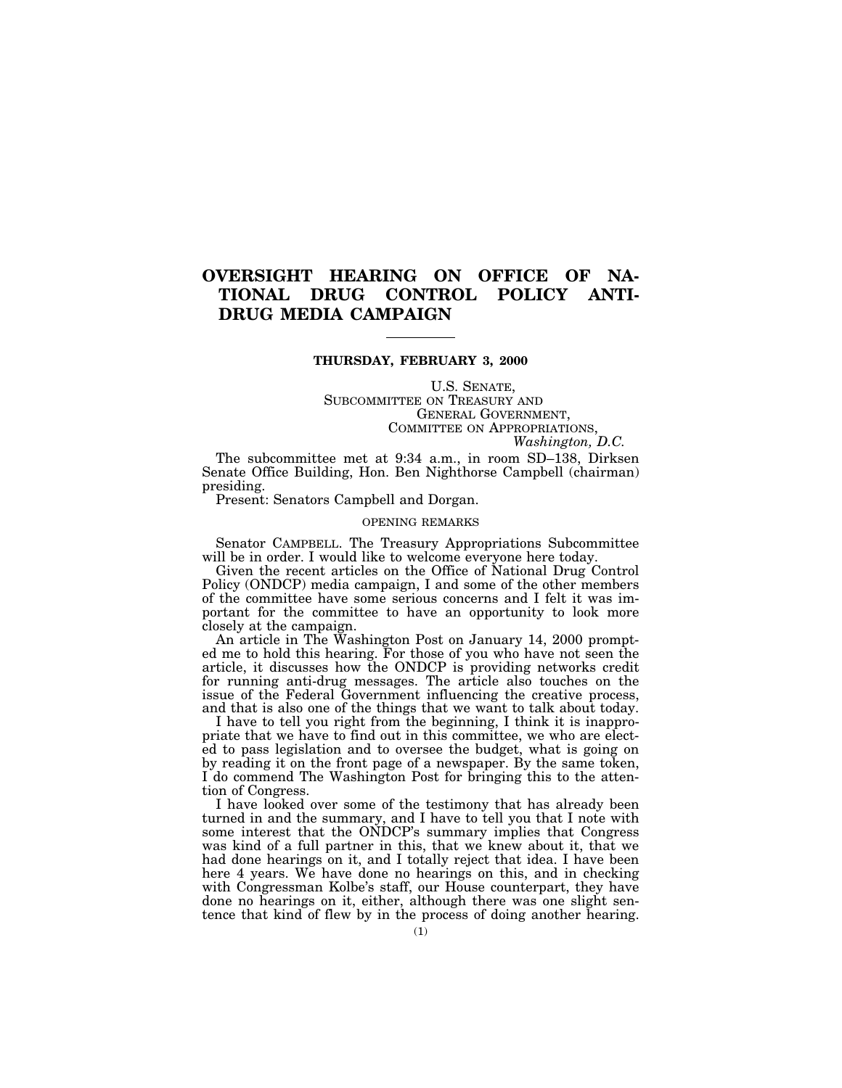# **OVERSIGHT HEARING ON OFFICE OF NA-TIONAL DRUG CONTROL POLICY ANTI-DRUG MEDIA CAMPAIGN**

# **THURSDAY, FEBRUARY 3, 2000**

U.S. SENATE, SUBCOMMITTEE ON TREASURY AND GENERAL GOVERNMENT, COMMITTEE ON APPROPRIATIONS,

*Washington, D.C.*

The subcommittee met at 9:34 a.m., in room SD–138, Dirksen Senate Office Building, Hon. Ben Nighthorse Campbell (chairman) presiding.

Present: Senators Campbell and Dorgan.

# OPENING REMARKS

Senator CAMPBELL. The Treasury Appropriations Subcommittee will be in order. I would like to welcome everyone here today.

Given the recent articles on the Office of National Drug Control Policy (ONDCP) media campaign, I and some of the other members of the committee have some serious concerns and I felt it was important for the committee to have an opportunity to look more closely at the campaign.

An article in The Washington Post on January 14, 2000 prompted me to hold this hearing. For those of you who have not seen the article, it discusses how the ONDCP is providing networks credit for running anti-drug messages. The article also touches on the issue of the Federal Government influencing the creative process, and that is also one of the things that we want to talk about today.

I have to tell you right from the beginning, I think it is inappropriate that we have to find out in this committee, we who are elected to pass legislation and to oversee the budget, what is going on by reading it on the front page of a newspaper. By the same token, I do commend The Washington Post for bringing this to the attention of Congress.

I have looked over some of the testimony that has already been turned in and the summary, and I have to tell you that I note with some interest that the ONDCP's summary implies that Congress was kind of a full partner in this, that we knew about it, that we had done hearings on it, and I totally reject that idea. I have been here 4 years. We have done no hearings on this, and in checking with Congressman Kolbe's staff, our House counterpart, they have done no hearings on it, either, although there was one slight sentence that kind of flew by in the process of doing another hearing.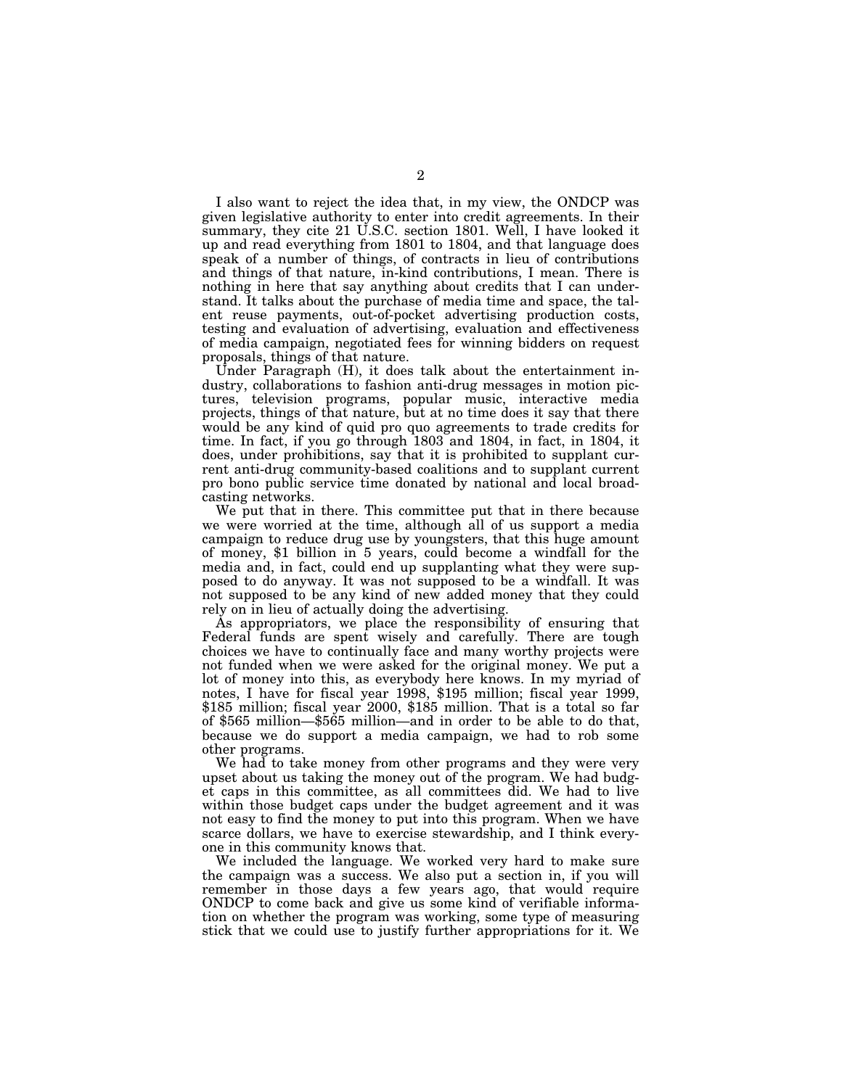I also want to reject the idea that, in my view, the ONDCP was given legislative authority to enter into credit agreements. In their summary, they cite 21 U.S.C. section 1801. Well, I have looked it up and read everything from 1801 to 1804, and that language does speak of a number of things, of contracts in lieu of contributions and things of that nature, in-kind contributions, I mean. There is nothing in here that say anything about credits that I can understand. It talks about the purchase of media time and space, the talent reuse payments, out-of-pocket advertising production costs, testing and evaluation of advertising, evaluation and effectiveness of media campaign, negotiated fees for winning bidders on request proposals, things of that nature.

Under Paragraph (H), it does talk about the entertainment industry, collaborations to fashion anti-drug messages in motion pictures, television programs, popular music, interactive media projects, things of that nature, but at no time does it say that there would be any kind of quid pro quo agreements to trade credits for time. In fact, if you go through 1803 and 1804, in fact, in 1804, it does, under prohibitions, say that it is prohibited to supplant current anti-drug community-based coalitions and to supplant current pro bono public service time donated by national and local broadcasting networks.

We put that in there. This committee put that in there because we were worried at the time, although all of us support a media campaign to reduce drug use by youngsters, that this huge amount of money, \$1 billion in 5 years, could become a windfall for the media and, in fact, could end up supplanting what they were supposed to do anyway. It was not supposed to be a windfall. It was not supposed to be any kind of new added money that they could rely on in lieu of actually doing the advertising.

As appropriators, we place the responsibility of ensuring that Federal funds are spent wisely and carefully. There are tough choices we have to continually face and many worthy projects were not funded when we were asked for the original money. We put a lot of money into this, as everybody here knows. In my myriad of notes, I have for fiscal year 1998, \$195 million; fiscal year 1999, \$185 million; fiscal year 2000, \$185 million. That is a total so far of \$565 million—\$565 million—and in order to be able to do that, because we do support a media campaign, we had to rob some other programs.

We had to take money from other programs and they were very upset about us taking the money out of the program. We had budget caps in this committee, as all committees did. We had to live within those budget caps under the budget agreement and it was not easy to find the money to put into this program. When we have scarce dollars, we have to exercise stewardship, and I think everyone in this community knows that.

We included the language. We worked very hard to make sure the campaign was a success. We also put a section in, if you will remember in those days a few years ago, that would require ONDCP to come back and give us some kind of verifiable information on whether the program was working, some type of measuring stick that we could use to justify further appropriations for it. We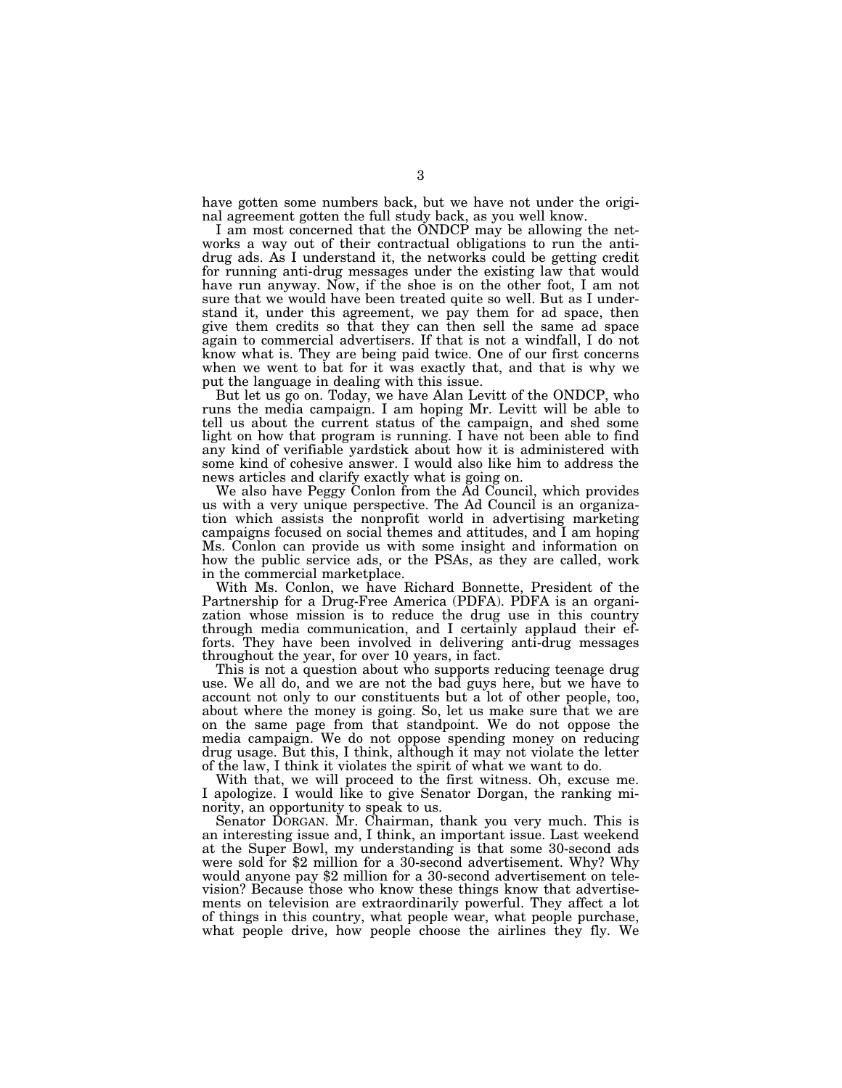have gotten some numbers back, but we have not under the original agreement gotten the full study back, as you well know.

I am most concerned that the ONDCP may be allowing the networks a way out of their contractual obligations to run the antidrug ads. As I understand it, the networks could be getting credit for running anti-drug messages under the existing law that would have run anyway. Now, if the shoe is on the other foot, I am not sure that we would have been treated quite so well. But as I understand it, under this agreement, we pay them for ad space, then give them credits so that they can then sell the same ad space again to commercial advertisers. If that is not a windfall, I do not know what is. They are being paid twice. One of our first concerns when we went to bat for it was exactly that, and that is why we put the language in dealing with this issue.

But let us go on. Today, we have Alan Levitt of the ONDCP, who runs the media campaign. I am hoping Mr. Levitt will be able to tell us about the current status of the campaign, and shed some light on how that program is running. I have not been able to find any kind of verifiable yardstick about how it is administered with some kind of cohesive answer. I would also like him to address the news articles and clarify exactly what is going on.

We also have Peggy Conlon from the Ad Council, which provides us with a very unique perspective. The Ad Council is an organization which assists the nonprofit world in advertising marketing campaigns focused on social themes and attitudes, and I am hoping Ms. Conlon can provide us with some insight and information on how the public service ads, or the PSAs, as they are called, work in the commercial marketplace.

With Ms. Conlon, we have Richard Bonnette, President of the Partnership for a Drug-Free America (PDFA). PDFA is an organization whose mission is to reduce the drug use in this country through media communication, and I certainly applaud their efforts. They have been involved in delivering anti-drug messages throughout the year, for over 10 years, in fact.

This is not a question about who supports reducing teenage drug use. We all do, and we are not the bad guys here, but we have to account not only to our constituents but a lot of other people, too, about where the money is going. So, let us make sure that we are on the same page from that standpoint. We do not oppose the media campaign. We do not oppose spending money on reducing drug usage. But this, I think, although it may not violate the letter of the law, I think it violates the spirit of what we want to do.

With that, we will proceed to the first witness. Oh, excuse me. I apologize. I would like to give Senator Dorgan, the ranking minority, an opportunity to speak to us.

Senator DORGAN. Mr. Chairman, thank you very much. This is an interesting issue and, I think, an important issue. Last weekend at the Super Bowl, my understanding is that some 30-second ads were sold for \$2 million for a 30-second advertisement. Why? Why would anyone pay \$2 million for a 30-second advertisement on television? Because those who know these things know that advertisements on television are extraordinarily powerful. They affect a lot of things in this country, what people wear, what people purchase, what people drive, how people choose the airlines they fly. We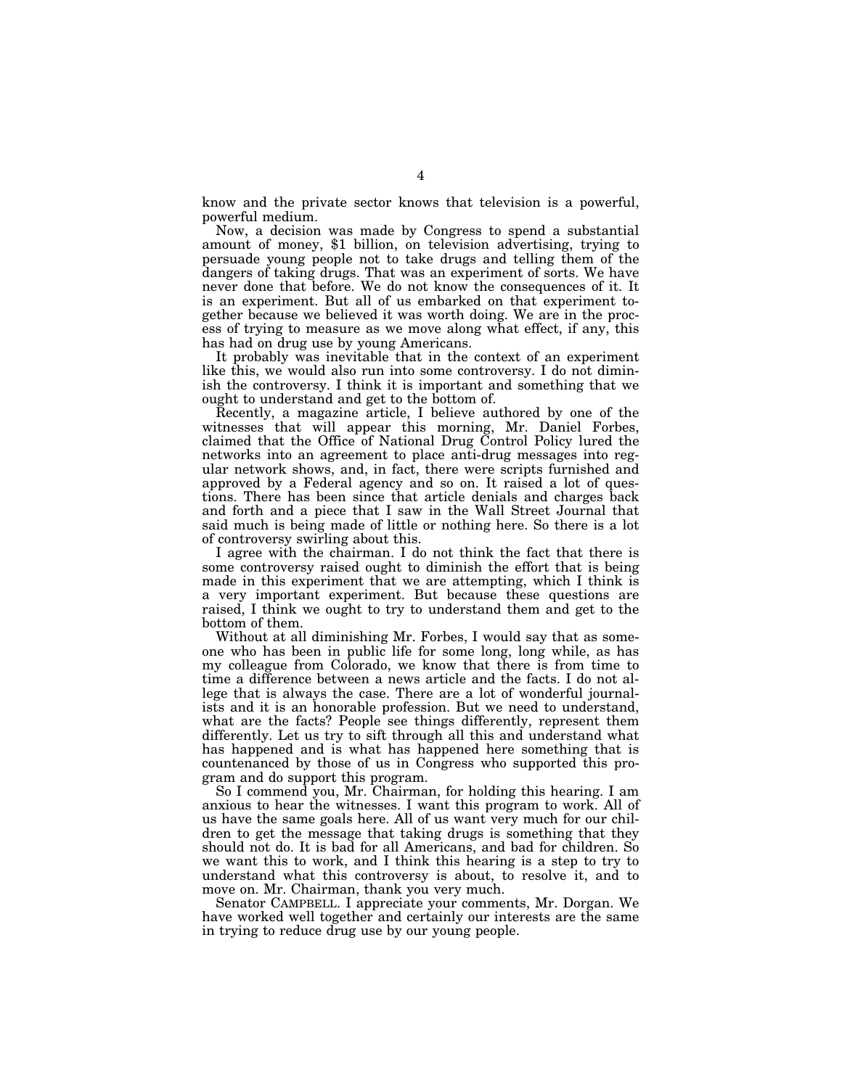know and the private sector knows that television is a powerful, powerful medium.

Now, a decision was made by Congress to spend a substantial amount of money, \$1 billion, on television advertising, trying to persuade young people not to take drugs and telling them of the dangers of taking drugs. That was an experiment of sorts. We have never done that before. We do not know the consequences of it. It is an experiment. But all of us embarked on that experiment together because we believed it was worth doing. We are in the process of trying to measure as we move along what effect, if any, this has had on drug use by young Americans.

It probably was inevitable that in the context of an experiment like this, we would also run into some controversy. I do not diminish the controversy. I think it is important and something that we ought to understand and get to the bottom of.

Recently, a magazine article, I believe authored by one of the witnesses that will appear this morning, Mr. Daniel Forbes, claimed that the Office of National Drug Control Policy lured the networks into an agreement to place anti-drug messages into regular network shows, and, in fact, there were scripts furnished and approved by a Federal agency and so on. It raised a lot of questions. There has been since that article denials and charges back and forth and a piece that I saw in the Wall Street Journal that said much is being made of little or nothing here. So there is a lot of controversy swirling about this.

I agree with the chairman. I do not think the fact that there is some controversy raised ought to diminish the effort that is being made in this experiment that we are attempting, which I think is a very important experiment. But because these questions are raised, I think we ought to try to understand them and get to the bottom of them.

Without at all diminishing Mr. Forbes, I would say that as someone who has been in public life for some long, long while, as has my colleague from Colorado, we know that there is from time to time a difference between a news article and the facts. I do not allege that is always the case. There are a lot of wonderful journalists and it is an honorable profession. But we need to understand, what are the facts? People see things differently, represent them differently. Let us try to sift through all this and understand what has happened and is what has happened here something that is countenanced by those of us in Congress who supported this program and do support this program.

So I commend you, Mr. Chairman, for holding this hearing. I am anxious to hear the witnesses. I want this program to work. All of us have the same goals here. All of us want very much for our children to get the message that taking drugs is something that they should not do. It is bad for all Americans, and bad for children. So we want this to work, and I think this hearing is a step to try to understand what this controversy is about, to resolve it, and to move on. Mr. Chairman, thank you very much.

Senator CAMPBELL. I appreciate your comments, Mr. Dorgan. We have worked well together and certainly our interests are the same in trying to reduce drug use by our young people.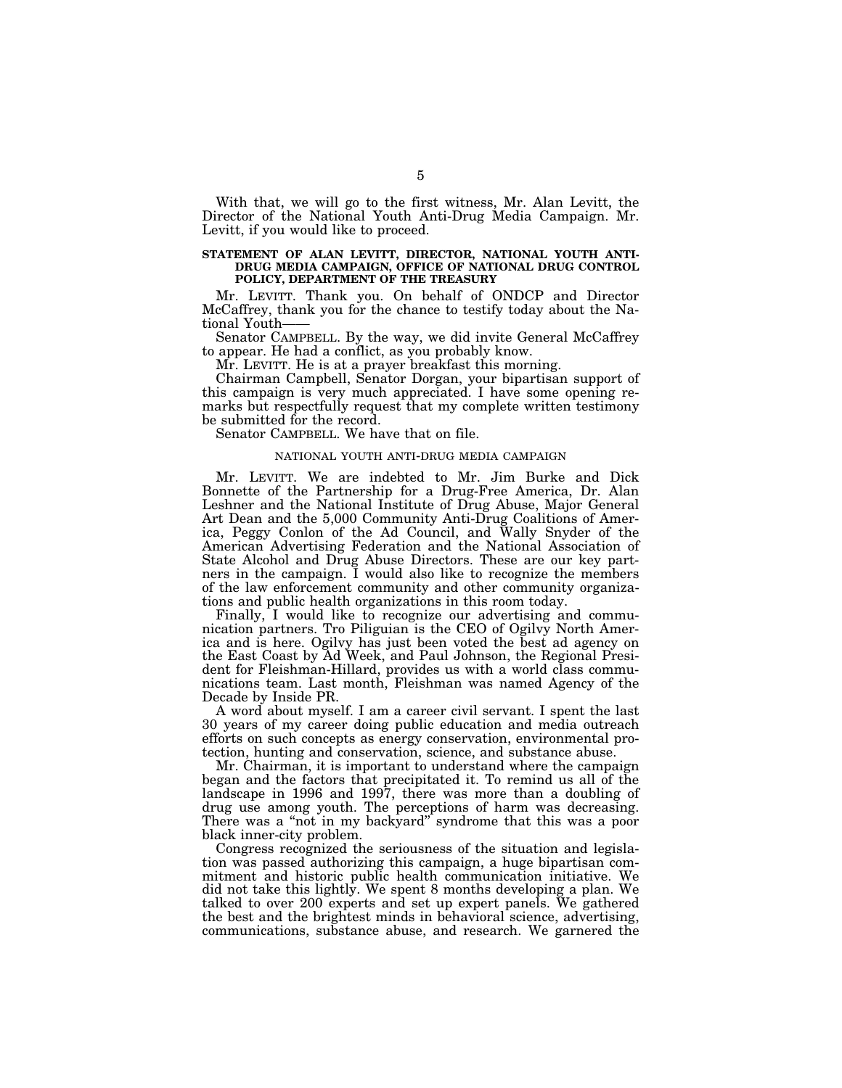With that, we will go to the first witness, Mr. Alan Levitt, the Director of the National Youth Anti-Drug Media Campaign. Mr. Levitt, if you would like to proceed.

# **STATEMENT OF ALAN LEVITT, DIRECTOR, NATIONAL YOUTH ANTI-DRUG MEDIA CAMPAIGN, OFFICE OF NATIONAL DRUG CONTROL POLICY, DEPARTMENT OF THE TREASURY**

Mr. LEVITT. Thank you. On behalf of ONDCP and Director McCaffrey, thank you for the chance to testify today about the National Youth——

Senator CAMPBELL. By the way, we did invite General McCaffrey to appear. He had a conflict, as you probably know.

Mr. LEVITT. He is at a prayer breakfast this morning.

Chairman Campbell, Senator Dorgan, your bipartisan support of this campaign is very much appreciated. I have some opening remarks but respectfully request that my complete written testimony be submitted for the record.

Senator CAMPBELL. We have that on file.

# NATIONAL YOUTH ANTI-DRUG MEDIA CAMPAIGN

Mr. LEVITT. We are indebted to Mr. Jim Burke and Dick Bonnette of the Partnership for a Drug-Free America, Dr. Alan Leshner and the National Institute of Drug Abuse, Major General Art Dean and the 5,000 Community Anti-Drug Coalitions of America, Peggy Conlon of the Ad Council, and Wally Snyder of the American Advertising Federation and the National Association of State Alcohol and Drug Abuse Directors. These are our key partners in the campaign. I would also like to recognize the members of the law enforcement community and other community organizations and public health organizations in this room today.

Finally, I would like to recognize our advertising and communication partners. Tro Piliguian is the CEO of Ogilvy North America and is here. Ogilvy has just been voted the best ad agency on the East Coast by Ad Week, and Paul Johnson, the Regional President for Fleishman-Hillard, provides us with a world class communications team. Last month, Fleishman was named Agency of the Decade by Inside PR.

A word about myself. I am a career civil servant. I spent the last 30 years of my career doing public education and media outreach efforts on such concepts as energy conservation, environmental protection, hunting and conservation, science, and substance abuse.

Mr. Chairman, it is important to understand where the campaign began and the factors that precipitated it. To remind us all of the landscape in 1996 and 1997, there was more than a doubling of drug use among youth. The perceptions of harm was decreasing. There was a "not in my backyard" syndrome that this was a poor black inner-city problem.

Congress recognized the seriousness of the situation and legislation was passed authorizing this campaign, a huge bipartisan commitment and historic public health communication initiative. We did not take this lightly. We spent 8 months developing a plan. We talked to over 200 experts and set up expert panels. We gathered the best and the brightest minds in behavioral science, advertising, communications, substance abuse, and research. We garnered the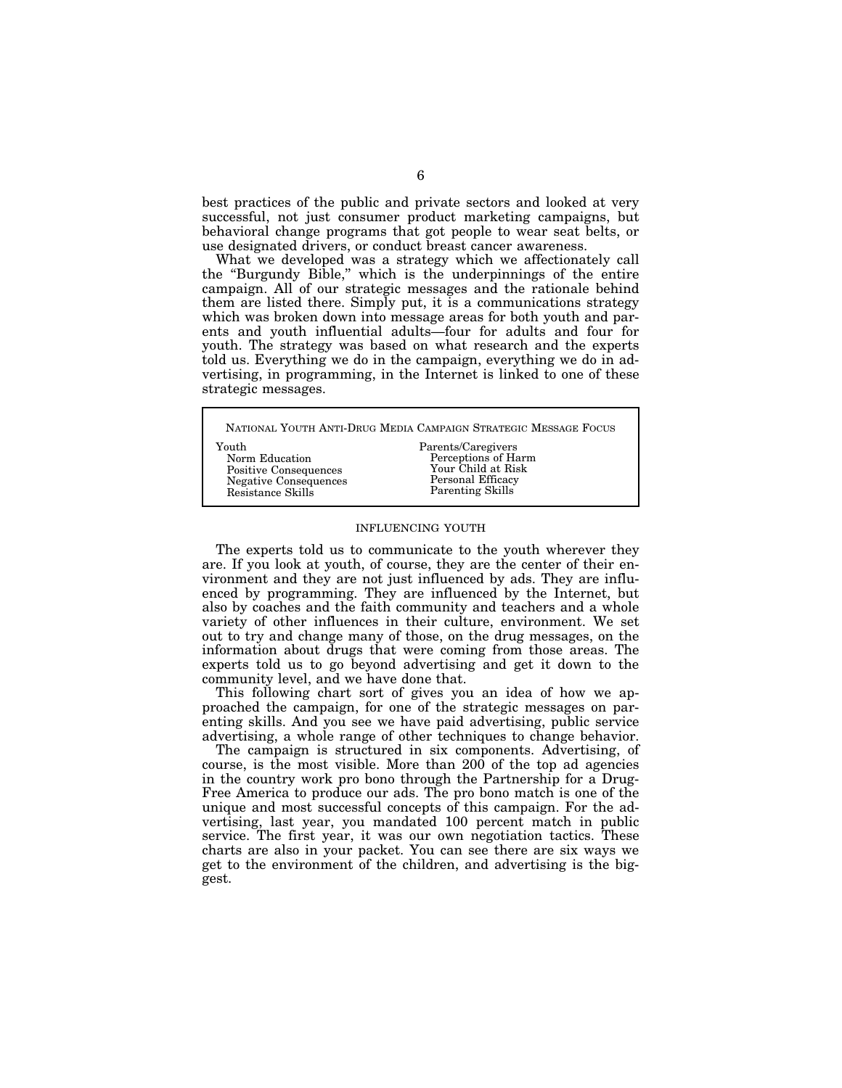best practices of the public and private sectors and looked at very successful, not just consumer product marketing campaigns, but behavioral change programs that got people to wear seat belts, or use designated drivers, or conduct breast cancer awareness.

What we developed was a strategy which we affectionately call the ''Burgundy Bible,'' which is the underpinnings of the entire campaign. All of our strategic messages and the rationale behind them are listed there. Simply put, it is a communications strategy which was broken down into message areas for both youth and parents and youth influential adults—four for adults and four for youth. The strategy was based on what research and the experts told us. Everything we do in the campaign, everything we do in advertising, in programming, in the Internet is linked to one of these strategic messages.

NATIONAL YOUTH ANTI-DRUG MEDIA CAMPAIGN STRATEGIC MESSAGE FOCUS Youth Norm Education Parents/Caregivers

Positive Consequences Negative Consequences Resistance Skills

Perceptions of Harm Your Child at Risk Personal Efficacy Parenting Skills

# INFLUENCING YOUTH

The experts told us to communicate to the youth wherever they are. If you look at youth, of course, they are the center of their environment and they are not just influenced by ads. They are influenced by programming. They are influenced by the Internet, but also by coaches and the faith community and teachers and a whole variety of other influences in their culture, environment. We set out to try and change many of those, on the drug messages, on the information about drugs that were coming from those areas. The experts told us to go beyond advertising and get it down to the community level, and we have done that.

This following chart sort of gives you an idea of how we approached the campaign, for one of the strategic messages on parenting skills. And you see we have paid advertising, public service advertising, a whole range of other techniques to change behavior.

The campaign is structured in six components. Advertising, of course, is the most visible. More than 200 of the top ad agencies in the country work pro bono through the Partnership for a Drug-Free America to produce our ads. The pro bono match is one of the unique and most successful concepts of this campaign. For the advertising, last year, you mandated 100 percent match in public service. The first year, it was our own negotiation tactics. These charts are also in your packet. You can see there are six ways we get to the environment of the children, and advertising is the biggest.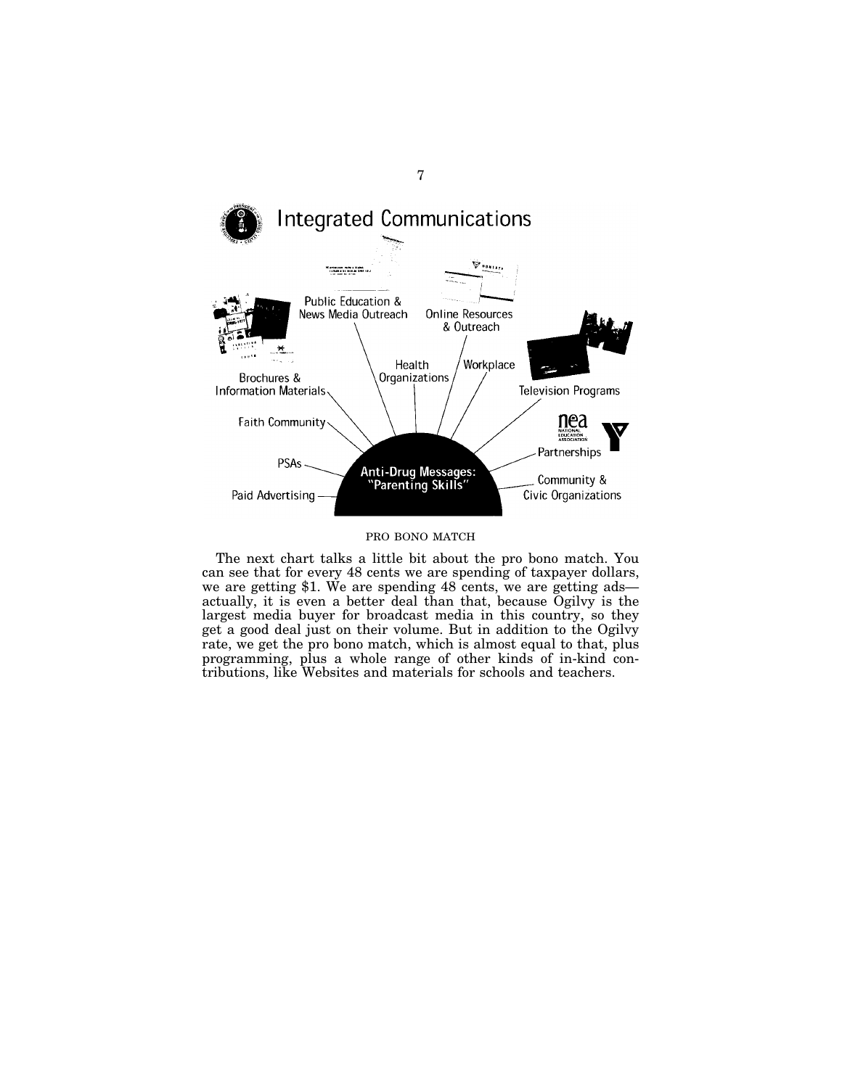

# PRO BONO MATCH

The next chart talks a little bit about the pro bono match. You can see that for every 48 cents we are spending of taxpayer dollars, we are getting \$1. We are spending 48 cents, we are getting ads actually, it is even a better deal than that, because Ogilvy is the largest media buyer for broadcast media in this country, so they get a good deal just on their volume. But in addition to the Ogilvy rate, we get the pro bono match, which is almost equal to that, plus programming, plus a whole range of other kinds of in-kind contributions, like Websites and materials for schools and teachers.

7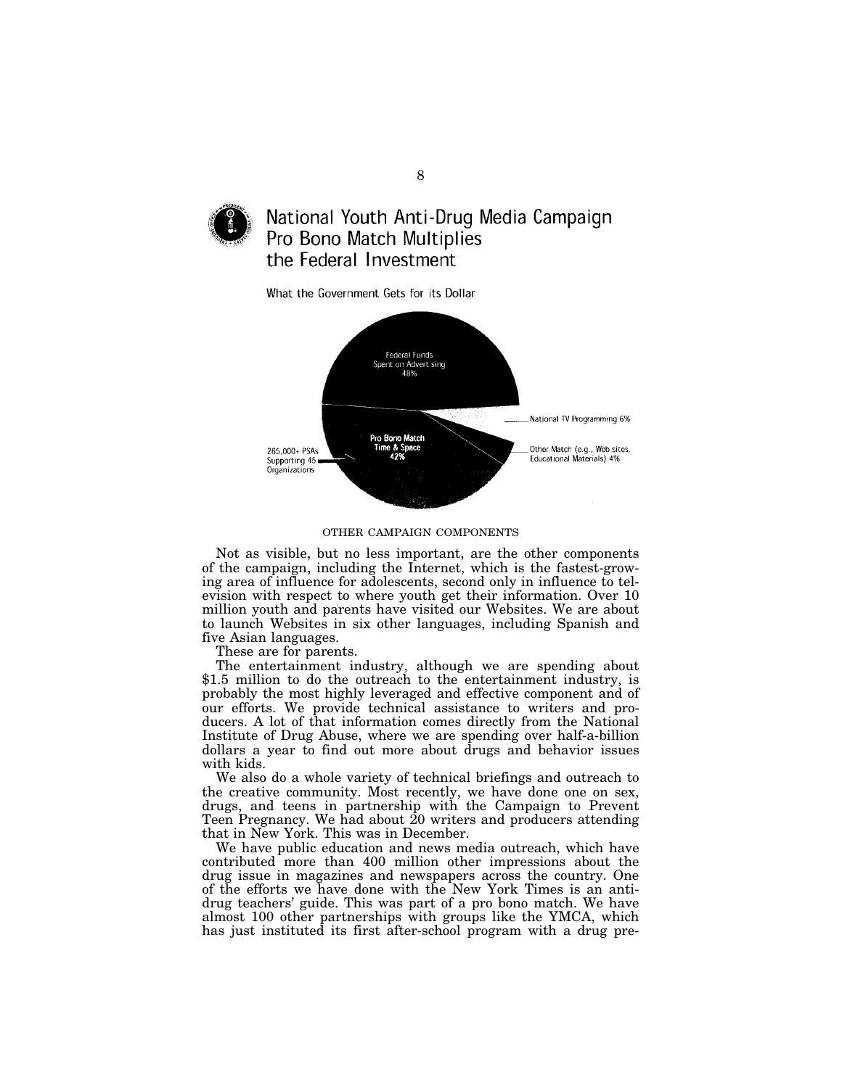

# National Youth Anti-Drug Media Campaign Pro Bono Match Multiplies the Federal Investment

What the Government Gets for its Dollar



#### OTHER CAMPAIGN COMPONENTS

Not as visible, but no less important, are the other components of the campaign, including the Internet, which is the fastest-growing area of influence for adolescents, second only in influence to television with respect to where youth get their information. Over 10 million youth and parents have visited our Websites. We are about to launch Websites in six other languages, including Spanish and five Asian languages.

These are for parents.

The entertainment industry, although we are spending about \$1.5 million to do the outreach to the entertainment industry, is probably the most highly leveraged and effective component and of our efforts. We provide technical assistance to writers and producers. A lot of that information comes directly from the National Institute of Drug Abuse, where we are spending over half-a-billion dollars a year to find out more about drugs and behavior issues with kids.

We also do a whole variety of technical briefings and outreach to the creative community. Most recently, we have done one on sex, drugs, and teens in partnership with the Campaign to Prevent Teen Pregnancy. We had about  $20$  writers and producers attending that in New York. This was in December.

We have public education and news media outreach, which have contributed more than 400 million other impressions about the drug issue in magazines and newspapers across the country. One of the efforts we have done with the New York Times is an antidrug teachers' guide. This was part of a pro bono match. We have almost 100 other partnerships with groups like the YMCA, which has just instituted its first after-school program with a drug pre-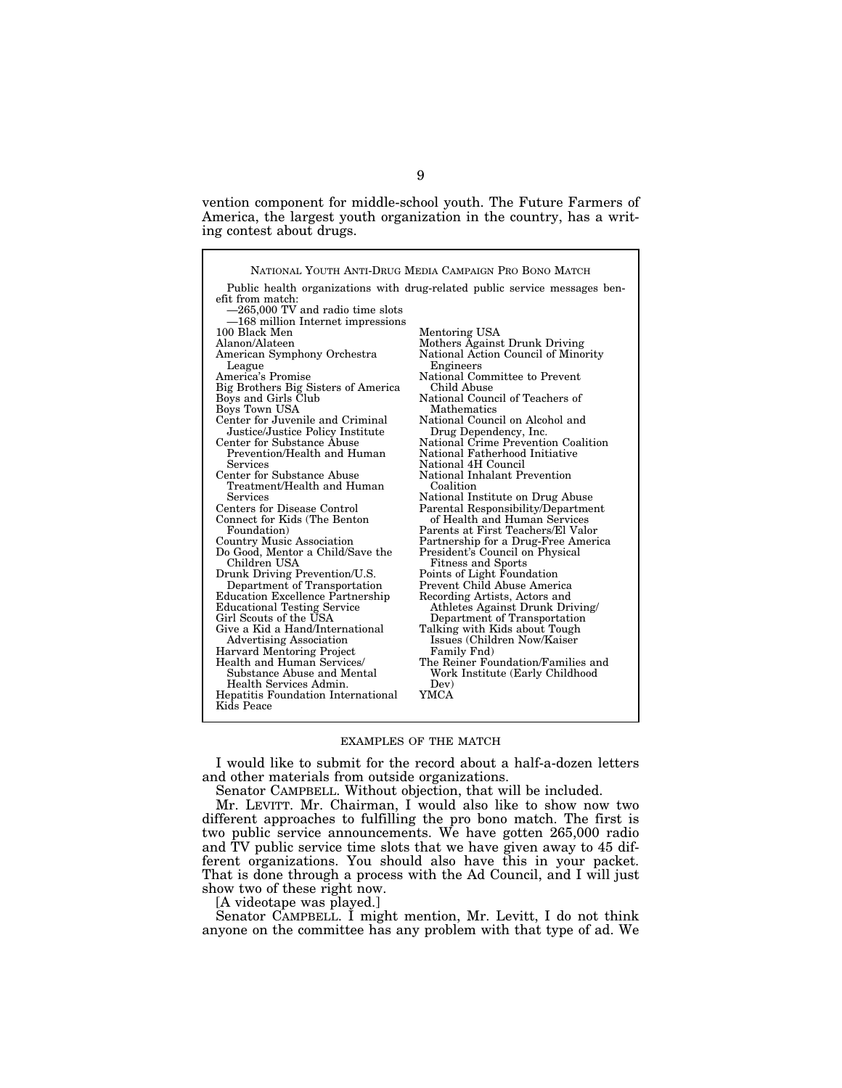vention component for middle-school youth. The Future Farmers of America, the largest youth organization in the country, has a writing contest about drugs.

|                                                              | NATIONAL YOUTH ANTI-DRUG MEDIA CAMPAIGN PRO BONO MATCH                     |
|--------------------------------------------------------------|----------------------------------------------------------------------------|
|                                                              | Public health organizations with drug-related public service messages ben- |
| efit from match:                                             |                                                                            |
| $-265,000$ TV and radio time slots                           |                                                                            |
| -168 million Internet impressions                            |                                                                            |
| 100 Black Men                                                | Mentoring USA                                                              |
| Alanon/Alateen                                               | Mothers Against Drunk Driving                                              |
| American Symphony Orchestra<br>League                        | National Action Council of Minority<br>Engineers                           |
| America's Promise                                            | National Committee to Prevent                                              |
| Big Brothers Big Sisters of America                          | Child Abuse                                                                |
| Boys and Girls Club                                          | National Council of Teachers of                                            |
| Boys Town USA                                                | <b>Mathematics</b>                                                         |
| Center for Juvenile and Criminal                             | National Council on Alcohol and                                            |
| Justice/Justice Policy Institute                             | Drug Dependency, Inc.                                                      |
| Center for Substance Abuse<br>Prevention/Health and Human    | National Crime Prevention Coalition<br>National Fatherhood Initiative      |
| Services                                                     | National 4H Council                                                        |
| Center for Substance Abuse                                   | National Inhalant Prevention                                               |
| Treatment/Health and Human                                   | Coalition                                                                  |
| Services                                                     | National Institute on Drug Abuse                                           |
| Centers for Disease Control                                  | Parental Responsibility/Department                                         |
| Connect for Kids (The Benton                                 | of Health and Human Services                                               |
| Foundation)                                                  | Parents at First Teachers/El Valor                                         |
| <b>Country Music Association</b>                             | Partnership for a Drug-Free America                                        |
| Do Good, Mentor a Child/Save the                             | President's Council on Physical                                            |
| Children USA                                                 | <b>Fitness and Sports</b>                                                  |
| Drunk Driving Prevention/U.S.                                | Points of Light Foundation                                                 |
| Department of Transportation                                 | Prevent Child Abuse America                                                |
| <b>Education Excellence Partnership</b>                      | Recording Artists, Actors and                                              |
| <b>Educational Testing Service</b><br>Girl Scouts of the USA | Athletes Against Drunk Driving/                                            |
| Give a Kid a Hand/International                              | Department of Transportation<br>Talking with Kids about Tough              |
| <b>Advertising Association</b>                               | Issues (Children Now/Kaiser                                                |
| <b>Harvard Mentoring Project</b>                             | Family Fnd)                                                                |
| Health and Human Services/                                   | The Reiner Foundation/Families and                                         |
| Substance Abuse and Mental                                   | Work Institute (Early Childhood                                            |
| Health Services Admin.                                       | Dev)                                                                       |
| Hepatitis Foundation International                           | YMCA                                                                       |
| Kids Peace                                                   |                                                                            |

# EXAMPLES OF THE MATCH

I would like to submit for the record about a half-a-dozen letters and other materials from outside organizations.

Senator CAMPBELL. Without objection, that will be included.

Mr. LEVITT. Mr. Chairman, I would also like to show now two different approaches to fulfilling the pro bono match. The first is two public service announcements. We have gotten 265,000 radio and TV public service time slots that we have given away to 45 different organizations. You should also have this in your packet. That is done through a process with the Ad Council, and I will just show two of these right now.

[A videotape was played.]

Senator CAMPBELL. I might mention, Mr. Levitt, I do not think anyone on the committee has any problem with that type of ad. We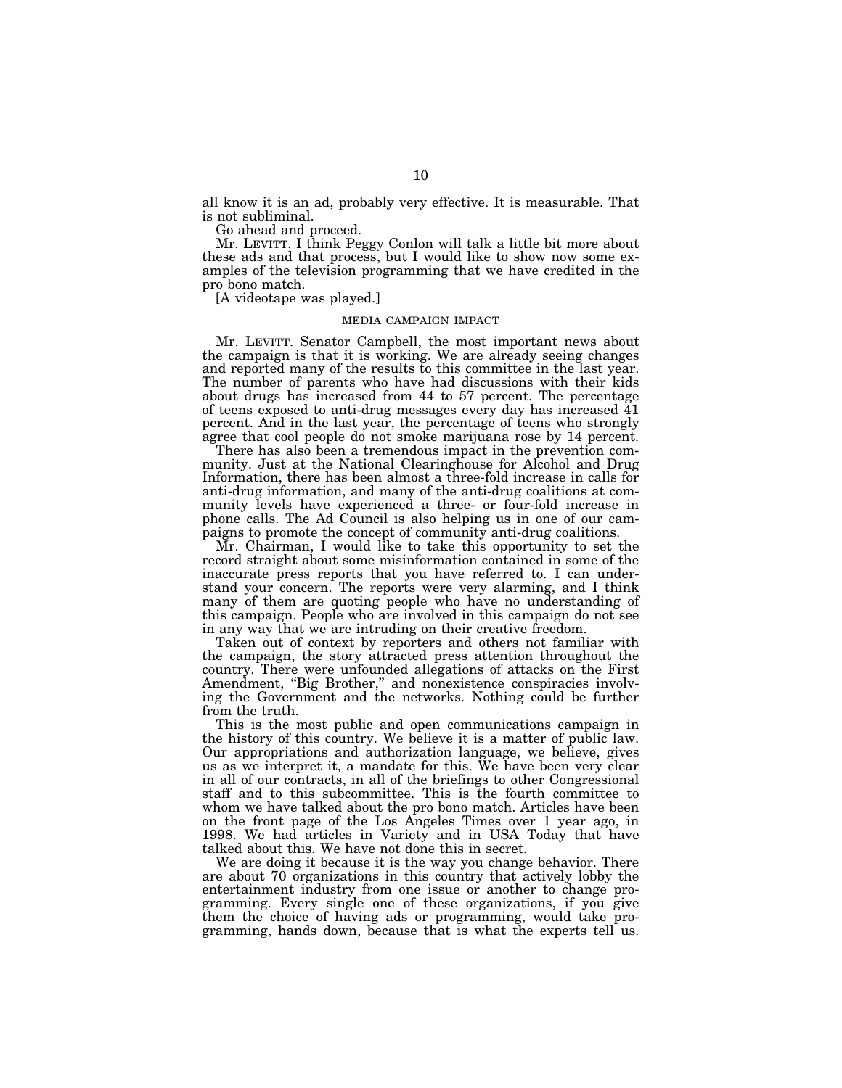all know it is an ad, probably very effective. It is measurable. That is not subliminal.

Go ahead and proceed.

Mr. LEVITT. I think Peggy Conlon will talk a little bit more about these ads and that process, but I would like to show now some examples of the television programming that we have credited in the pro bono match.

[A videotape was played.]

# MEDIA CAMPAIGN IMPACT

Mr. LEVITT. Senator Campbell, the most important news about the campaign is that it is working. We are already seeing changes and reported many of the results to this committee in the last year. The number of parents who have had discussions with their kids about drugs has increased from 44 to 57 percent. The percentage of teens exposed to anti-drug messages every day has increased  $\overline{41}$ percent. And in the last year, the percentage of teens who strongly agree that cool people do not smoke marijuana rose by 14 percent.

There has also been a tremendous impact in the prevention community. Just at the National Clearinghouse for Alcohol and Drug Information, there has been almost a three-fold increase in calls for anti-drug information, and many of the anti-drug coalitions at community levels have experienced a three- or four-fold increase in phone calls. The Ad Council is also helping us in one of our campaigns to promote the concept of community anti-drug coalitions.

Mr. Chairman, I would like to take this opportunity to set the record straight about some misinformation contained in some of the inaccurate press reports that you have referred to. I can understand your concern. The reports were very alarming, and I think many of them are quoting people who have no understanding of this campaign. People who are involved in this campaign do not see in any way that we are intruding on their creative freedom.

Taken out of context by reporters and others not familiar with the campaign, the story attracted press attention throughout the country. There were unfounded allegations of attacks on the First Amendment, "Big Brother," and nonexistence conspiracies involving the Government and the networks. Nothing could be further from the truth.

This is the most public and open communications campaign in the history of this country. We believe it is a matter of public law. Our appropriations and authorization language, we believe, gives us as we interpret it, a mandate for this. We have been very clear in all of our contracts, in all of the briefings to other Congressional staff and to this subcommittee. This is the fourth committee to whom we have talked about the pro bono match. Articles have been on the front page of the Los Angeles Times over 1 year ago, in 1998. We had articles in Variety and in USA Today that have talked about this. We have not done this in secret.

We are doing it because it is the way you change behavior. There are about 70 organizations in this country that actively lobby the entertainment industry from one issue or another to change programming. Every single one of these organizations, if you give them the choice of having ads or programming, would take programming, hands down, because that is what the experts tell us.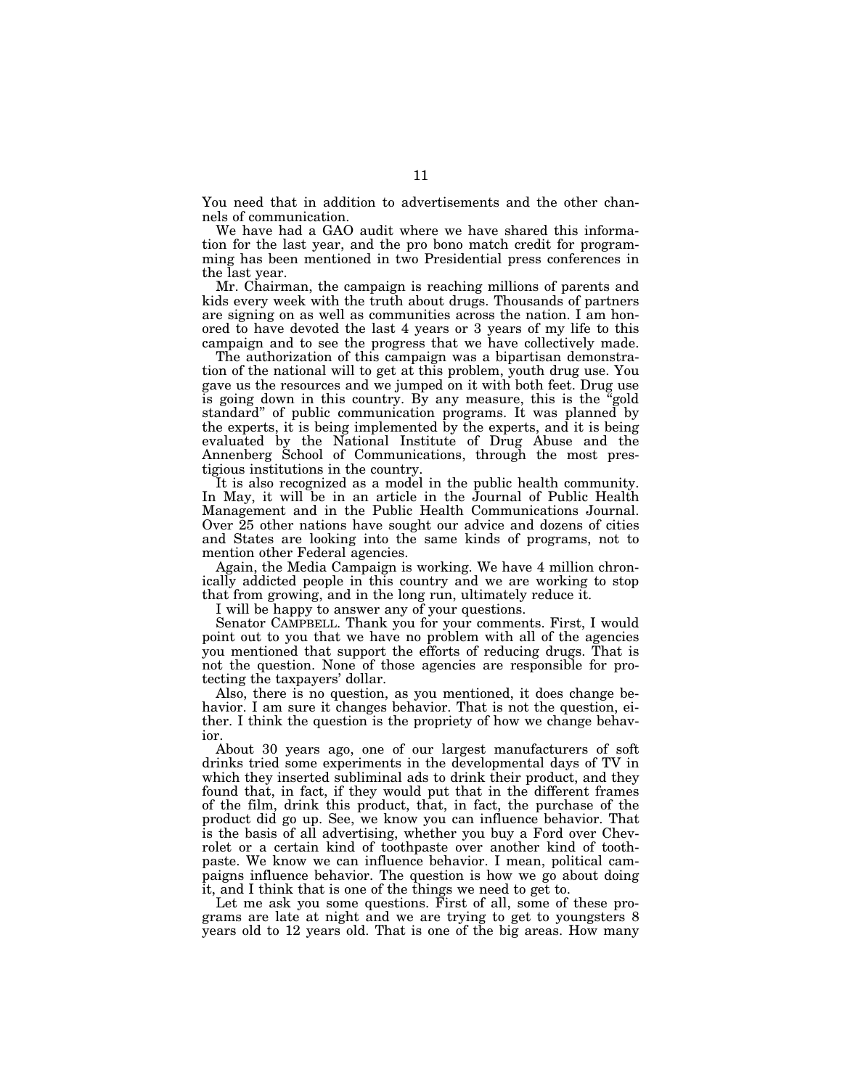You need that in addition to advertisements and the other channels of communication.

We have had a GAO audit where we have shared this information for the last year, and the pro bono match credit for programming has been mentioned in two Presidential press conferences in the last year.

Mr. Chairman, the campaign is reaching millions of parents and kids every week with the truth about drugs. Thousands of partners are signing on as well as communities across the nation. I am honored to have devoted the last 4 years or 3 years of my life to this campaign and to see the progress that we have collectively made.

The authorization of this campaign was a bipartisan demonstration of the national will to get at this problem, youth drug use. You gave us the resources and we jumped on it with both feet. Drug use is going down in this country. By any measure, this is the ''gold standard'' of public communication programs. It was planned by the experts, it is being implemented by the experts, and it is being evaluated by the National Institute of Drug Abuse and the Annenberg School of Communications, through the most prestigious institutions in the country.

It is also recognized as a model in the public health community. In May, it will be in an article in the Journal of Public Health Management and in the Public Health Communications Journal. Over 25 other nations have sought our advice and dozens of cities and States are looking into the same kinds of programs, not to mention other Federal agencies.

Again, the Media Campaign is working. We have 4 million chronically addicted people in this country and we are working to stop that from growing, and in the long run, ultimately reduce it.

I will be happy to answer any of your questions.

Senator CAMPBELL. Thank you for your comments. First, I would point out to you that we have no problem with all of the agencies you mentioned that support the efforts of reducing drugs. That is not the question. None of those agencies are responsible for protecting the taxpayers' dollar.

Also, there is no question, as you mentioned, it does change behavior. I am sure it changes behavior. That is not the question, either. I think the question is the propriety of how we change behavior.

About 30 years ago, one of our largest manufacturers of soft drinks tried some experiments in the developmental days of TV in which they inserted subliminal ads to drink their product, and they found that, in fact, if they would put that in the different frames of the film, drink this product, that, in fact, the purchase of the product did go up. See, we know you can influence behavior. That is the basis of all advertising, whether you buy a Ford over Chevrolet or a certain kind of toothpaste over another kind of toothpaste. We know we can influence behavior. I mean, political campaigns influence behavior. The question is how we go about doing it, and I think that is one of the things we need to get to.

Let me ask you some questions. First of all, some of these programs are late at night and we are trying to get to youngsters 8 years old to 12 years old. That is one of the big areas. How many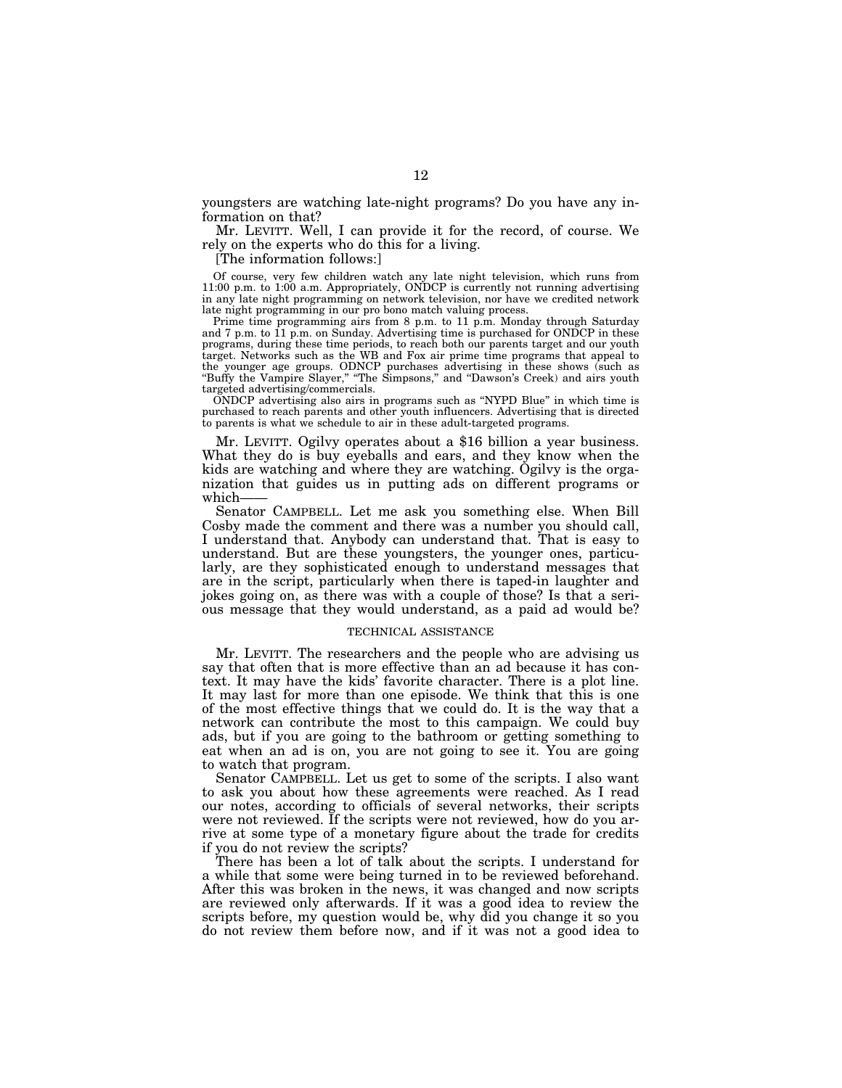youngsters are watching late-night programs? Do you have any information on that?

Mr. LEVITT. Well, I can provide it for the record, of course. We rely on the experts who do this for a living.

[The information follows:]

Of course, very few children watch any late night television, which runs from 11:00 p.m. to 1:00 a.m. Appropriately, ONDCP is currently not running advertising in any late night programming on network television, nor have we credited network late night programming in our pro bono match valuing process.

Prime time programming airs from 8 p.m. to 11 p.m. Monday through Saturday and 7 p.m. to 11 p.m. on Sunday. Advertising time is purchased for ONDCP in these programs, during these time periods, to reach both our parents target and our youth target. Networks such as the WB and Fox air prime time programs that appeal to the younger age groups. ODNCP purchases advertising in these shows (such as ''Buffy the Vampire Slayer,'' ''The Simpsons,'' and ''Dawson's Creek) and airs youth targeted advertising/commercials.

ONDCP advertising also airs in programs such as ''NYPD Blue'' in which time is purchased to reach parents and other youth influencers. Advertising that is directed to parents is what we schedule to air in these adult-targeted programs.

Mr. LEVITT. Ogilvy operates about a \$16 billion a year business. What they do is buy eyeballs and ears, and they know when the kids are watching and where they are watching. Ogilvy is the organization that guides us in putting ads on different programs or which-

Senator CAMPBELL. Let me ask you something else. When Bill Cosby made the comment and there was a number you should call, I understand that. Anybody can understand that. That is easy to understand. But are these youngsters, the younger ones, particularly, are they sophisticated enough to understand messages that are in the script, particularly when there is taped-in laughter and jokes going on, as there was with a couple of those? Is that a serious message that they would understand, as a paid ad would be?

# TECHNICAL ASSISTANCE

Mr. LEVITT. The researchers and the people who are advising us say that often that is more effective than an ad because it has context. It may have the kids' favorite character. There is a plot line. It may last for more than one episode. We think that this is one of the most effective things that we could do. It is the way that a network can contribute the most to this campaign. We could buy ads, but if you are going to the bathroom or getting something to eat when an ad is on, you are not going to see it. You are going to watch that program.

Senator CAMPBELL. Let us get to some of the scripts. I also want to ask you about how these agreements were reached. As I read our notes, according to officials of several networks, their scripts were not reviewed. If the scripts were not reviewed, how do you arrive at some type of a monetary figure about the trade for credits if you do not review the scripts?

There has been a lot of talk about the scripts. I understand for a while that some were being turned in to be reviewed beforehand. After this was broken in the news, it was changed and now scripts are reviewed only afterwards. If it was a good idea to review the scripts before, my question would be, why did you change it so you do not review them before now, and if it was not a good idea to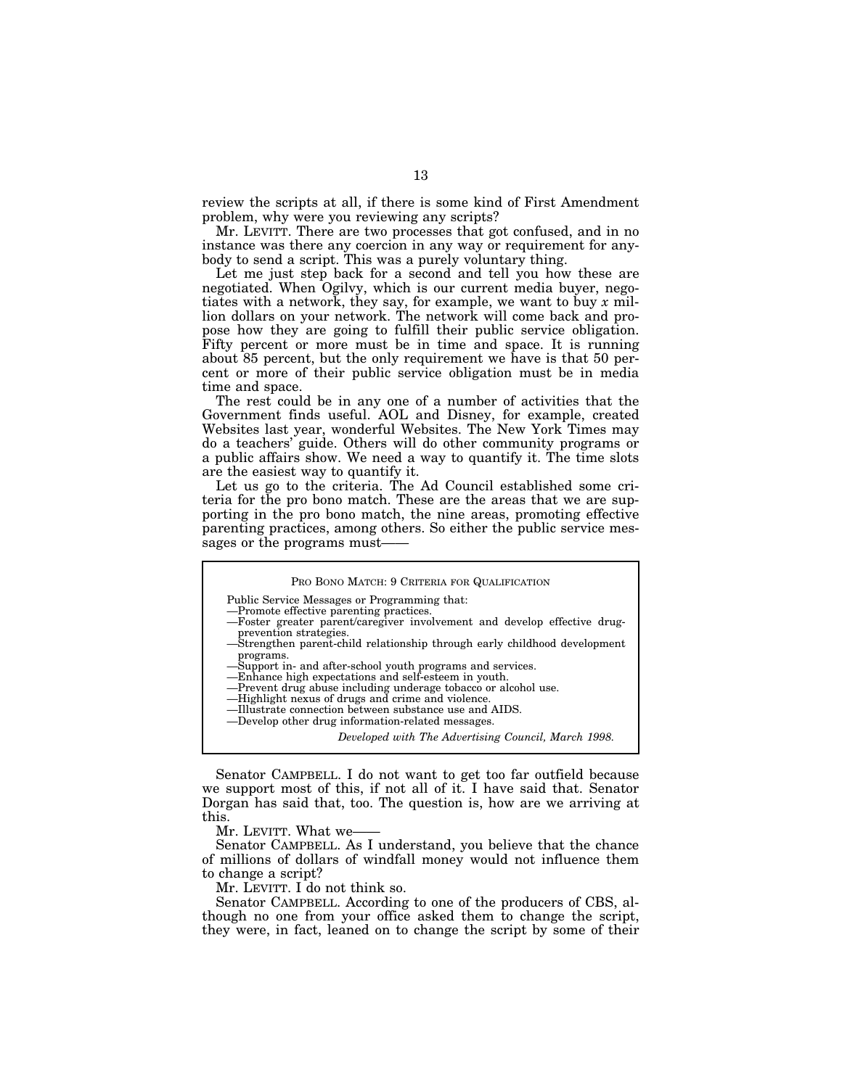review the scripts at all, if there is some kind of First Amendment problem, why were you reviewing any scripts?

Mr. LEVITT. There are two processes that got confused, and in no instance was there any coercion in any way or requirement for anybody to send a script. This was a purely voluntary thing.

Let me just step back for a second and tell you how these are negotiated. When Ogilvy, which is our current media buyer, negotiates with a network, they say, for example, we want to buy *x* million dollars on your network. The network will come back and propose how they are going to fulfill their public service obligation. Fifty percent or more must be in time and space. It is running about 85 percent, but the only requirement we have is that 50 percent or more of their public service obligation must be in media time and space.

The rest could be in any one of a number of activities that the Government finds useful. AOL and Disney, for example, created Websites last year, wonderful Websites. The New York Times may do a teachers' guide. Others will do other community programs or a public affairs show. We need a way to quantify it. The time slots are the easiest way to quantify it.

Let us go to the criteria. The Ad Council established some criteria for the pro bono match. These are the areas that we are supporting in the pro bono match, the nine areas, promoting effective parenting practices, among others. So either the public service messages or the programs must-

|  |  | PRO BONO MATCH: 9 CRITERIA FOR QUALIFICATION |
|--|--|----------------------------------------------|
|--|--|----------------------------------------------|

Public Service Messages or Programming that:

—Promote effective parenting practices.

- —Foster greater parent/caregiver involvement and develop effective drugprevention strategies.
- —Strengthen parent-child relationship through early childhood development programs.
- Support in- and after-school youth programs and services.
- —Enhance high expectations and self-esteem in youth. —Prevent drug abuse including underage tobacco or alcohol use.
- —Highlight nexus of drugs and crime and violence.
- —Illustrate connection between substance use and AIDS.
- —Develop other drug information-related messages.

*Developed with The Advertising Council, March 1998.*

Senator CAMPBELL. I do not want to get too far outfield because we support most of this, if not all of it. I have said that. Senator Dorgan has said that, too. The question is, how are we arriving at this.

Mr. LEVITT. What we-

Senator CAMPBELL. As I understand, you believe that the chance of millions of dollars of windfall money would not influence them to change a script?

Mr. LEVITT. I do not think so.

Senator CAMPBELL. According to one of the producers of CBS, although no one from your office asked them to change the script, they were, in fact, leaned on to change the script by some of their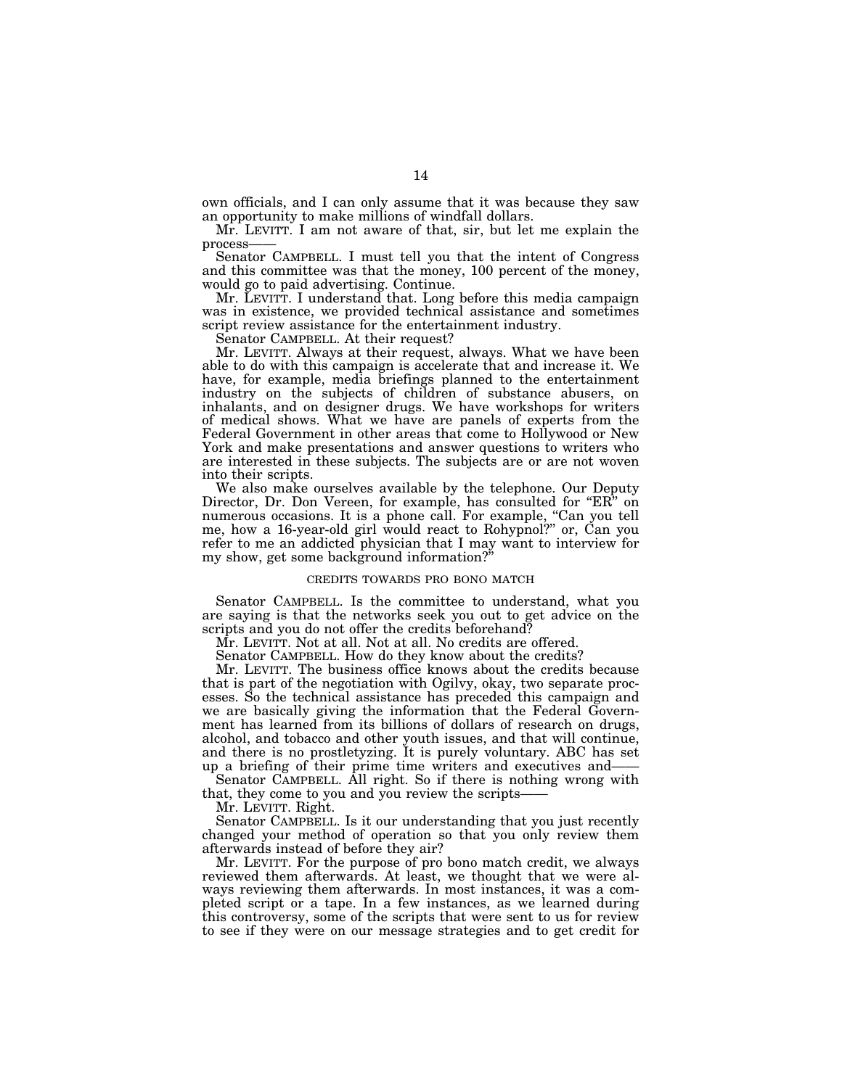own officials, and I can only assume that it was because they saw an opportunity to make millions of windfall dollars.

Mr. LEVITT. I am not aware of that, sir, but let me explain the

Senator CAMPBELL. I must tell you that the intent of Congress and this committee was that the money, 100 percent of the money, would go to paid advertising. Continue.

Mr. LEVITT. I understand that. Long before this media campaign was in existence, we provided technical assistance and sometimes script review assistance for the entertainment industry.

Senator CAMPBELL. At their request?

Mr. LEVITT. Always at their request, always. What we have been able to do with this campaign is accelerate that and increase it. We have, for example, media briefings planned to the entertainment industry on the subjects of children of substance abusers, on inhalants, and on designer drugs. We have workshops for writers of medical shows. What we have are panels of experts from the Federal Government in other areas that come to Hollywood or New York and make presentations and answer questions to writers who are interested in these subjects. The subjects are or are not woven into their scripts.

We also make ourselves available by the telephone. Our Deputy Director, Dr. Don Vereen, for example, has consulted for "ER" on numerous occasions. It is a phone call. For example, "Can you tell me, how a 16-year-old girl would react to Rohypnol?'' or, Can you refer to me an addicted physician that I may want to interview for my show, get some background information?

# CREDITS TOWARDS PRO BONO MATCH

Senator CAMPBELL. Is the committee to understand, what you are saying is that the networks seek you out to get advice on the scripts and you do not offer the credits beforehand?

Mr. LEVITT. Not at all. Not at all. No credits are offered.

Senator CAMPBELL. How do they know about the credits?

Mr. LEVITT. The business office knows about the credits because that is part of the negotiation with Ogilvy, okay, two separate processes. So the technical assistance has preceded this campaign and we are basically giving the information that the Federal Government has learned from its billions of dollars of research on drugs, alcohol, and tobacco and other youth issues, and that will continue, and there is no prostletyzing. It is purely voluntary. ABC has set up a briefing of their prime time writers and executives and-

Senator CAMPBELL. All right. So if there is nothing wrong with that, they come to you and you review the scripts-

Mr. LEVITT. Right.

Senator CAMPBELL. Is it our understanding that you just recently changed your method of operation so that you only review them afterwards instead of before they air?

Mr. LEVITT. For the purpose of pro bono match credit, we always reviewed them afterwards. At least, we thought that we were always reviewing them afterwards. In most instances, it was a completed script or a tape. In a few instances, as we learned during this controversy, some of the scripts that were sent to us for review to see if they were on our message strategies and to get credit for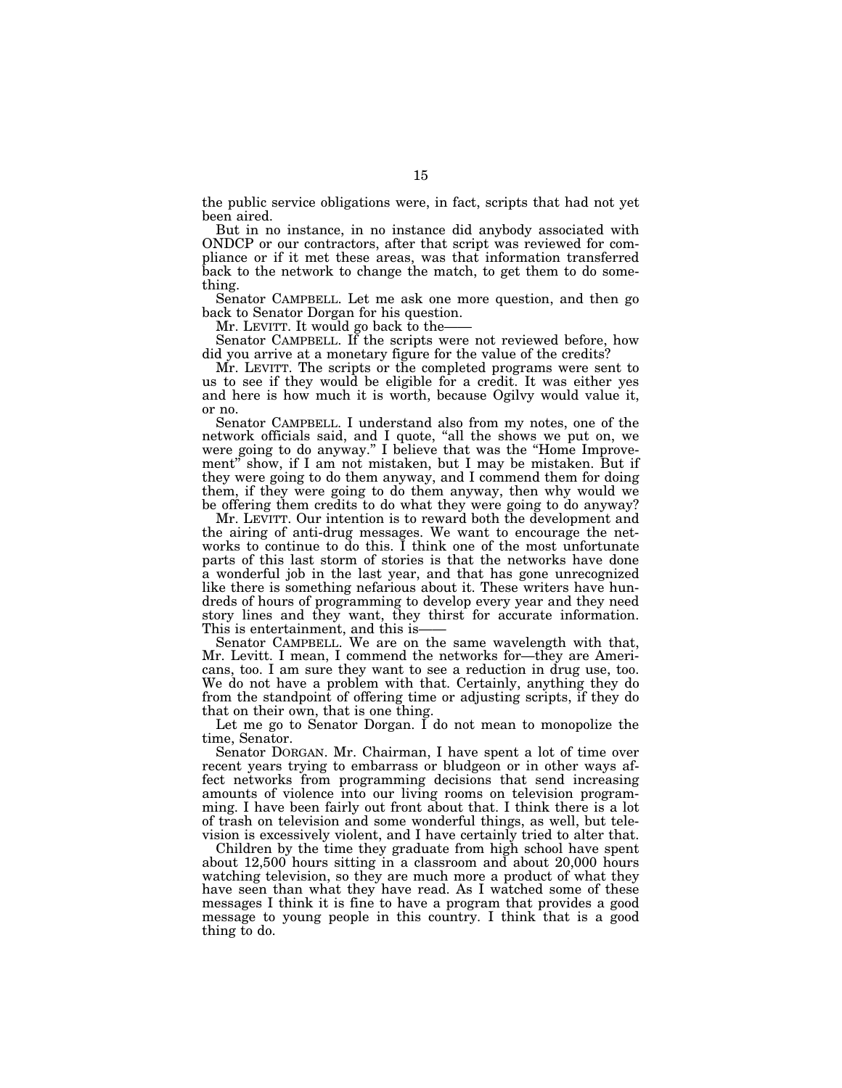the public service obligations were, in fact, scripts that had not yet been aired.

But in no instance, in no instance did anybody associated with ONDCP or our contractors, after that script was reviewed for compliance or if it met these areas, was that information transferred back to the network to change the match, to get them to do something.

Senator CAMPBELL. Let me ask one more question, and then go back to Senator Dorgan for his question.<br>Mr. LEVITT. It would go back to the—

Senator CAMPBELL. If the scripts were not reviewed before, how did you arrive at a monetary figure for the value of the credits?

Mr. LEVITT. The scripts or the completed programs were sent to us to see if they would be eligible for a credit. It was either yes and here is how much it is worth, because Ogilvy would value it, or no.

Senator CAMPBELL. I understand also from my notes, one of the network officials said, and I quote, "all the shows we put on, we were going to do anyway.'' I believe that was the ''Home Improvement" show, if I am not mistaken, but I may be mistaken. But if they were going to do them anyway, and I commend them for doing them, if they were going to do them anyway, then why would we be offering them credits to do what they were going to do anyway?

Mr. LEVITT. Our intention is to reward both the development and the airing of anti-drug messages. We want to encourage the networks to continue to do this. I think one of the most unfortunate parts of this last storm of stories is that the networks have done a wonderful job in the last year, and that has gone unrecognized like there is something nefarious about it. These writers have hundreds of hours of programming to develop every year and they need story lines and they want, they thirst for accurate information. This is entertainment, and this is——<br>Senator CAMPBELL. We are on the same wavelength with that,

Mr. Levitt. I mean, I commend the networks for—they are Americans, too. I am sure they want to see a reduction in drug use, too. We do not have a problem with that. Certainly, anything they do from the standpoint of offering time or adjusting scripts, if they do that on their own, that is one thing.

Let me go to Senator Dorgan. I do not mean to monopolize the time, Senator.

Senator DORGAN. Mr. Chairman, I have spent a lot of time over recent years trying to embarrass or bludgeon or in other ways affect networks from programming decisions that send increasing amounts of violence into our living rooms on television programming. I have been fairly out front about that. I think there is a lot of trash on television and some wonderful things, as well, but television is excessively violent, and I have certainly tried to alter that.

Children by the time they graduate from high school have spent about 12,500 hours sitting in a classroom and about 20,000 hours watching television, so they are much more a product of what they have seen than what they have read. As I watched some of these messages I think it is fine to have a program that provides a good message to young people in this country. I think that is a good thing to do.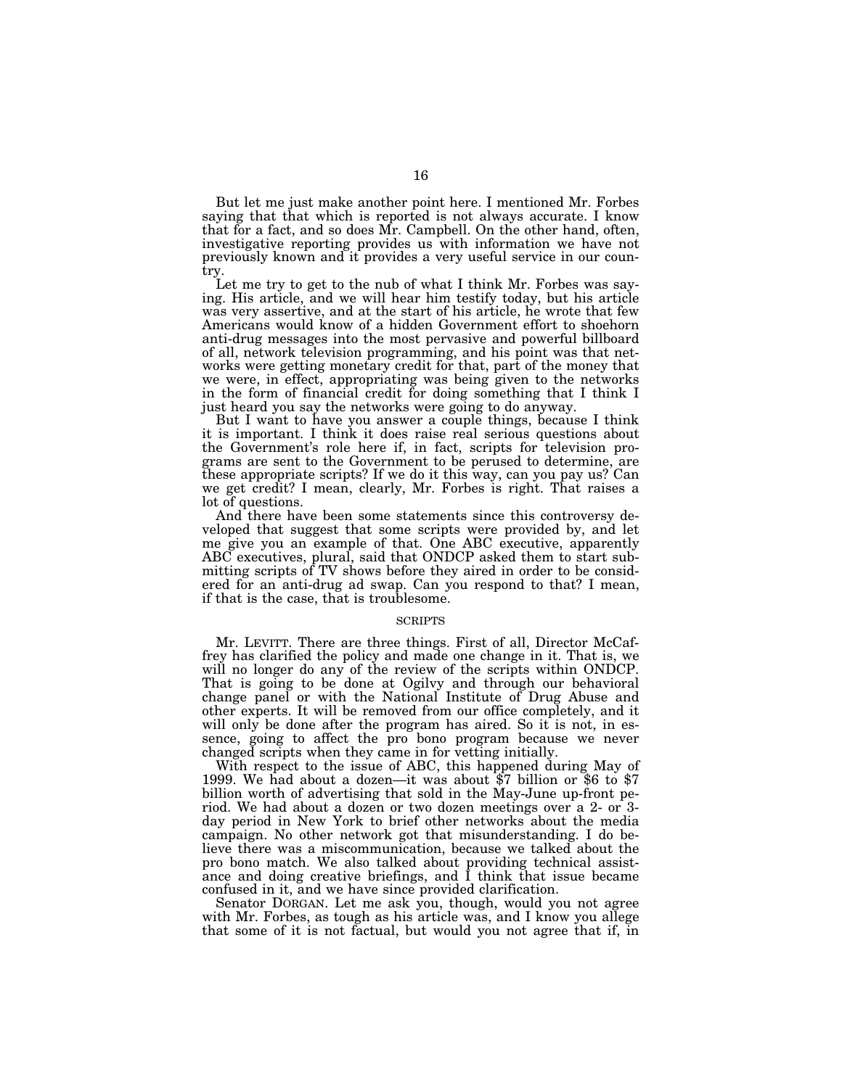But let me just make another point here. I mentioned Mr. Forbes saying that that which is reported is not always accurate. I know that for a fact, and so does Mr. Campbell. On the other hand, often, investigative reporting provides us with information we have not previously known and it provides a very useful service in our country.

Let me try to get to the nub of what I think Mr. Forbes was saying. His article, and we will hear him testify today, but his article was very assertive, and at the start of his article, he wrote that few Americans would know of a hidden Government effort to shoehorn anti-drug messages into the most pervasive and powerful billboard of all, network television programming, and his point was that networks were getting monetary credit for that, part of the money that we were, in effect, appropriating was being given to the networks in the form of financial credit for doing something that I think I just heard you say the networks were going to do anyway.

But I want to have you answer a couple things, because I think it is important. I think it does raise real serious questions about the Government's role here if, in fact, scripts for television programs are sent to the Government to be perused to determine, are these appropriate scripts? If we do it this way, can you pay us? Can we get credit? I mean, clearly, Mr. Forbes is right. That raises a lot of questions.

And there have been some statements since this controversy developed that suggest that some scripts were provided by, and let me give you an example of that. One ABC executive, apparently ABC executives, plural, said that ONDCP asked them to start submitting scripts of TV shows before they aired in order to be considered for an anti-drug ad swap. Can you respond to that? I mean, if that is the case, that is troublesome.

# **SCRIPTS**

Mr. LEVITT. There are three things. First of all, Director McCaffrey has clarified the policy and made one change in it. That is, we will no longer do any of the review of the scripts within ONDCP. That is going to be done at Ogilvy and through our behavioral change panel or with the National Institute of Drug Abuse and other experts. It will be removed from our office completely, and it will only be done after the program has aired. So it is not, in essence, going to affect the pro bono program because we never changed scripts when they came in for vetting initially.

With respect to the issue of ABC, this happened during May of 1999. We had about a dozen—it was about \$7 billion or \$6 to \$7 billion worth of advertising that sold in the May-June up-front period. We had about a dozen or two dozen meetings over a 2- or 3 day period in New York to brief other networks about the media campaign. No other network got that misunderstanding. I do believe there was a miscommunication, because we talked about the pro bono match. We also talked about providing technical assistance and doing creative briefings, and I think that issue became confused in it, and we have since provided clarification.

Senator DORGAN. Let me ask you, though, would you not agree with Mr. Forbes, as tough as his article was, and I know you allege that some of it is not factual, but would you not agree that if, in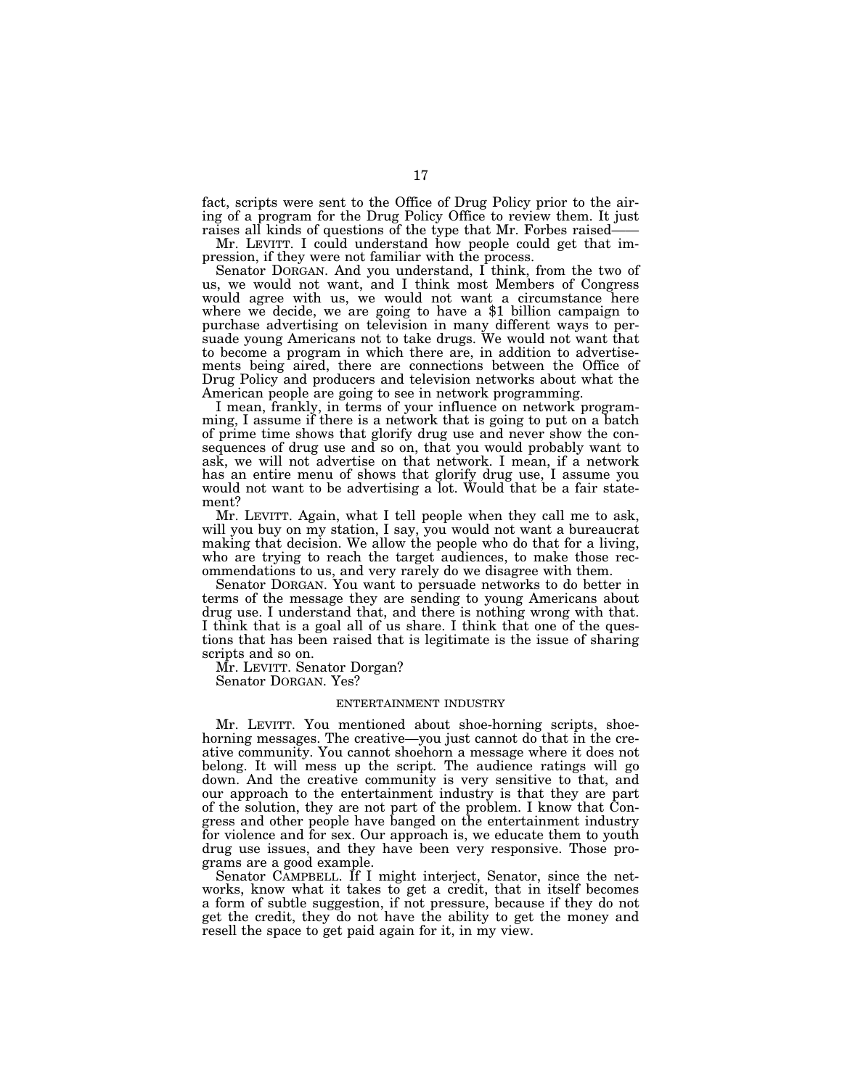fact, scripts were sent to the Office of Drug Policy prior to the airing of a program for the Drug Policy Office to review them. It just

raises all kinds of questions of the type that Mr. Forbes raised—— Mr. LEVITT. I could understand how people could get that impression, if they were not familiar with the process.

Senator DORGAN. And you understand, I think, from the two of us, we would not want, and I think most Members of Congress would agree with us, we would not want a circumstance here where we decide, we are going to have a \$1 billion campaign to purchase advertising on television in many different ways to persuade young Americans not to take drugs. We would not want that to become a program in which there are, in addition to advertisements being aired, there are connections between the Office of Drug Policy and producers and television networks about what the American people are going to see in network programming.

I mean, frankly, in terms of your influence on network programming, I assume if there is a network that is going to put on a batch of prime time shows that glorify drug use and never show the consequences of drug use and so on, that you would probably want to ask, we will not advertise on that network. I mean, if a network has an entire menu of shows that glorify drug use, I assume you would not want to be advertising a lot. Would that be a fair statement?

Mr. LEVITT. Again, what I tell people when they call me to ask, will you buy on my station, I say, you would not want a bureaucrat making that decision. We allow the people who do that for a living, who are trying to reach the target audiences, to make those recommendations to us, and very rarely do we disagree with them.

Senator DORGAN. You want to persuade networks to do better in terms of the message they are sending to young Americans about drug use. I understand that, and there is nothing wrong with that. I think that is a goal all of us share. I think that one of the questions that has been raised that is legitimate is the issue of sharing scripts and so on.

Mr. LEVITT. Senator Dorgan?

Senator DORGAN. Yes?

# ENTERTAINMENT INDUSTRY

Mr. LEVITT. You mentioned about shoe-horning scripts, shoehorning messages. The creative—you just cannot do that in the creative community. You cannot shoehorn a message where it does not belong. It will mess up the script. The audience ratings will go down. And the creative community is very sensitive to that, and our approach to the entertainment industry is that they are part of the solution, they are not part of the problem. I know that Congress and other people have banged on the entertainment industry for violence and for sex. Our approach is, we educate them to youth drug use issues, and they have been very responsive. Those programs are a good example.

Senator CAMPBELL. If I might interject, Senator, since the networks, know what it takes to get a credit, that in itself becomes a form of subtle suggestion, if not pressure, because if they do not get the credit, they do not have the ability to get the money and resell the space to get paid again for it, in my view.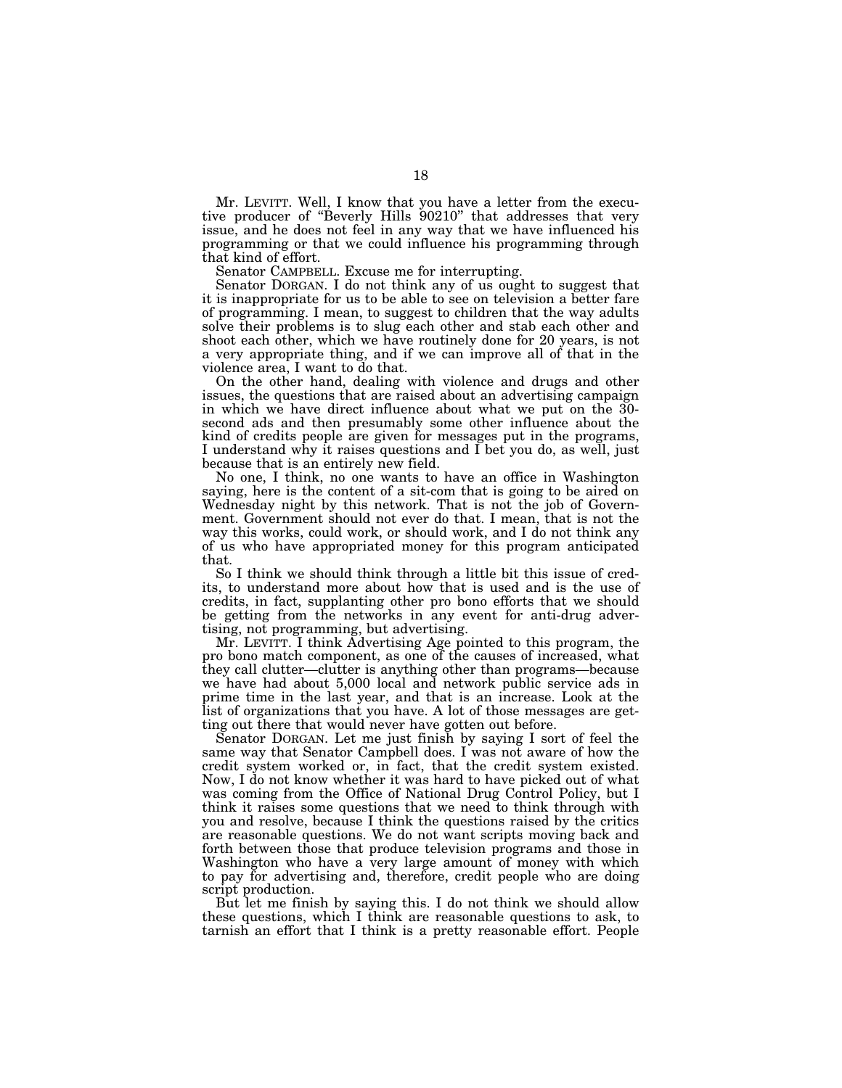Mr. LEVITT. Well, I know that you have a letter from the executive producer of "Beverly Hills 90210" that addresses that very issue, and he does not feel in any way that we have influenced his programming or that we could influence his programming through that kind of effort.

Senator CAMPBELL. Excuse me for interrupting.

Senator DORGAN. I do not think any of us ought to suggest that it is inappropriate for us to be able to see on television a better fare of programming. I mean, to suggest to children that the way adults solve their problems is to slug each other and stab each other and shoot each other, which we have routinely done for 20 years, is not a very appropriate thing, and if we can improve all of that in the violence area, I want to do that.

On the other hand, dealing with violence and drugs and other issues, the questions that are raised about an advertising campaign in which we have direct influence about what we put on the 30 second ads and then presumably some other influence about the kind of credits people are given for messages put in the programs, I understand why it raises questions and I bet you do, as well, just because that is an entirely new field.

No one, I think, no one wants to have an office in Washington saying, here is the content of a sit-com that is going to be aired on Wednesday night by this network. That is not the job of Government. Government should not ever do that. I mean, that is not the way this works, could work, or should work, and I do not think any of us who have appropriated money for this program anticipated that.

So I think we should think through a little bit this issue of credits, to understand more about how that is used and is the use of credits, in fact, supplanting other pro bono efforts that we should be getting from the networks in any event for anti-drug advertising, not programming, but advertising.

Mr. LEVITT. I think Advertising Age pointed to this program, the pro bono match component, as one of the causes of increased, what they call clutter—clutter is anything other than programs—because we have had about 5,000 local and network public service ads in prime time in the last year, and that is an increase. Look at the list of organizations that you have. A lot of those messages are getting out there that would never have gotten out before.

Senator DORGAN. Let me just finish by saying I sort of feel the same way that Senator Campbell does. I was not aware of how the credit system worked or, in fact, that the credit system existed. Now, I do not know whether it was hard to have picked out of what was coming from the Office of National Drug Control Policy, but I think it raises some questions that we need to think through with you and resolve, because I think the questions raised by the critics are reasonable questions. We do not want scripts moving back and forth between those that produce television programs and those in Washington who have a very large amount of money with which to pay for advertising and, therefore, credit people who are doing script production.

But let me finish by saying this. I do not think we should allow these questions, which I think are reasonable questions to ask, to tarnish an effort that I think is a pretty reasonable effort. People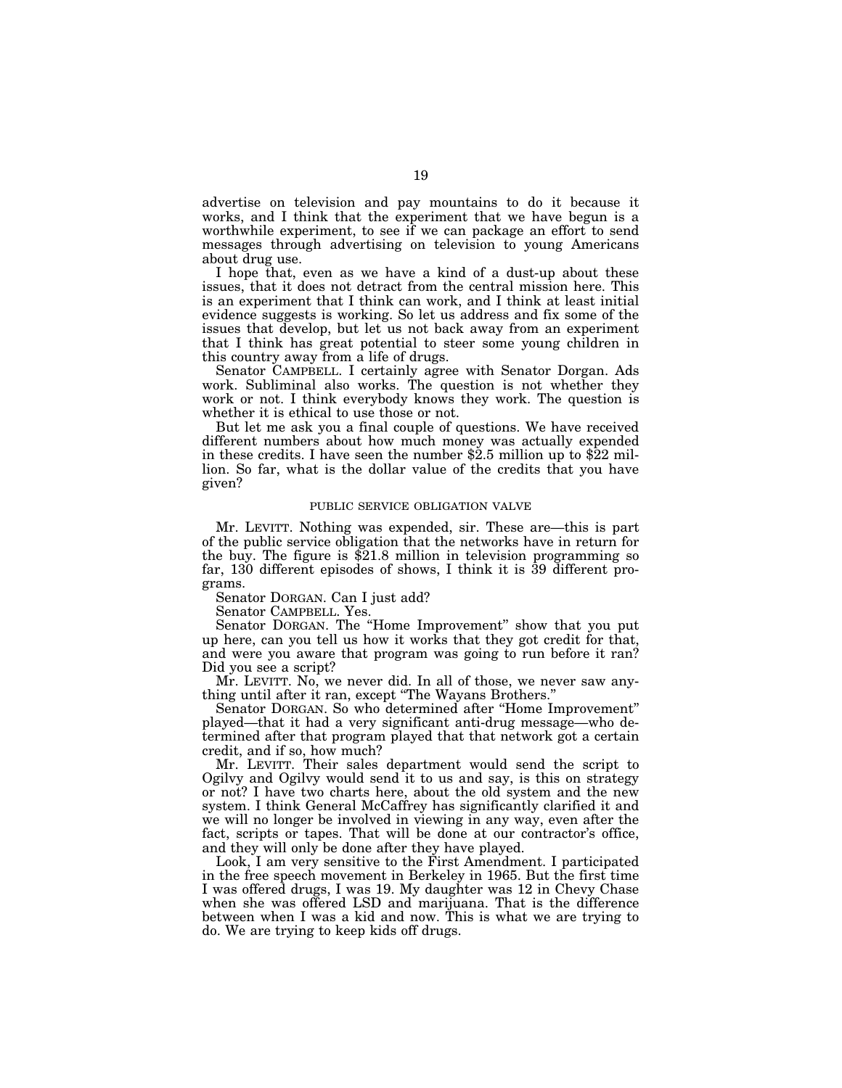advertise on television and pay mountains to do it because it works, and I think that the experiment that we have begun is a worthwhile experiment, to see if we can package an effort to send messages through advertising on television to young Americans about drug use.

I hope that, even as we have a kind of a dust-up about these issues, that it does not detract from the central mission here. This is an experiment that I think can work, and I think at least initial evidence suggests is working. So let us address and fix some of the issues that develop, but let us not back away from an experiment that I think has great potential to steer some young children in this country away from a life of drugs.

Senator CAMPBELL. I certainly agree with Senator Dorgan. Ads work. Subliminal also works. The question is not whether they work or not. I think everybody knows they work. The question is whether it is ethical to use those or not.

But let me ask you a final couple of questions. We have received different numbers about how much money was actually expended in these credits. I have seen the number  $\frac{25}{2}$  million up to  $\frac{22}{2}$  million. So far, what is the dollar value of the credits that you have given?

# PUBLIC SERVICE OBLIGATION VALVE

Mr. LEVITT. Nothing was expended, sir. These are—this is part of the public service obligation that the networks have in return for the buy. The figure is \$21.8 million in television programming so far, 130 different episodes of shows, I think it is 39 different programs.

Senator DORGAN. Can I just add?

Senator CAMPBELL. Yes.

Senator DORGAN. The ''Home Improvement'' show that you put up here, can you tell us how it works that they got credit for that, and were you aware that program was going to run before it ran? Did you see a script?

Mr. LEVITT. No, we never did. In all of those, we never saw anything until after it ran, except ''The Wayans Brothers.''

Senator DORGAN. So who determined after ''Home Improvement'' played—that it had a very significant anti-drug message—who determined after that program played that that network got a certain credit, and if so, how much?

Mr. LEVITT. Their sales department would send the script to Ogilvy and Ogilvy would send it to us and say, is this on strategy or not? I have two charts here, about the old system and the new system. I think General McCaffrey has significantly clarified it and we will no longer be involved in viewing in any way, even after the fact, scripts or tapes. That will be done at our contractor's office, and they will only be done after they have played.

Look, I am very sensitive to the First Amendment. I participated in the free speech movement in Berkeley in 1965. But the first time I was offered drugs, I was 19. My daughter was 12 in Chevy Chase when she was offered LSD and marijuana. That is the difference between when I was a kid and now. This is what we are trying to do. We are trying to keep kids off drugs.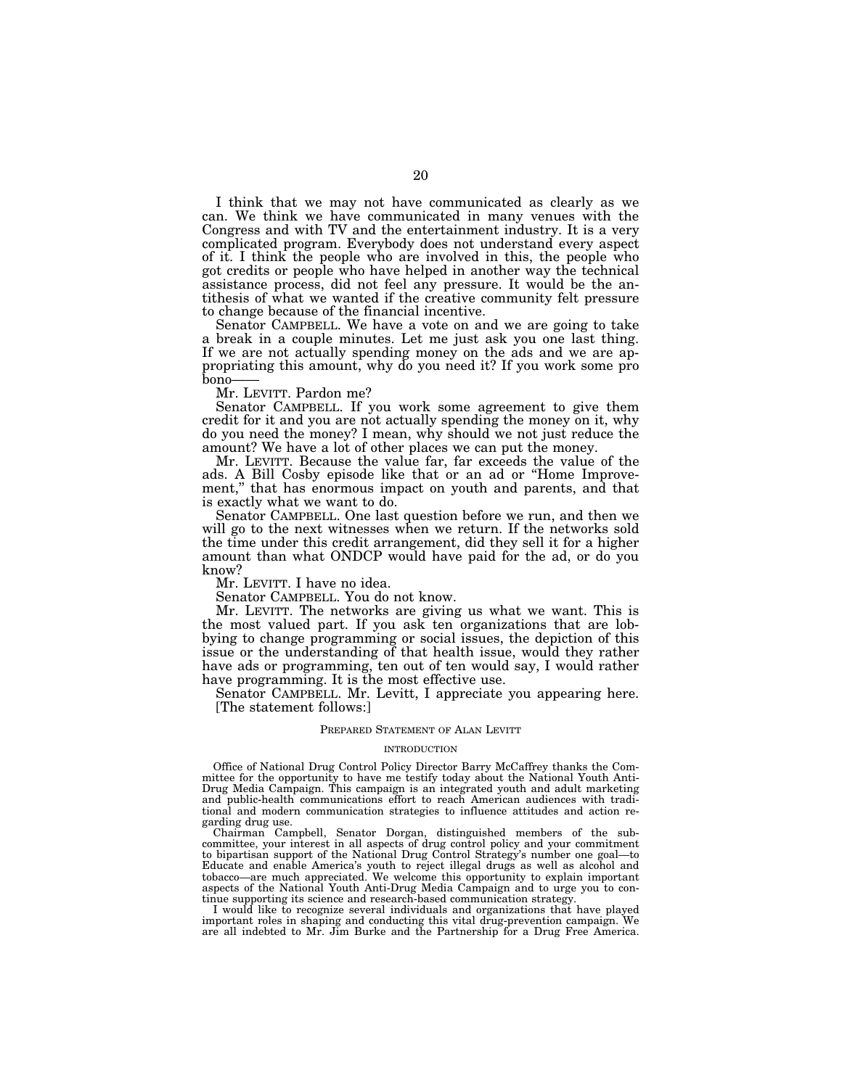I think that we may not have communicated as clearly as we can. We think we have communicated in many venues with the Congress and with TV and the entertainment industry. It is a very complicated program. Everybody does not understand every aspect of it. I think the people who are involved in this, the people who got credits or people who have helped in another way the technical assistance process, did not feel any pressure. It would be the antithesis of what we wanted if the creative community felt pressure to change because of the financial incentive.

Senator CAMPBELL. We have a vote on and we are going to take a break in a couple minutes. Let me just ask you one last thing. If we are not actually spending money on the ads and we are appropriating this amount, why do you need it? If you work some pro bono—— Mr. LEVITT. Pardon me?

Senator CAMPBELL. If you work some agreement to give them credit for it and you are not actually spending the money on it, why do you need the money? I mean, why should we not just reduce the amount? We have a lot of other places we can put the money.

Mr. LEVITT. Because the value far, far exceeds the value of the ads. A Bill Cosby episode like that or an ad or ''Home Improvement,'' that has enormous impact on youth and parents, and that is exactly what we want to do.

Senator CAMPBELL. One last question before we run, and then we will go to the next witnesses when we return. If the networks sold the time under this credit arrangement, did they sell it for a higher amount than what ONDCP would have paid for the ad, or do you know?

Mr. LEVITT. I have no idea.

Senator CAMPBELL. You do not know.

Mr. LEVITT. The networks are giving us what we want. This is the most valued part. If you ask ten organizations that are lobbying to change programming or social issues, the depiction of this issue or the understanding of that health issue, would they rather have ads or programming, ten out of ten would say, I would rather have programming. It is the most effective use.

Senator CAMPBELL. Mr. Levitt, I appreciate you appearing here. [The statement follows:]

### PREPARED STATEMENT OF ALAN LEVITT

#### INTRODUCTION

Office of National Drug Control Policy Director Barry McCaffrey thanks the Committee for the opportunity to have me testify today about the National Youth Anti-Drug Media Campaign. This campaign is an integrated youth and adult marketing and public-health communications effort to reach American audiences with traditional and modern communication strategies to influence attitudes and action regarding drug use.

Chairman Campbell, Senator Dorgan, distinguished members of the subcommittee, your interest in all aspects of drug control policy and your commitment to bipartisan support of the National Drug Control Strategy's number one goal—to Educate and enable America's youth to reject illegal drugs as well as alcohol and tobacco—are much appreciated. We welcome this opportunity to explain important aspects of the National Youth Anti-Drug Media Campaign and to urge you to continue supporting its science and research-based communication strategy.

I would like to recognize several individuals and organizations that have played important roles in shaping and conducting this vital drug-prevention campaign. are all indebted to Mr. Jim Burke and the Partnership for a Drug Free America.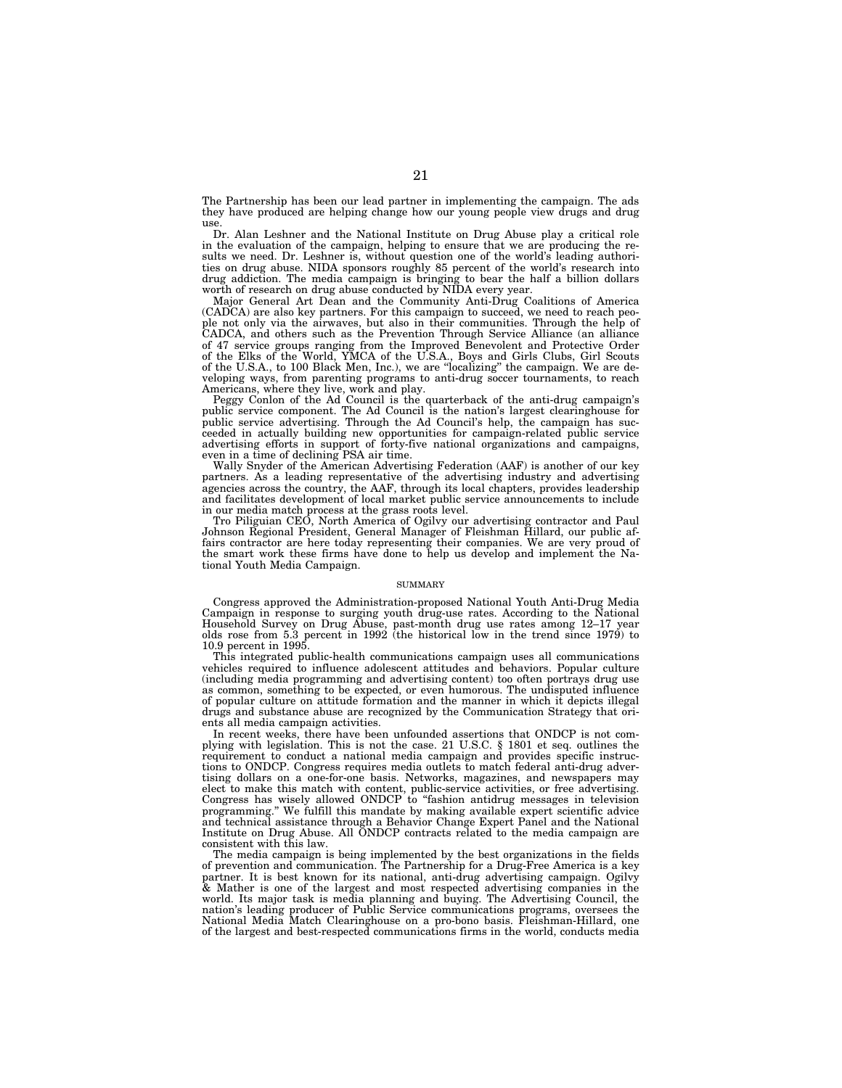The Partnership has been our lead partner in implementing the campaign. The ads they have produced are helping change how our young people view drugs and drug use.

Dr. Alan Leshner and the National Institute on Drug Abuse play a critical role in the evaluation of the campaign, helping to ensure that we are producing the results we need. Dr. Leshner is, without question one of the world's leading authorities on drug abuse. NIDA sponsors roughly 85 percent of the world's research into drug addiction. The media campaign is bringing to bear the half a billion dollars worth of research on drug abuse conducted by NIDA every year.

Major General Art Dean and the Community Anti-Drug Coalitions of America (CADCA) are also key partners. For this campaign to succeed, we need to reach people not only via the airwaves, but also in their communities. Through the help of CADCA, and others such as the Prevention Through Service Alliance (an alliance of 47 service groups ranging from the Improved Benevolent and Protective Order of the Elks of the World, YMCA of the U.S.A., Boys and Girls Clubs, Girl Scouts of the U.S.A., to 100 Black Men, Inc.), we are ''localizing'' the campaign. We are developing ways, from parenting programs to anti-drug soccer tournaments, to reach Americans, where they live, work and play.

Peggy Conlon of the Ad Council is the quarterback of the anti-drug campaign's public service component. The Ad Council is the nation's largest clearinghouse for public service advertising. Through the Ad Council's help, the campaign has succeeded in actually building new opportunities for campaign-related public service advertising efforts in support of forty-five national organizations and campaigns, even in a time of declining PSA air time.

Wally Snyder of the American Advertising Federation (AAF) is another of our key partners. As a leading representative of the advertising industry and advertising agencies across the country, the AAF, through its local chapters, provides leadership and facilitates development of local market public service announcements to include in our media match process at the grass roots level.

Tro Piliguian CEO, North America of Ogilvy our advertising contractor and Paul Johnson Regional President, General Manager of Fleishman Hillard, our public affairs contractor are here today representing their companies. We are very proud of the smart work these firms have done to help us develop and implement the National Youth Media Campaign.

#### SUMMARY

Congress approved the Administration-proposed National Youth Anti-Drug Media Campaign in response to surging youth drug-use rates. According to the National Household Survey on Drug Abuse, past-month drug use rates among 12–17 year olds rose from 5.3 percent in 1992 (the historical low in the trend since 1979) to 10.9 percent in 1995.

This integrated public-health communications campaign uses all communications vehicles required to influence adolescent attitudes and behaviors. Popular culture (including media programming and advertising content) too often portrays drug use as common, something to be expected, or even humorous. The undisputed influence of popular culture on attitude formation and the manner in which it depicts illegal drugs and substance abuse are recognized by the Communication Strategy that orients all media campaign activities.

In recent weeks, there have been unfounded assertions that ONDCP is not complying with legislation. This is not the case. 21 U.S.C. § 1801 et seq. outlines the requirement to conduct a national media campaign and provides specific instructions to ONDCP. Congress requires media outlets to match federal anti-drug advertising dollars on a one-for-one basis. Networks, magazines, and newspapers may elect to make this match with content, public-service activities, or free advertising. Congress has wisely allowed ONDCP to ''fashion antidrug messages in television programming.'' We fulfill this mandate by making available expert scientific advice and technical assistance through a Behavior Change Expert Panel and the National Institute on Drug Abuse. All ONDCP contracts related to the media campaign are consistent with this law.

The media campaign is being implemented by the best organizations in the fields of prevention and communication. The Partnership for a Drug-Free America is a key partner. It is best known for its national, anti-drug advertising campaign. Ogilvy & Mather is one of the largest and most respected advertising companies in the world. Its major task is media planning and buying. The Advertising Council, the nation's leading producer of Public Service communications programs, oversees the National Media Match Clearinghouse on a pro-bono basis. Fleishman-Hillard, one of the largest and best-respected communications firms in the world, conducts media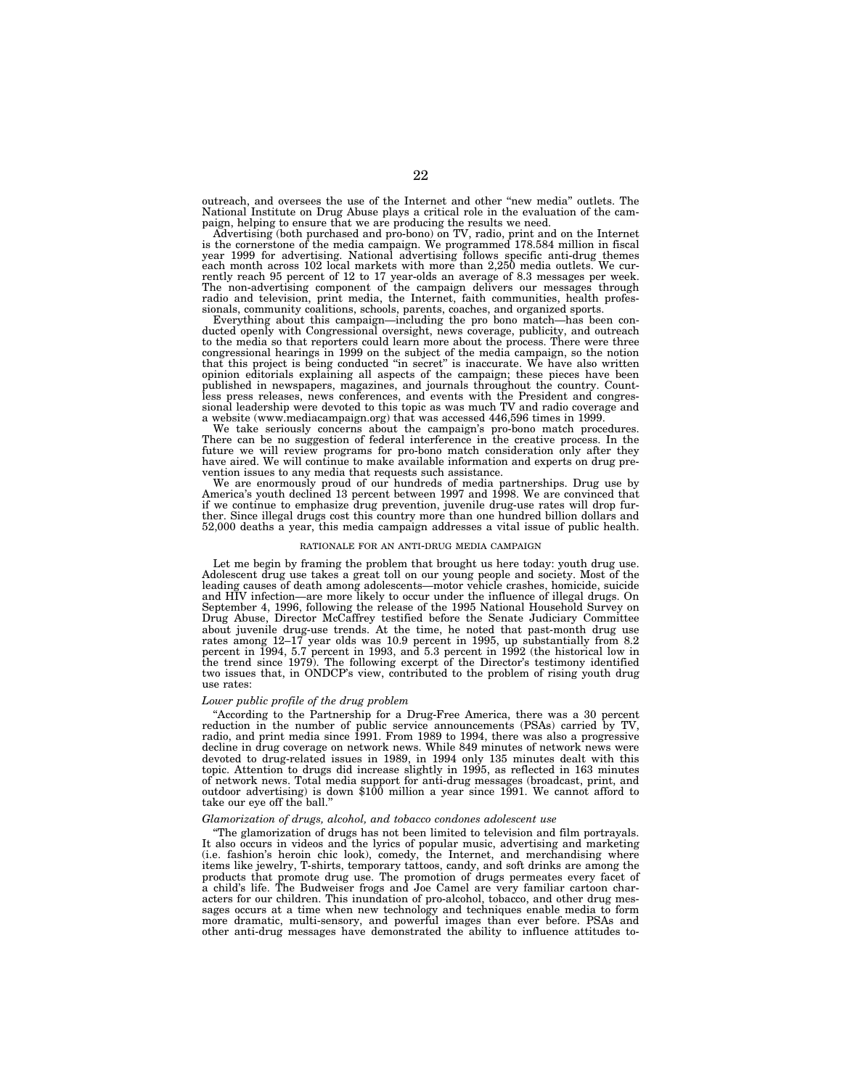outreach, and oversees the use of the Internet and other ''new media'' outlets. The National Institute on Drug Abuse plays a critical role in the evaluation of the campaign, helping to ensure that we are producing the results we need.

Advertising (both purchased and pro-bono) on TV, radio, print and on the Internet<br>is the cornerstone of the media campaign. We programmed 178.584 million in fiscal<br>year 1999 for advertising. National advertising follows sp rently reach 95 percent of 12 to 17 year-olds an average of 8.3 messages per week. The non-advertising component of the campaign delivers our messages through radio and television, print media, the Internet, faith communities, health professionals, community coalitions, schools, parents, coaches, and organized sports.

Everything about this campaign—including the pro bono match—has been con-ducted openly with Congressional oversight, news coverage, publicity, and outreach to the media so that reporters could learn more about the process. There were three congressional hearings in 1999 on the subject of the media campaign, so the notion that this project is being conducted ''in secret'' is inaccurate. We have also written opinion editorials explaining all aspects of the campaign; these pieces have been published in newspapers, magazines, and journals throughout the country. Count-less press releases, news conferences, and events with the President and congressional leadership were devoted to this topic as was much TV and radio coverage and a website (www.mediacampaign.org) that was accessed 446,596 times in 1999.

We take seriously concerns about the campaign's pro-bono match procedures. There can be no suggestion of federal interference in the creative process. In the future we will review programs for pro-bono match consideration only after they have aired. We will continue to make available information and experts on drug prevention issues to any media that requests such assistance.

We are enormously proud of our hundreds of media partnerships. Drug use by America's youth declined 13 percent between 1997 and 1998. We are convinced that if we continue to emphasize drug prevention, juvenile drug-use rates will drop further. Since illegal drugs cost this country more than one hundred billion dollars and 52,000 deaths a year, this media campaign addresses a vital issue of public health.

#### RATIONALE FOR AN ANTI-DRUG MEDIA CAMPAIGN

Let me begin by framing the problem that brought us here today: youth drug use. Adolescent drug use takes a great toll on our young people and society. Most of the leading causes of death among adolescents—motor vehicle crashes, homicide, suicide and HIV infection—are more likely to occur under the influence of illegal drugs. On September 4, 1996, following the release of the 1995 National Household Survey on Drug Abuse, Director McCaffrey testified before the Senate Judiciary Committee about juvenile drug-use trends. At the time, he noted that past-month drug use rates among 12–17 year olds was 10.9 percent in 1995, up substantially from 8.2 percent in 1994, 5.7 percent in 1993, and 5.3 percent in 1992 (the historical low in the trend since 1979). The following excerpt of the Director's testimony identified two issues that, in ONDCP's view, contributed to the problem of rising youth drug use rates:

# *Lower public profile of the drug problem*

''According to the Partnership for a Drug-Free America, there was a 30 percent reduction in the number of public service announcements (PSAs) carried by TV, radio, and print media since 1991. From 1989 to 1994, there was also a progressive decline in drug coverage on network news. While 849 minutes of network news were devoted to drug-related issues in 1989, in 1994 only 135 minutes dealt with this topic. Attention to drugs did increase slightly in 1995, as reflected in 163 minutes of network news. Total media support for anti-drug messages (broadcast, print, and outdoor advertising) is down \$100 million a year since 1991. We cannot afford to take our eye off the ball.''

#### *Glamorization of drugs, alcohol, and tobacco condones adolescent use*

''The glamorization of drugs has not been limited to television and film portrayals. It also occurs in videos and the lyrics of popular music, advertising and marketing (i.e. fashion's heroin chic look), comedy, the Internet, and merchandising where items like jewelry, T-shirts, temporary tattoos, candy, and soft drinks are among the products that promote drug use. The promotion of drugs permeates every facet of a child's life. The Budweiser frogs and Joe Camel are very familiar cartoon characters for our children. This inundation of pro-alcohol, tobacco, and other drug messages occurs at a time when new technology and techniques enable media to form more dramatic, multi-sensory, and powerful images than ever before. PSAs and other anti-drug messages have demonstrated the ability to influence attitudes to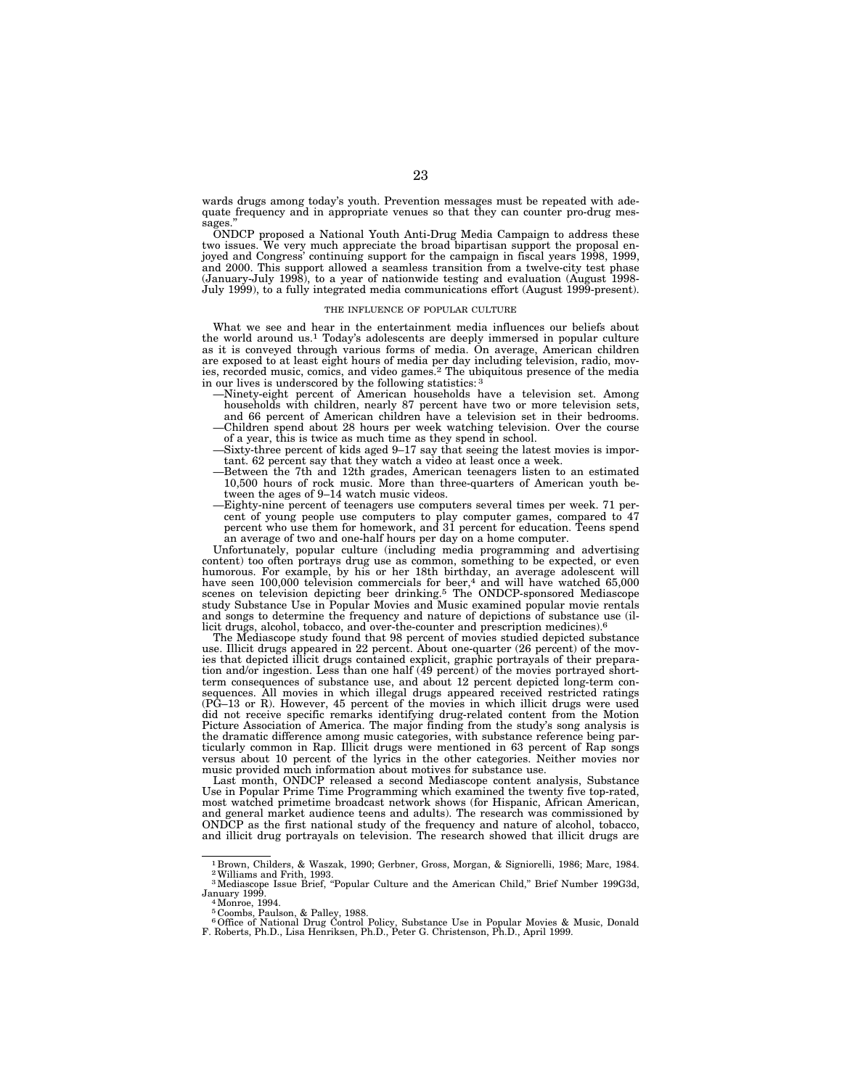wards drugs among today's youth. Prevention messages must be repeated with adequate frequency and in appropriate venues so that they can counter pro-drug messages.

ONDCP proposed a National Youth Anti-Drug Media Campaign to address these two issues. We very much appreciate the broad bipartisan support the proposal enjoyed and Congress' continuing support for the campaign in fiscal years 1998, 1999, and 2000. This support allowed a seamless transition from a twelve-city test phase (January-July 1998), to a year of nationwide testing and evaluation (August 1998- July 1999), to a fully integrated media communications effort (August 1999-present).

#### THE INFLUENCE OF POPULAR CULTURE

What we see and hear in the entertainment media influences our beliefs about the world around us.<sup>1</sup> Today's adolescents are deeply immersed in popular culture as it is conveyed through various forms of media. On average, American children are exposed to at least eight hours of media per day including television, radio, movies, recorded music, comics, and video games.2 The ubiquitous presence of the media in our lives is underscored by the following statistics:

- —Ninety-eight percent of American households have a television set. Among households with children, nearly 87 percent have two or more television sets, and 66 percent of American children have a television set in their bedrooms. —Children spend about 28 hours per week watching television. Over the course of a year, this is twice as much time as they spend in school.
- —Sixty-three percent of kids aged 9–17 say that seeing the latest movies is important. 62 percent say that they watch a video at least once a week.
- —Between the 7th and 12th grades, American teenagers listen to an estimated 10,500 hours of rock music. More than three-quarters of American youth between the ages of 9–14 watch music videos.
- —Eighty-nine percent of teenagers use computers several times per week. 71 percent of young people use computers to play computer games, compared to 47 percent who use them for homework, and 31 percent for education. Teens spend an average of two and one-half hours per day on a home computer.

Unfortunately, popular culture (including media programming and advertising content) too often portrays drug use as common, something to be expected, or even humorous. For example, by his or her 18th birthday, an average adolescent will have seen 100,000 television commercials for beer,<sup>4</sup> and will have watched 65,000 scenes on television depicting beer drinking.5 The ONDCP-sponsored Mediascope study Substance Use in Popular Movies and Music examined popular movie rentals and songs to determine the frequency and nature of depictions of substance use (illicit drugs, alcohol, tobacco, and over-the-counter and prescription medicines).6

The Mediascope study found that 98 percent of movies studied depicted substance use. Illicit drugs appeared in 22 percent. About one-quarter (26 percent) of the movies that depicted illicit drugs contained explicit, graphic portrayals of their preparation and/or ingestion. Less than one half (49 percent) of the movies portrayed shortterm consequences of substance use, and about 12 percent depicted long-term consequences. All movies in which illegal drugs appeared received restricted ratings (PG–13 or R). However, 45 percent of the movies in which illicit drugs were used did not receive specific remarks identifying drug-related content from the Motion Picture Association of America. The major finding from the study's song analysis is the dramatic difference among music categories, with substance reference being particularly common in Rap. Illicit drugs were mentioned in 63 percent of Rap songs versus about 10 percent of the lyrics in the other categories. Neither movies nor music provided much information about motives for substance use.

Last month, ONDCP released a second Mediascope content analysis, Substance Use in Popular Prime Time Programming which examined the twenty five top-rated, most watched primetime broadcast network shows (for Hispanic, African American, and general market audience teens and adults). The research was commissioned by ONDCP as the first national study of the frequency and nature of alcohol, tobacco, and illicit drug portrayals on television. The research showed that illicit drugs are

<sup>1</sup> Brown, Childers, & Waszak, 1990; Gerbner, Gross, Morgan, & Signiorelli, 1986; Marc, 1984. 2Williams and Frith, 1993. 3Mediascope Issue Brief, ''Popular Culture and the American Child,'' Brief Number 199G3d,

January 1999. 4Monroe, 1994.

<sup>5</sup> Coombs, Paulson, & Palley, 1988.

<sup>6</sup>Office of National Drug Control Policy, Substance Use in Popular Movies & Music, Donald F. Roberts, Ph.D., Lisa Henriksen, Ph.D., Peter G. Christenson, Ph.D., April 1999.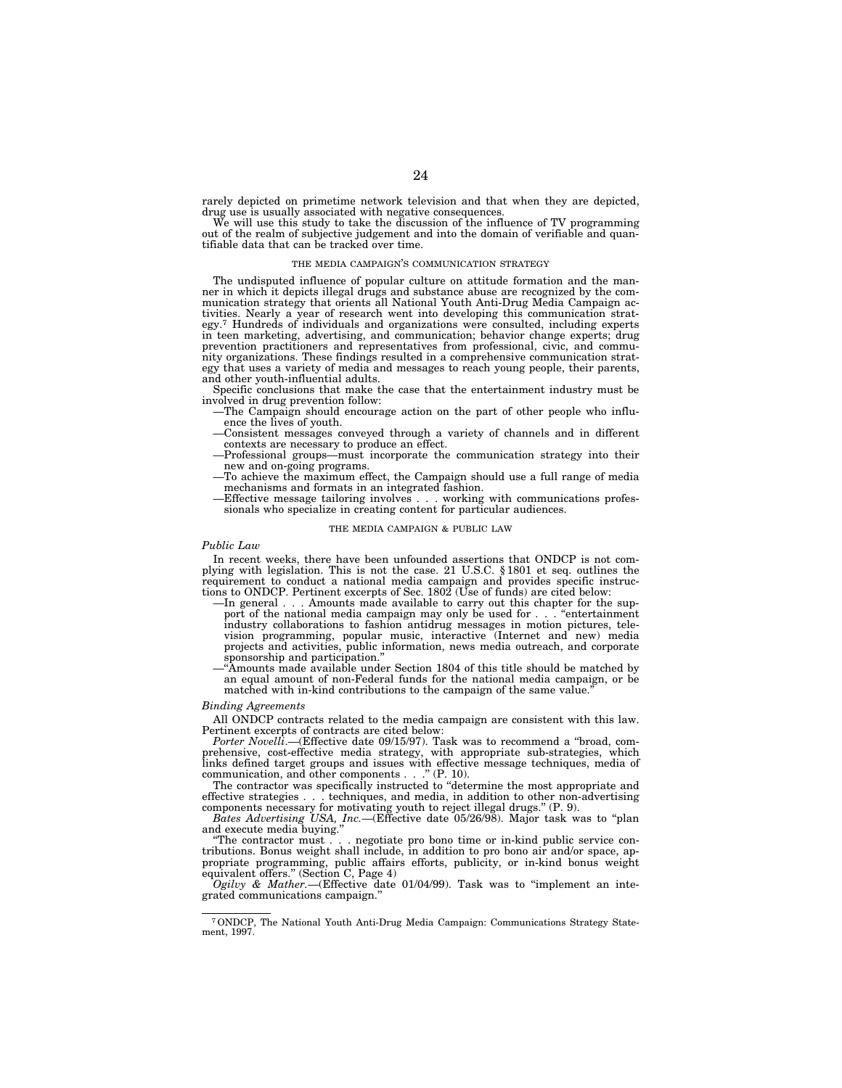rarely depicted on primetime network television and that when they are depicted, drug use is usually associated with negative consequences.

We will use this study to take the discussion of the influence of TV programming out of the realm of subjective judgement and into the domain of verifiable and quantifiable data that can be tracked over time.

#### THE MEDIA CAMPAIGN'S COMMUNICATION STRATEGY

The undisputed influence of popular culture on attitude formation and the manner in which it depicts illegal drugs and substance abuse are recognized by the communication strategy that orients all National Youth Anti-Drug Media Campaign activities. Nearly a year of research went into developing this communication strategy.7 Hundreds of individuals and organizations were consulted, including experts in teen marketing, advertising, and communication; behavior change experts; drug prevention practitioners and representatives from professional, civic, and community organizations. These findings resulted in a comprehensive communication strategy that uses a variety of media and messages to reach young people, their parents, and other youth-influential adults.

Specific conclusions that make the case that the entertainment industry must be

- -The Campaign should encourage action on the part of other people who influ-<br>ence the lives of youth.
- Consistent messages conveyed through a variety of channels and in different contexts are necessary to produce an effect.
- Professional groups—must incorporate the communication strategy into their new and on-going programs.
- new and on-going programs. To achieve the maximum effect, the Campaign should use a full range of media<br>mechanisms and formats in an integrated fashion.
- $E$ ffective message tailoring involves . . . working with communications professionals who specialize in creating content for particular audiences.

#### THE MEDIA CAMPAIGN & PUBLIC LAW

#### *Public Law*

In recent weeks, there have been unfounded assertions that ONDCP is not com-plying with legislation. This is not the case. 21 U.S.C. § 1801 et seq. outlines the requirement to conduct a national media campaign and provides specific instruc-<br>tions to ONDCP. Pertinent excerpts of Sec. 1802 (Use of funds) are cited below:

- tions to ONDCP. Pertinent excerpts of Sec.  $1802$  (Use of funds) are cited below:<br>—In general  $\ldots$  Amounts made available to carry out this chapter for the support of the national media campaign may only be used for  $\ldots$ industry collaborations to fashion antidrug messages in motion pictures, tele-vision programming, popular music, interactive (Internet and new) media projects and activities, public information, news media outreach, and corporate sponsorship and participation.'' —''Amounts made available under Section 1804 of this title should be matched by
	- an equal amount of non-Federal funds for the national media campaign, or be matched with in-kind contributions to the campaign of the same value.

#### *Binding Agreements*

All ONDCP contracts related to the media campaign are consistent with this law. Pertinent excerpts of contracts are cited below:

Porter Novelli.—(Effective date 09/15/97). Task was to recommend a "broad, comprehensive, cost-effective media strategy, with appropriate sub-strategies, which links defined target groups and issues with effective message techniques, media of communication, and other components . . .'' (P. 10).

The contractor was specifically instructed to ''determine the most appropriate and effective strategies . . . techniques, and media, in addition to other non-advertising components necessary for motivating youth to reject illegal drugs.'' (P. 9).

*Bates Advertising USA, Inc.*—(Effective date 05/26/98). Major task was to ''plan and execute media buying."<br>"The contractor must...

. negotiate pro bono time or in-kind public service contributions. Bonus weight shall include, in addition to pro bono air and/or space, appropriate programming, public affairs efforts, publicity, or in-kind bonus weight equivalent offers.'' (Section C, Page 4)

*Ogilvy & Mather.*—(Effective date 01/04/99). Task was to ''implement an integrated communications campaign.''

<sup>7</sup>ONDCP, The National Youth Anti-Drug Media Campaign: Communications Strategy Statement, 1997.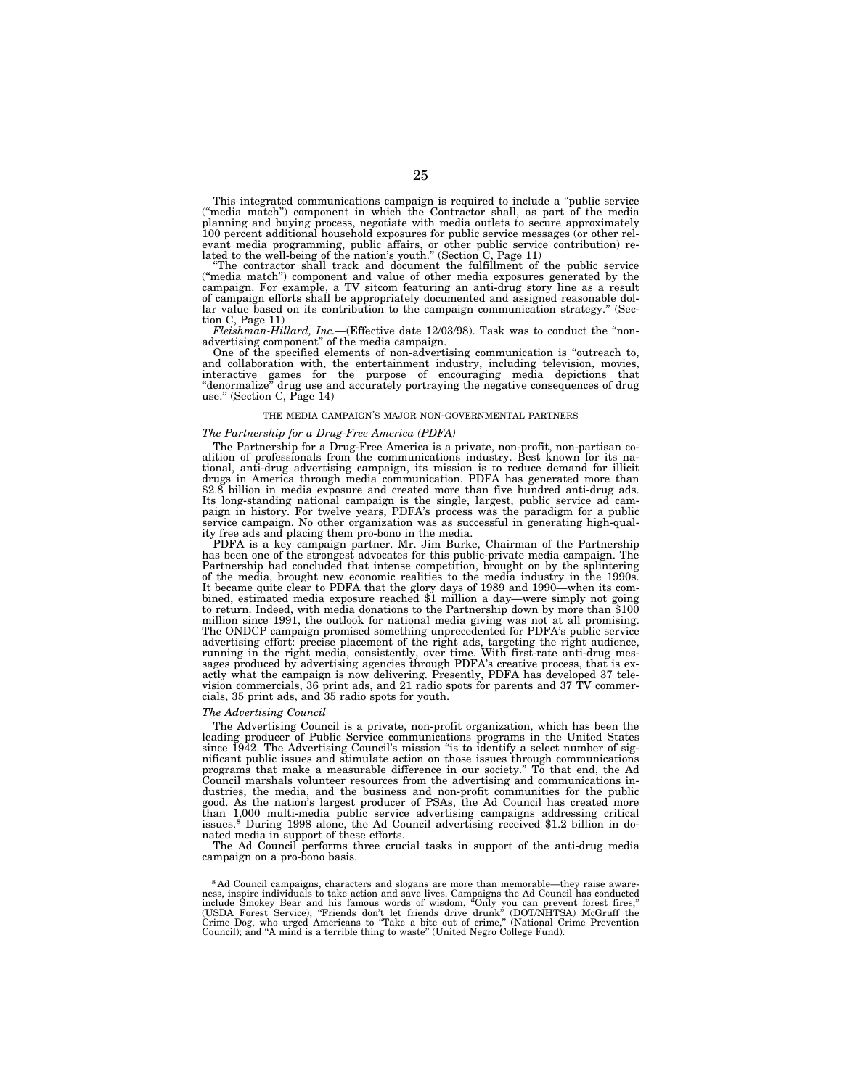This integrated communications campaign is required to include a ''public service (''media match'') component in which the Contractor shall, as part of the media planning and buying process, negotiate with media outlets to secure approximately 100 percent additional household exposures for public service messages (or other relevant media programming, public affairs, or other public service contribution) re-<br>lated to the well-being of the nation's youth." (Section C, Page 11)<br>"The contractor shall track and document the fulfillment of the public

(''media match'') component and value of other media exposures generated by the campaign. For example, a TV sitcom featuring an anti-drug story line as a result of campaign efforts shall be appropriately documented and assigned reasonable dollar value based on its contribution to the campaign communication strategy.'' (Sec-

tion C, Page 11)<br> $Fleishman-Hillard, \ Inc.$  —(Effective date 12/03/98). Task was to conduct the "non-*Fleishman-Hillard, Inc.*—(Effective date 12/03/98). Task was to conduct the "non-<br>advertising component" of the media campaign.<br>One of the specified elements of non-advertising communication is "outreach to,

and collaboration with, the entertainment industry, including television, movies, interactive games for the purpose of encouraging media depictions that "denormalize" drug use and accurately portraying the negative consequences of drug use." (Section C, Page  $14$ )

#### THE MEDIA CAMPAIGN'S MAJOR NON-GOVERNMENTAL PARTNERS

#### *The Partnership for a Drug-Free America (PDFA)*

The Partnership for a Drug-Free America is a private, non-profit, non-partisan coalition of professionals from the communications industry. Best known for its na-tional, anti-drug advertising campaign, its mission is to reduce demand for illicit drugs in America through media communication. PDFA has generated more than \$2.8 billion in media exposure and created more than five hundred anti-drug ads. Its long-standing national campaign is the single, largest, public service ad cam-paign in history. For twelve years, PDFA's process was the paradigm for a public service campaign. No other organization was as successful in generating high-quality free ads and placing them pro-bono in the media.

PDFA is a key campaign partner. Mr. Jim Burke, Chairman of the Partnership has been one of the strongest advocates for this public-private media campaign. The Partnership had concluded that intense competition, brought on by the splintering of the media, brought new economic realities to the media industry in the 1990s. It became quite clear to PDFA that the glory days of 1989 and 1990—when its com-<br>bined, estimated media exposure reached \$1 million a day—were simply not going<br>to return. Indeed, with media donations to the Partnership dow million since 1991, the outlook for national media giving was not at all promising. The ONDCP campaign promised something unprecedented for PDFA's public service advertising effort: precise placement of the right ads, targeting the right audience,<br>running in the right media, consistently, over time. With first-rate anti-drug mes-<br>sages produced by advertising agencies through PDFA' actly what the campaign is now delivering. Presently, PDFA has developed 37 television commercials, 36 print ads, and 21 radio spots for parents and 37 TV commer-cials, 35 print ads, and 35 radio spots for youth.

#### *The Advertising Council*

The Advertising Council is a private, non-profit organization, which has been the leading producer of Public Service communications programs in the United States since 1942. The Advertising Council's mission "is to identify a select number of sig-<br>nificant public issues and stimulate action on those issues through communications programs that make a measurable difference in our society.'' To that end, the Ad Council marshals volunteer resources from the advertising and communications industries, the media, and the business and non-profit communities for the public good. As the nation's largest producer of PSAs, the Ad Council has created more than 1,000 multi-media public service advertising campaigns addressing critical issues.<sup>8</sup> During 1998 alone, the Ad Council advertising received \$1.2 billion in donated media in support of these efforts.

The Ad Council performs three crucial tasks in support of the anti-drug media campaign on a pro-bono basis.

<sup>8</sup> Ad Council campaigns, characters and slogans are more than memorable—they raise awareness, inspire individuals to take action and save lives. Campaigns the Ad Council has conducted<br>include Smokey Bear and his famous words of wisdom, "Only you can prevent forest fires,"<br>(USDA Forest Service); "Friends don't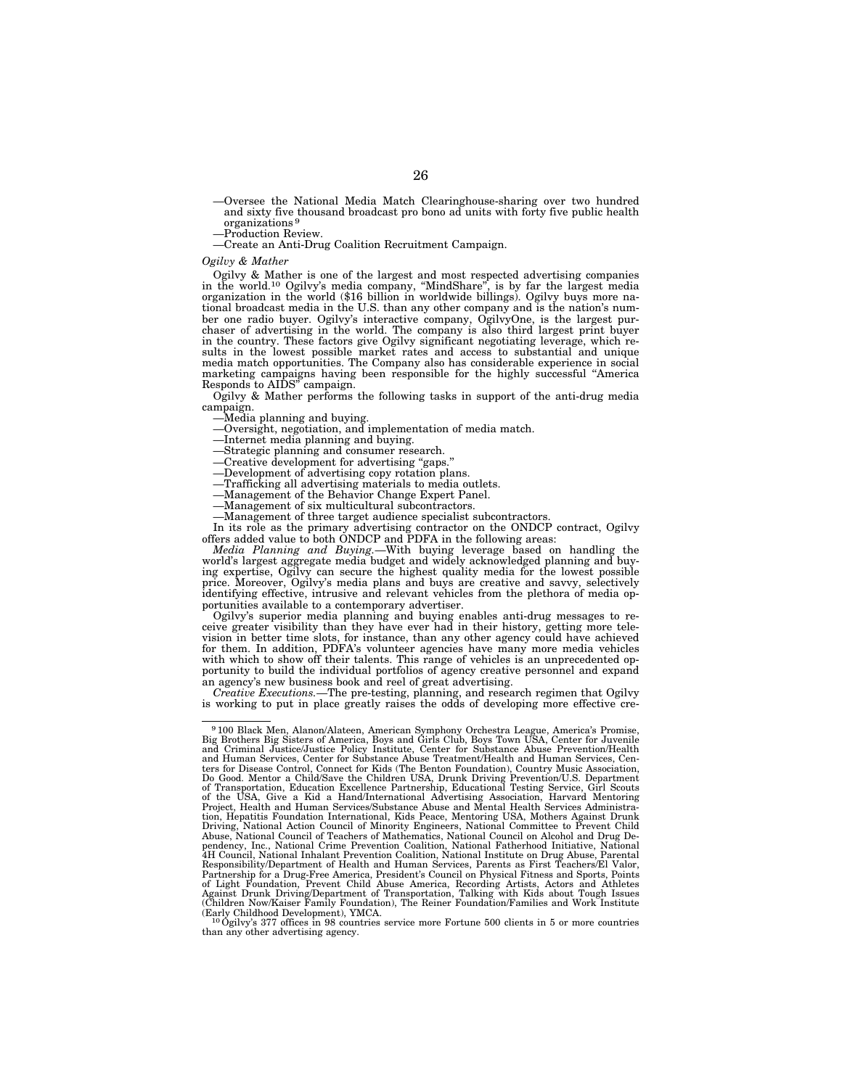- —Oversee the National Media Match Clearinghouse-sharing over two hundred and sixty five thousand broadcast pro bono ad units with forty five public health organizations 9
- —Production Review.
- —Create an Anti-Drug Coalition Recruitment Campaign.

#### *Ogilvy & Mather*

Ogilvy & Mather is one of the largest and most respected advertising companies in the world.10 Ogilvy's media company, ''MindShare'', is by far the largest media organization in the world (\$16 billion in worldwide billings). Ogilvy buys more national broadcast media in the U.S. than any other company and is the nation's number one radio buyer. Ogilvy's interactive company, OgilvyOne, is the largest purchaser of advertising in the world. The company is also third largest print buyer in the country. These factors give Ogilvy significant negotiating leverage, which results in the lowest possible market rates and access to substantial and unique media match opportunities. The Company also has considerable experience in social marketing campaigns having been responsible for the highly successful ''America Responds to AIDS'' campaign.

Ogilvy & Mather performs the following tasks in support of the anti-drug media campaign.

—Media planning and buying. —Oversight, negotiation, and implementation of media match.

—Internet media planning and buying.

- —Strategic planning and consumer research.
- —Creative development for advertising ''gaps.''
- —Development of advertising copy rotation plans.
- 
- —Trafficking all advertising materials to media outlets. —Management of the Behavior Change Expert Panel.
- —Management of six multicultural subcontractors.
- —Management of three target audience specialist subcontractors.

In its role as the primary advertising contractor on the ONDCP contract, Ogilvy offers added value to both ONDCP and PDFA in the following areas:

*Media Planning and Buying.*—With buying leverage based on handling the world's largest aggregate media budget and widely acknowledged planning and buying expertise, Ogilvy can secure the highest quality media for the lowest possible price. Moreover, Ogilvy's media plans and buys are creative and savvy, selectively identifying effective, intrusive and relevant vehicles from the plethora of media opportunities available to a contemporary advertiser.

Ogilvy's superior media planning and buying enables anti-drug messages to receive greater visibility than they have ever had in their history, getting more television in better time slots, for instance, than any other agency could have achieved for them. In addition, PDFA's volunteer agencies have many more media vehicles with which to show off their talents. This range of vehicles is an unprecedented opportunity to build the individual portfolios of agency creative personnel and expand an agency's new business book and reel of great advertising.

*Creative Executions.*—The pre-testing, planning, and research regimen that Ogilvy is working to put in place greatly raises the odds of developing more effective cre-

<sup>9</sup> 100 Black Men, Alanon/Alateen, American Symphony Orchestra League, America's Promise, Big Brothers Big Sisters of America, Boys and Girls Club, Boys Town USA, Center for Juvenile and Criminal Justice/Justice Policy Institute, Center for Substance Abuse Prevention/Health and Human Services, Center for Substance Abuse Treatment/Health and Human Services, Centers for Disease Control, Connect for Kids (The Benton Foundation), Country Music Association,<br>Do Good. Mentor a Child/Save the Children USA, Drunk Driving Prevention/U.S. Department<br>of Transportation, Education Excellence Project, Health and Human Services/Substance Abuse and Mental Health Services Administra-tion, Hepatitis Foundation International, Kids Peace, Mentoring USA, Mothers Against Drunk Driving, National Action Council of Minority Engineers, National Committee to Prevent Child Abuse, National Council of Teachers of Mathematics, National Council on Alcohol and Drug De-<br>pendency, Inc., National Crime Prevention Coalition, National Fatherhood Initiative, National<br>4H Council, National Inhalant Preve Responsibility/Department of Health and Human Services, Parents as First Teachers/El Valor,<br>Partnership for a Drug-Free America, President's Council on Physical Fitness and Sports, Points<br>of Light Foundation, Prevent Child Against Drunk Driving/Department of Transportation, Talking with Kids about Tough Issues (Children Now/Kaiser Family Foundation), The Reiner Foundation/Families and Work Institute

<sup>(</sup>Early Childhood Development), YMCA.<br><sup>10</sup>Ogilvy's 377 offices in 98 countries service more Fortune 500 clients in 5 or more countries<br>than any other advertising agency.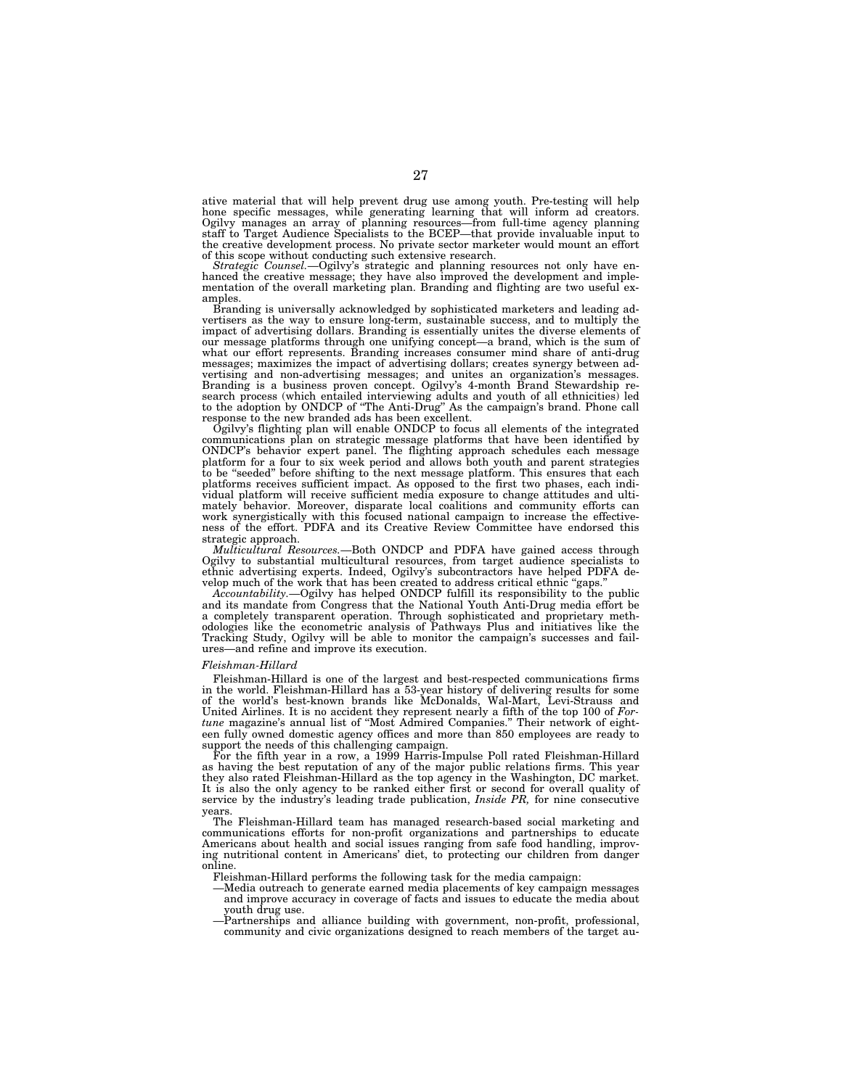ative material that will help prevent drug use among youth. Pre-testing will help<br>hone specific messages, while generating learning that will inform ad creators.<br>Ogilvy manages an array of planning resources—from full-time the creative development process. No private sector marketer would mount an effort of this scope without conducting such extensive research.

*Strategic Counsel.*—Ogilvy's strategic and planning resources not only have enhanced the creative message; they have also improved the development and implementation of the overall marketing plan. Branding and flighting are two useful examples.

Branding is universally acknowledged by sophisticated marketers and leading advertisers as the way to ensure long-term, sustainable success, and to multiply the impact of advertising dollars. Branding is essentially unites the diverse elements of our message platforms through one unifying concept—a brand, which is the sum of what our effort represents. Branding increases consumer mind share of anti-drug messages; maximizes the impact of advertising dollars; creates synergy between advertising and non-advertising messages; and unites an organization's messages.<br>Branding is a business proven concept. Ogilvy's 4-month Brand to the adoption by ONDCP of ''The Anti-Drug'' As the campaign's brand. Phone call response to the new branded ads has been excellent.

Ogilvy's flighting plan will enable ONDCP to focus all elements of the integrated communications plan on strategic message platforms that have been identified by ONDCP's behavior expert panel. The flighting approach schedules each message platform for a four to six week period and allows both youth and parent strategies to be ''seeded'' before shifting to the next message platform. This ensures that each platforms receives sufficient impact. As opposed to the first two phases, each individual platform will receive sufficient media exposure to change attitudes and ultimately behavior. Moreover, disparate local coalitions and community efforts can work synergistically with this focused national campaign to increase the effectiveness of the effort. PDFA and its Creative Review Committee have endorsed this strategic approach.

*Multicultural Resources.*—Both ONDCP and PDFA have gained access through Ogilvy to substantial multicultural resources, from target audience specialists to ethnic advertising experts. Indeed, Ogilvy's subcontractors have helped PDFA develop much of the work that has been created to address critical ethnic "gaps.

*Accountability.*—Ogilvy has helped ONDCP fulfill its responsibility to the public and its mandate from Congress that the National Youth Anti-Drug media effort be a completely transparent operation. Through sophisticated and proprietary methodologies like the econometric analysis of Pathways Plus and initiatives like the Tracking Study, Ogilvy will be able to monitor the campaign's successes and failures—and refine and improve its execution.

#### *Fleishman-Hillard*

Fleishman-Hillard is one of the largest and best-respected communications firms in the world. Fleishman-Hillard has a 53-year history of delivering results for some of the world's best-known brands like McDonalds, Wal-Mart, Levi-Strauss and United Airlines. It is no accident they represent nearly a fifth of the top 100 of *Fortune* magazine's annual list of ''Most Admired Companies.'' Their network of eighteen fully owned domestic agency offices and more than 850 employees are ready to support the needs of this challenging campaign.

For the fifth year in a row, a 1999 Harris-Impulse Poll rated Fleishman-Hillard as having the best reputation of any of the major public relations firms. This year they also rated Fleishman-Hillard as the top agency in the Washington, DC market. It is also the only agency to be ranked either first or second for overall quality of service by the industry's leading trade publication, *Inside PR,* for nine consecutive years.

The Fleishman-Hillard team has managed research-based social marketing and communications efforts for non-profit organizations and partnerships to educate Americans about health and social issues ranging from safe food handling, improving nutritional content in Americans' diet, to protecting our children from danger online.

Fleishman-Hillard performs the following task for the media campaign:

- —Media outreach to generate earned media placements of key campaign messages and improve accuracy in coverage of facts and issues to educate the media about youth drug use.
- —Partnerships and alliance building with government, non-profit, professional, community and civic organizations designed to reach members of the target au-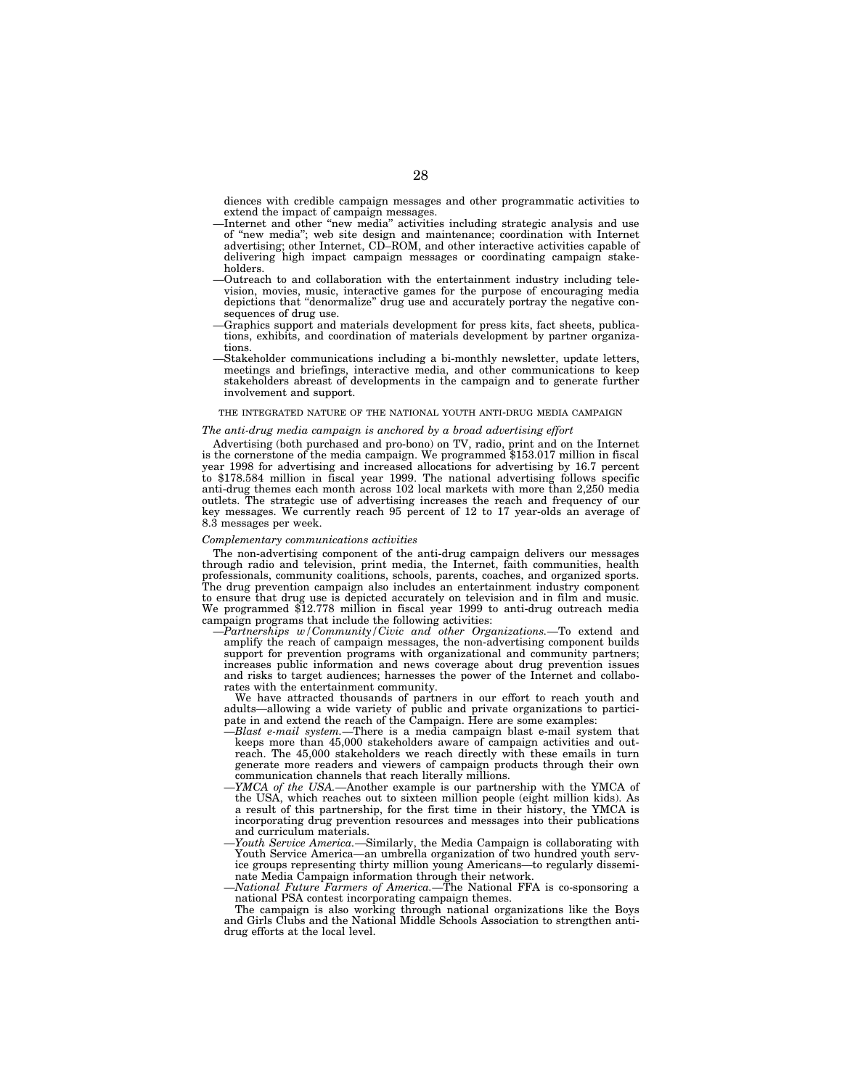diences with credible campaign messages and other programmatic activities to extend the impact of campaign messages.

- —Internet and other ''new media'' activities including strategic analysis and use of ''new media''; web site design and maintenance; coordination with Internet advertising; other Internet, CD–ROM, and other interactive activities capable of delivering high impact campaign messages or coordinating campaign stakeholders.
- —Outreach to and collaboration with the entertainment industry including television, movies, music, interactive games for the purpose of encouraging media depictions that ''denormalize'' drug use and accurately portray the negative consequences of drug use.
- —Graphics support and materials development for press kits, fact sheets, publications, exhibits, and coordination of materials development by partner organizations.
- —Stakeholder communications including a bi-monthly newsletter, update letters, meetings and briefings, interactive media, and other communications to keep stakeholders abreast of developments in the campaign and to generate further involvement and support.

# THE INTEGRATED NATURE OF THE NATIONAL YOUTH ANTI-DRUG MEDIA CAMPAIGN

#### *The anti-drug media campaign is anchored by a broad advertising effort*

Advertising (both purchased and pro-bono) on TV, radio, print and on the Internet is the cornerstone of the media campaign. We programmed \$153.017 million in fiscal year 1998 for advertising and increased allocations for advertising by 16.7 percent to \$178.584 million in fiscal year 1999. The national advertising follows specific anti-drug themes each month across 102 local markets with more than 2,250 media outlets. The strategic use of advertising increases the reach and frequency of our key messages. We currently reach 95 percent of 12 to 17 year-olds an average of 8.3 messages per week.

#### *Complementary communications activities*

The non-advertising component of the anti-drug campaign delivers our messages through radio and television, print media, the Internet, faith communities, health professionals, community coalitions, schools, parents, coaches, and organized sports. The drug prevention campaign also includes an entertainment industry component to ensure that drug use is depicted accurately on television and in film and music. We programmed \$12.778 million in fiscal year 1999 to anti-drug outreach media campaign programs that include the following activities:

—*Partnerships w/Community/Civic and other Organizations.*—To extend and amplify the reach of campaign messages, the non-advertising component builds support for prevention programs with organizational and community partners; increases public information and news coverage about drug prevention issues and risks to target audiences; harnesses the power of the Internet and collaborates with the entertainment community.

We have attracted thousands of partners in our effort to reach youth and adults—allowing a wide variety of public and private organizations to participate in and extend the reach of the Campaign. Here are some examples:

- —*Blast e-mail system.*—There is a media campaign blast e-mail system that keeps more than 45,000 stakeholders aware of campaign activities and outreach. The 45,000 stakeholders we reach directly with these emails in turn generate more readers and viewers of campaign products through their own communication channels that reach literally millions.
- —*YMCA of the USA.*—Another example is our partnership with the YMCA of the USA, which reaches out to sixteen million people (eight million kids). As a result of this partnership, for the first time in their history, the YMCA is incorporating drug prevention resources and messages into their publications and curriculum materials.
- —*Youth Service America.*—Similarly, the Media Campaign is collaborating with Youth Service America—an umbrella organization of two hundred youth service groups representing thirty million young Americans—to regularly disseminate Media Campaign information through their network.
- —*National Future Farmers of America.*—The National FFA is co-sponsoring a national PSA contest incorporating campaign themes.

The campaign is also working through national organizations like the Boys and Girls Clubs and the National Middle Schools Association to strengthen antidrug efforts at the local level.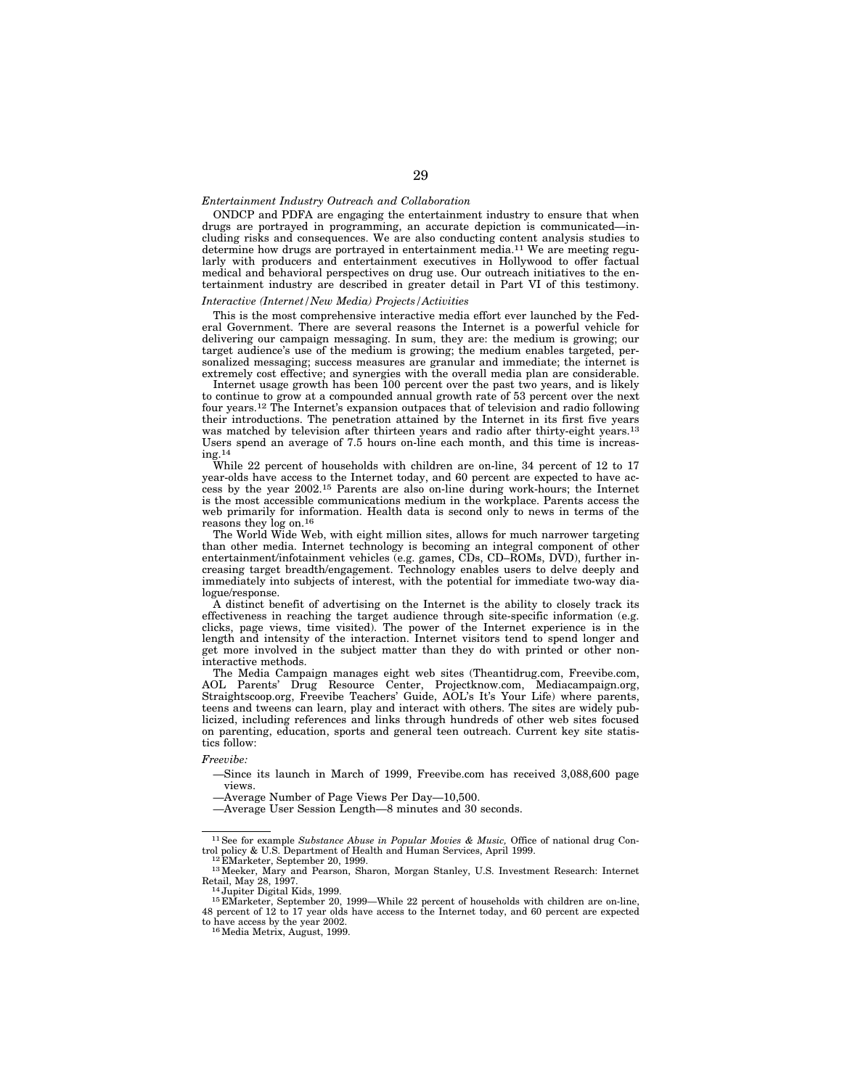# *Entertainment Industry Outreach and Collaboration*

ONDCP and PDFA are engaging the entertainment industry to ensure that when drugs are portrayed in programming, an accurate depiction is communicated—including risks and consequences. We are also conducting content analysis studies to determine how drugs are portrayed in entertainment media.<sup>11</sup> We are meeting regularly with producers and entertainment executives in Hollywood to offer factual medical and behavioral perspectives on drug use. Our outreach initiatives to the entertainment industry are described in greater detail in Part VI of this testimony.

# *Interactive (Internet/New Media) Projects/Activities*

This is the most comprehensive interactive media effort ever launched by the Federal Government. There are several reasons the Internet is a powerful vehicle for delivering our campaign messaging. In sum, they are: the medium is growing; our target audience's use of the medium is growing; the medium enables targeted, personalized messaging; success measures are granular and immediate; the internet is extremely cost effective; and synergies with the overall media plan are considerable.

Internet usage growth has been 100 percent over the past two years, and is likely to continue to grow at a compounded annual growth rate of 53 percent over the next four years.12 The Internet's expansion outpaces that of television and radio following their introductions. The penetration attained by the Internet in its first five years was matched by television after thirteen years and radio after thirty-eight years.<sup>13</sup> Users spend an average of 7.5 hours on-line each month, and this time is increas- $\rm ing.^{\overline{14}}$ 

While 22 percent of households with children are on-line, 34 percent of 12 to 17 year-olds have access to the Internet today, and 60 percent are expected to have access by the year 2002.15 Parents are also on-line during work-hours; the Internet is the most accessible communications medium in the workplace. Parents access the web primarily for information. Health data is second only to news in terms of the reasons they log on.16

The World Wide Web, with eight million sites, allows for much narrower targeting than other media. Internet technology is becoming an integral component of other entertainment/infotainment vehicles (e.g. games, CDs, CD–ROMs, DVD), further increasing target breadth/engagement. Technology enables users to delve deeply and immediately into subjects of interest, with the potential for immediate two-way dialogue/response.

A distinct benefit of advertising on the Internet is the ability to closely track its effectiveness in reaching the target audience through site-specific information (e.g. clicks, page views, time visited). The power of the Internet experience is in the length and intensity of the interaction. Internet visitors tend to spend longer and get more involved in the subject matter than they do with printed or other noninteractive methods.

The Media Campaign manages eight web sites (Theantidrug.com, Freevibe.com, AOL Parents' Drug Resource Center, Projectknow.com, Mediacampaign.org, Straightscoop.org, Freevibe Teachers' Guide, AOL's It's Your Life) where parents, teens and tweens can learn, play and interact with others. The sites are widely publicized, including references and links through hundreds of other web sites focused on parenting, education, sports and general teen outreach. Current key site statistics follow:

#### *Freevibe:*

—Since its launch in March of 1999, Freevibe.com has received 3,088,600 page views.

—Average Number of Page Views Per Day—10,500.

<sup>—</sup>Average User Session Length—8 minutes and 30 seconds.

<sup>11</sup>See for example *Substance Abuse in Popular Movies & Music,* Office of national drug Con-

trol policy & U.S. Department of Health and Human Services, April 1999.<br>
<sup>12</sup> EMarketer, September 20, 1999.<br>
<sup>13</sup> Meeker, Mary and Pearson, Sharon, Morgan Stanley, U.S. Investment Research: Internet<br>
Retail, May 28, 1997.

Retail, May 28, 1997.<br><sup>14</sup> Jupiter Digital Kids, 1999.<br><sup>15</sup> EMarketer, September 20, 1999—While 22 percent of households with children are on-line,<br><sup>15</sup> percent of 12 to 17 year olds have access to the Internet today, and to have access by the year 2002.<br><sup>16</sup> Media Metrix, August, 1999.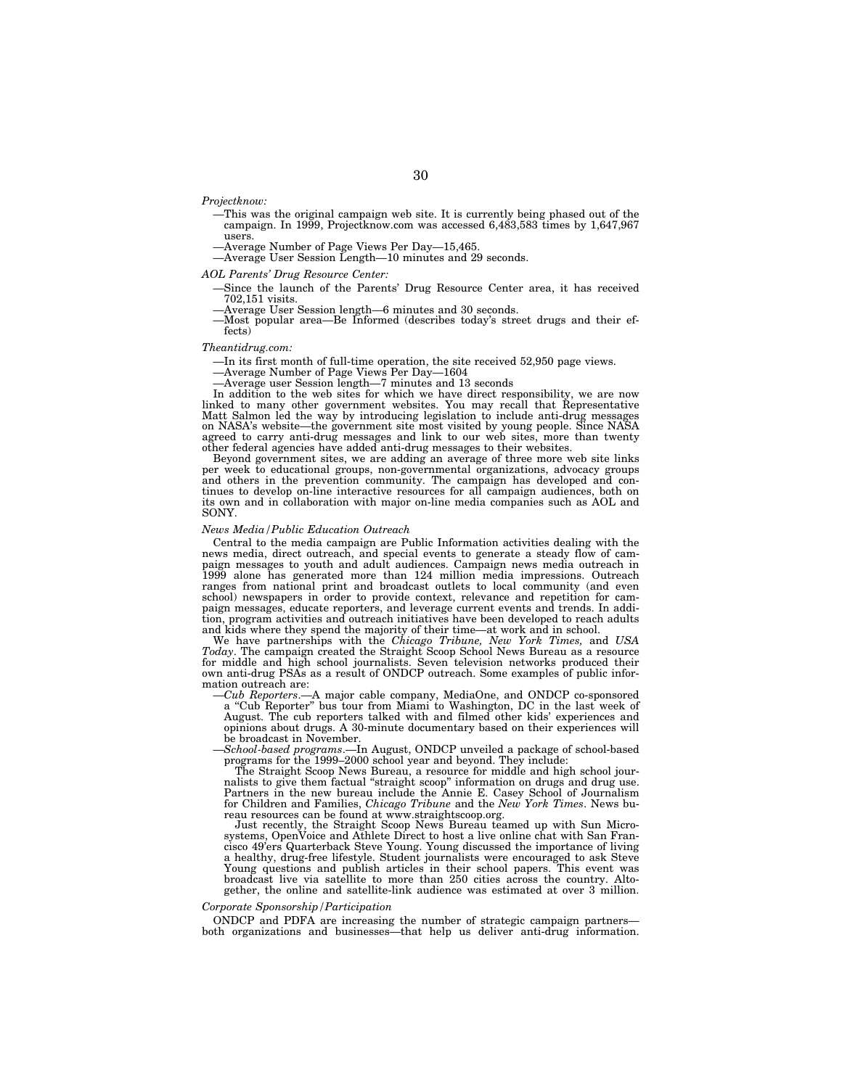*Projectknow:*

- —This was the original campaign web site. It is currently being phased out of the campaign. In 1999, Projectknow.com was accessed 6,483,583 times by 1,647,967 users.
- 
- —Average Number of Page Views Per Day—15,465.<br>—Average User Session Length—10 minutes and 29 seconds.

#### *AOL Parents' Drug Resource Center:*

- —Since the launch of the Parents' Drug Resource Center area, it has received
	-
- 702,151 visits. —Average User Session length—6 minutes and 30 seconds. —Most popular area—Be Informed (describes today's street drugs and their effects)

#### *Theantidrug.com:*

—In its first month of full-time operation, the site received 52,950 page views. —Average Number of Page Views Per Day—1604 —Average user Session length—7 minutes and 13 seconds

In addition to the web sites for which we have direct responsibility, we are now linked to many other government websites. You may recall that Representative Matt Salmon led the way by introducing legislation to include anti-drug messages on NASA's website—the government site most visited by young people. Since NASA agreed to carry anti-drug messages and link to our web sites, more than twenty other federal agencies have added anti-drug messages to their websites.

Beyond government sites, we are adding an average of three more web site links per week to educational groups, non-governmental organizations, advocacy groups and others in the prevention community. The campaign has developed and continues to develop on-line interactive resources for all campaign audiences, both on its own and in collaboration with major on-line media companies such as AOL and SONY.

# *News Media/Public Education Outreach*

Central to the media campaign are Public Information activities dealing with the news media, direct outreach, and special events to generate a steady flow of campaign messages to youth and adult audiences. Campaign news media outreach in 1999 alone has generated more than 124 million media impressions. Outreach ranges from national print and broadcast outlets to local community (and even school) newspapers in order to provide context, relevance and repetition for campaign messages, educate reporters, and leverage current events and trends. In addition, program activities and outreach initiatives have been developed to reach adults and kids where they spend the majority of their time—at work and in school.

We have partnerships with the *Chicago Tribune, New York Times,* and *USA Today*. The campaign created the Straight Scoop School News Bureau as a resource for middle and high school journalists. Seven television networks produced their own anti-drug PSAs as a result of ONDCP outreach. Some examples of public infor-

mation outreach are:<br>
-Cub Reporters.—A major cable company, MediaOne, and ONDCP co-sponsored<br>
a "Cub Reporter" bus tour from Miami to Washington, DC in the last week of<br>
August. The cub reporters talked with and filmed ot opinions about drugs. A 30-minute documentary based on their experiences will

be broadcast in November. —*School-based programs*.—In August, ONDCP unveiled a package of school-based programs for the 1999–2000 school year and beyond. They include:

The Straight Scoop News Bureau, a resource for middle and high school journalists to give them factual "straight scoop" information on drugs and drug use. Partners in the new bureau include the Annie E. Casey School of Journalism for Children and Families, *Chicago Tribune* and the *New York Times*. News bureau resources can be found at www.straightscoop.org.

Just recently, the Straight Scoop News Bureau teamed up with Sun Micro-systems, OpenVoice and Athlete Direct to host a live online chat with San Francisco 49'ers Quarterback Steve Young. Young discussed the importance of living a healthy, drug-free lifestyle. Student journalists were encouraged to ask Steve Young questions and publish articles in their school papers. This event was broadcast live via satellite to more than 250 cities across the country. Altogether, the online and satellite-link audience was estimated at over 3 million.

#### *Corporate Sponsorship/Participation*

ONDCP and PDFA are increasing the number of strategic campaign partners both organizations and businesses—that help us deliver anti-drug information.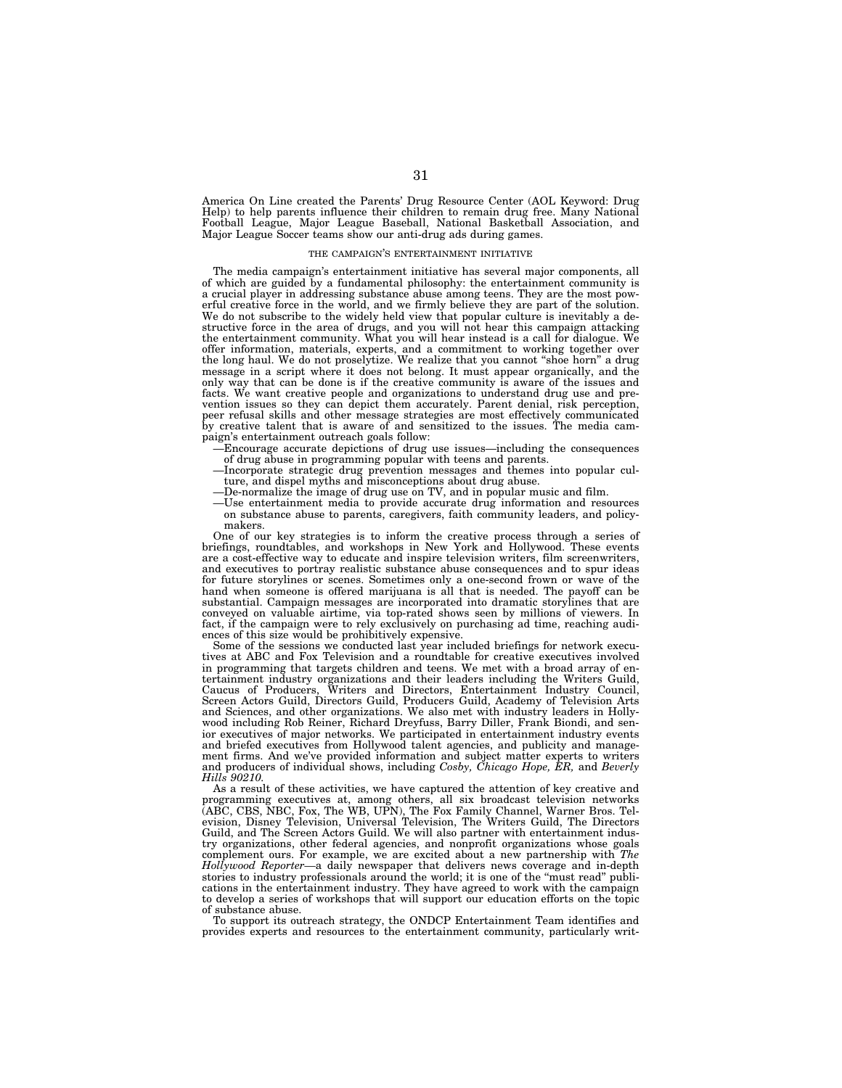America On Line created the Parents' Drug Resource Center (AOL Keyword: Drug Help) to help parents influence their children to remain drug free. Many National Football League, Major League Baseball, National Basketball Association, and Major League Soccer teams show our anti-drug ads during games.

#### THE CAMPAIGN'S ENTERTAINMENT INITIATIVE

The media campaign's entertainment initiative has several major components, all of which are guided by a fundamental philosophy: the entertainment community is a crucial player in addressing substance abuse among teens. They are the most powerful creative force in the world, and we firmly believe they are part of the solution. We do not subscribe to the widely held view that popular culture is inevitably a destructive force in the area of drugs, and you will not hear this campaign attacking the entertainment community. What you will hear instead is a call for dialogue. We offer information, materials, experts, and a commitment to working together over the long haul. We do not proselytize. We realize that you cannot ''shoe horn'' a drug message in a script where it does not belong. It must appear organically, and the only way that can be done is if the creative community is aware of the issues and facts. We want creative people and organizations to understand drug use and prevention issues so they can depict them accurately. Parent denial, risk perception, peer refusal skills and other message strategies are most effectively communicated by creative talent that is aware of and sensitized to the issues. The media campaign's entertainment outreach goals follow:

- —Encourage accurate depictions of drug use issues—including the consequences of drug abuse in programming popular with teens and parents.
- —Incorporate strategic drug prevention messages and themes into popular culture, and dispel myths and misconceptions about drug abuse.
- —De-normalize the image of drug use on TV, and in popular music and film.
- —Use entertainment media to provide accurate drug information and resources on substance abuse to parents, caregivers, faith community leaders, and policymakers.

One of our key strategies is to inform the creative process through a series of briefings, roundtables, and workshops in New York and Hollywood. These events are a cost-effective way to educate and inspire television writers, film screenwriters, and executives to portray realistic substance abuse consequences and to spur ideas for future storylines or scenes. Sometimes only a one-second frown or wave of the hand when someone is offered marijuana is all that is needed. The payoff can be substantial. Campaign messages are incorporated into dramatic storylines that are conveyed on valuable airtime, via top-rated shows seen by millions of viewers. In fact, if the campaign were to rely exclusively on purchasing ad time, reaching audiences of this size would be prohibitively expensive.

Some of the sessions we conducted last year included briefings for network executives at ABC and Fox Television and a roundtable for creative executives involved in programming that targets children and teens. We met with a broad array of entertainment industry organizations and their leaders including the Writers Guild, Caucus of Producers, Writers and Directors, Entertainment Industry Council, Screen Actors Guild, Directors Guild, Producers Guild, Academy of Television Arts and Sciences, and other organizations. We also met with industry leaders in Hollywood including Rob Reiner, Richard Dreyfuss, Barry Diller, Frank Biondi, and senior executives of major networks. We participated in entertainment industry events and briefed executives from Hollywood talent agencies, and publicity and management firms. And we've provided information and subject matter experts to writers and producers of individual shows, including *Cosby, Chicago Hope, ER,* and *Beverly Hills 90210.*

As a result of these activities, we have captured the attention of key creative and programming executives at, among others, all six broadcast television networks (ABC, CBS, NBC, Fox, The WB, UPN), The Fox Family Channel, Warner Bros. Television, Disney Television, Universal Television, The Writers Guild, The Directors Guild, and The Screen Actors Guild. We will also partner with entertainment industry organizations, other federal agencies, and nonprofit organizations whose goals complement ours. For example, we are excited about a new partnership with *The Hollywood Reporter—*a daily newspaper that delivers news coverage and in-depth stories to industry professionals around the world; it is one of the ''must read'' publications in the entertainment industry. They have agreed to work with the campaign to develop a series of workshops that will support our education efforts on the topic of substance abuse.

To support its outreach strategy, the ONDCP Entertainment Team identifies and provides experts and resources to the entertainment community, particularly writ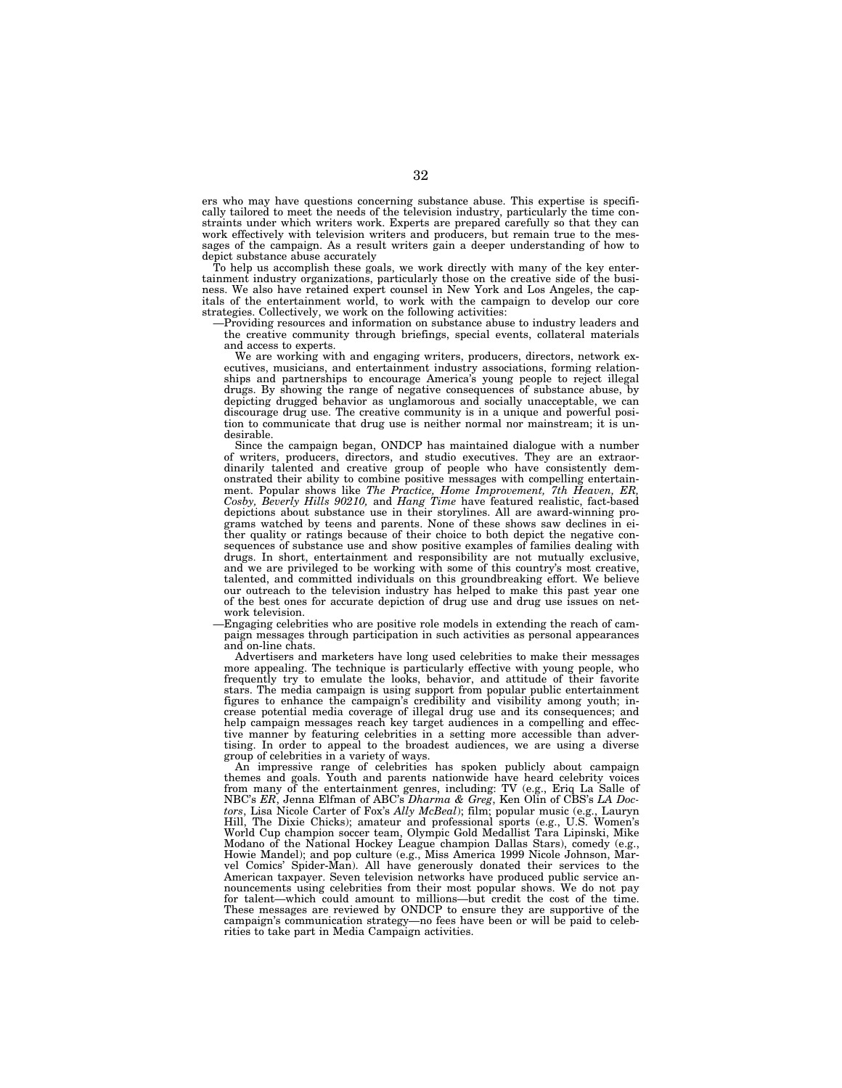ers who may have questions concerning substance abuse. This expertise is specifically tailored to meet the needs of the television industry, particularly the time constraints under which writers work. Experts are prepared carefully so that they can work effectively with television writers and producers, but remain true to the messages of the campaign. As a result writers gain a deeper understanding of how to depict substance abuse accurately

To help us accomplish these goals, we work directly with many of the key entertainment industry organizations, particularly those on the creative side of the business. We also have retained expert counsel in New York and Los Angeles, the capitals of the entertainment world, to work with the campaign to develop our core strategies. Collectively, we work on the following activities:

—Providing resources and information on substance abuse to industry leaders and the creative community through briefings, special events, collateral materials and access to experts.

We are working with and engaging writers, producers, directors, network executives, musicians, and entertainment industry associations, forming relationships and partnerships to encourage America's young people to reject illegal drugs. By showing the range of negative consequences of substance abuse, by depicting drugged behavior as unglamorous and socially unacceptable, we can discourage drug use. The creative community is in a unique and powerful position to communicate that drug use is neither normal nor mainstream; it is undesirable.

Since the campaign began, ONDCP has maintained dialogue with a number of writers, producers, directors, and studio executives. They are an extraordinarily talented and creative group of people who have consistently demonstrated their ability to combine positive messages with compelling entertainment. Popular shows like *The Practice, Home Improvement, 7th Heaven, ER, Cosby, Beverly Hills 90210,* and *Hang Time* have featured realistic, fact-based depictions about substance use in their storylines. All are award-winning programs watched by teens and parents. None of these shows saw declines in either quality or ratings because of their choice to both depict the negative consequences of substance use and show positive examples of families dealing with drugs. In short, entertainment and responsibility are not mutually exclusive, and we are privileged to be working with some of this country's most creative, talented, and committed individuals on this groundbreaking effort. We believe our outreach to the television industry has helped to make this past year one of the best ones for accurate depiction of drug use and drug use issues on network television.

—Engaging celebrities who are positive role models in extending the reach of campaign messages through participation in such activities as personal appearances and on-line chats.

Advertisers and marketers have long used celebrities to make their messages more appealing. The technique is particularly effective with young people, who frequently try to emulate the looks, behavior, and attitude of their favorite stars. The media campaign is using support from popular public entertainment figures to enhance the campaign's credibility and visibility among youth; increase potential media coverage of illegal drug use and its consequences; and help campaign messages reach key target audiences in a compelling and effective manner by featuring celebrities in a setting more accessible than advertising. In order to appeal to the broadest audiences, we are using a diverse group of celebrities in a variety of ways.

An impressive range of celebrities has spoken publicly about campaign themes and goals. Youth and parents nationwide have heard celebrity voices from many of the entertainment genres, including: TV (e.g., Eriq La Salle of NBC's *ER*, Jenna Elfman of ABC's *Dharma & Greg*, Ken Olin of CBS's *LA Doctors*, Lisa Nicole Carter of Fox's *Ally McBeal*); film; popular music (e.g., Lauryn Hill, The Dixie Chicks); amateur and professional sports (e.g., U.S. Women's World Cup champion soccer team, Olympic Gold Medallist Tara Lipinski, Mike Modano of the National Hockey League champion Dallas Stars), comedy (e.g., Howie Mandel); and pop culture (e.g., Miss America 1999 Nicole Johnson, Marvel Comics' Spider-Man). All have generously donated their services to the American taxpayer. Seven television networks have produced public service announcements using celebrities from their most popular shows. We do not pay for talent—which could amount to millions—but credit the cost of the time. These messages are reviewed by ONDCP to ensure they are supportive of the campaign's communication strategy—no fees have been or will be paid to celebrities to take part in Media Campaign activities.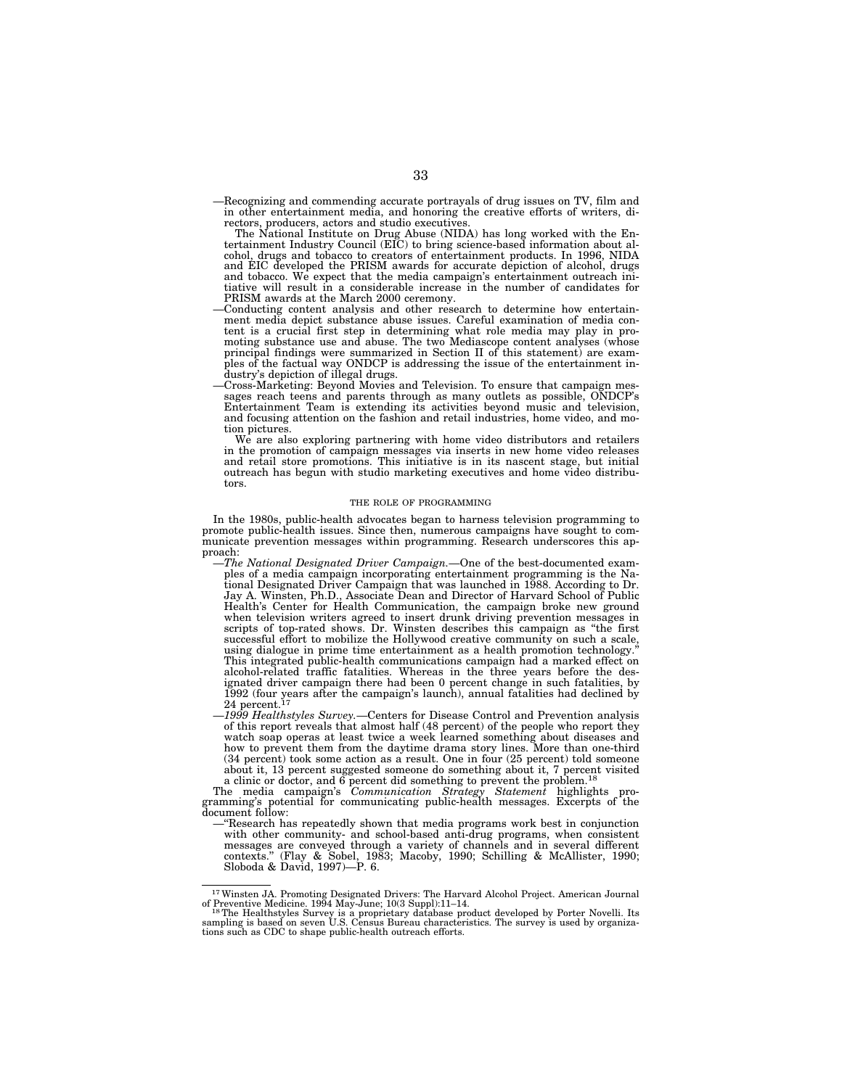—Recognizing and commending accurate portrayals of drug issues on TV, film and in other entertainment media, and honoring the creative efforts of writers, directors, producers, actors and studio executives.

The National Institute on Drug Abuse (NIDA) has long worked with the En-tertainment Industry Council (EIC) to bring science-based information about alcohol, drugs and tobacco to creators of entertainment products. In 1996, NIDA and EIC developed the PRISM awards for accurate depiction of alcohol, drugs and tobacco. We expect that the media campaign's entertainment outreach initiative will result in a considerable increase in the number of candidates for

- Conducting content analysis and other research to determine how entertainment media depict substance abuse issues. Careful examination of media content is a crucial first step in determining what role media may play in promoting substance use and abuse. The two Mediascope content analyses (whose principal findings were summarized in Section II of this statement) are examples of the factual way ONDCP is addressing the issue of the entertainment in-<br>dustry's depiction of illegal drugs.
- dustry's depiction of inegal drugs.<br>Cross-Marketing: Beyond Movies and Television. To ensure that campaign mes-<br>sages reach teens and parents through as many outlets as possible, ONDCP's Entertainment Team is extending its activities beyond music and television, and focusing attention on the fashion and retail industries, home video, and motion pictures.

We are also exploring partnering with home video distributors and retailers in the promotion of campaign messages via inserts in new home video releases and retail store promotions. This initiative is in its nascent stage, but initial outreach has begun with studio marketing executives and home video distributors.

#### THE ROLE OF PROGRAMMING

In the 1980s, public-health advocates began to harness television programming to promote public-health issues. Since then, numerous campaigns have sought to communicate prevention messages within programming. Research underscores this ap-

- proach: —*The National Designated Driver Campaign.*—One of the best-documented examples of a media campaign incorporating entertainment programming is the Na-tional Designated Driver Campaign that was launched in 1988. According to Dr. Jay A. Winsten, Ph.D., Associate Dean and Director of Harvard School of Public Health's Center for Health Communication, the campaign broke new ground when television writers agreed to insert drunk driving prevention messages in scripts of top-rated shows. Dr. Winsten describes this campaign as ''the first successful effort to mobilize the Hollywood creative community on such a scale, using dialogue in prime time entertainment as a health promotion technology.'' This integrated public-health communications campaign had a marked effect on alcohol-related traffic fatalities. Whereas in the three years before the designated driver campaign there had been 0 percent change in such fatalities, by 1992 (four years after the campaign's launch), annual fatalities had declined by 24 percent.<sup>17</sup>
- —*1999 Healthstyles Survey.*—Centers for Disease Control and Prevention analysis of this report reveals that almost half (48 percent) of the people who report they watch soap operas at least twice a week learned something about diseases and how to prevent them from the daytime drama story lines. More than one-third (34 percent) took some action as a result. One in four (25 percent) told someone

about it, 13 percent suggested someone do something about it, 7 percent visited<br>a clinic or doctor, and 6 percent did something to prevent the problem.<sup>18</sup><br>The media campaign's *Communication Strategy Statement* highlights document follow:<br>
—"Research has repeatedly shown that media programs work best in conjunction

with other community- and school-based anti-drug programs, when consistent messages are conveyed through a variety of channels and in several different contexts." (Flay & Sobel, 1983; Macoby, 1990; Schilling & McAllister,

 $17$ Winsten JA. Promoting Designated Drivers: The Harvard Alcohol Project. American Journal of Preventive Medicine. 1994 May-June; 10(3 Suppl):11–14.

<sup>&</sup>lt;sup>18</sup>The Healthstyles Survey is a proprietary database product developed by Porter Novelli. Its sampling is based on seven U.S. Census Bureau characteristics. The survey is used by organiza-tions such as CDC to shape public-health outreach efforts.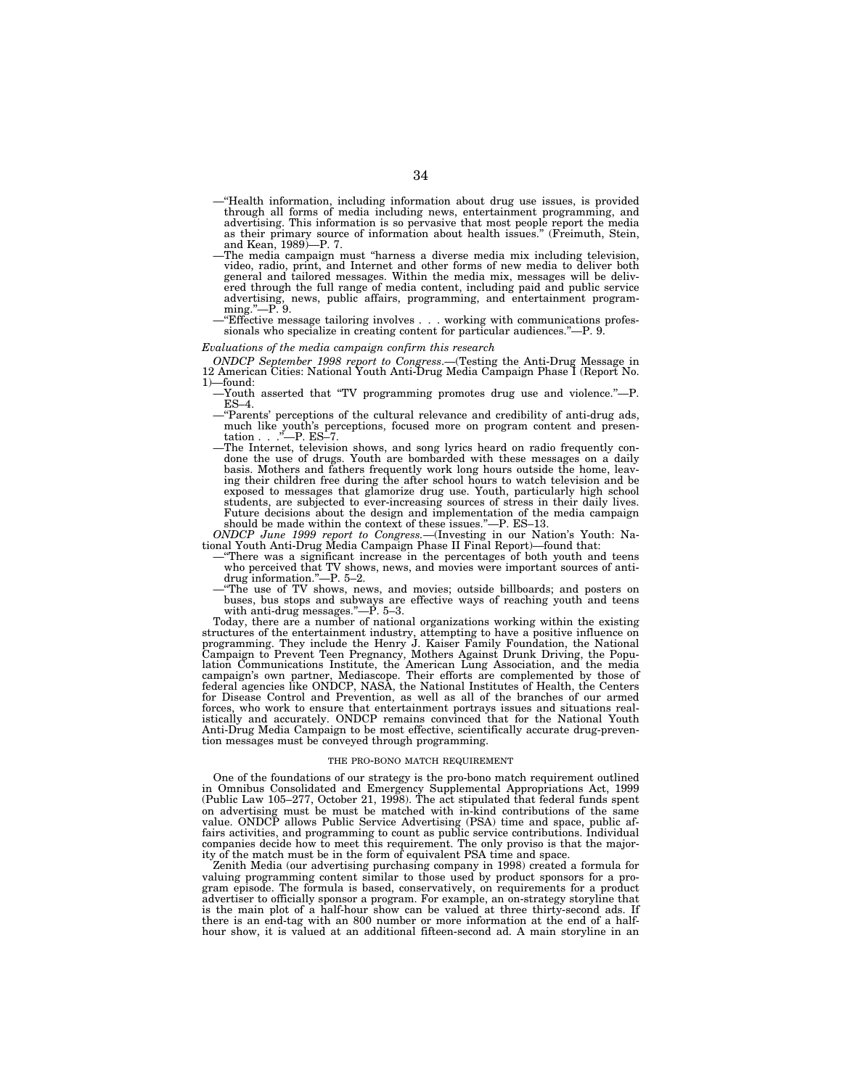- —''Health information, including information about drug use issues, is provided through all forms of media including news, entertainment programming, and advertising. This information is so pervasive that most people report the media as their primary source of information about health issues.'' (Freimuth, Stein,
- The media campaign must "harness a diverse media mix including television. video, radio, print, and Internet and other forms of new media to deliver both general and tailored messages. Within the media mix, messages will be delivered through the full range of media content, including paid and public service advertising, news, public affairs, programming, and entertainment program-
- ming."—P. 9.<br>—"Effective message tailoring involves . . . working with communications profes-<br>sionals who specialize in creating content for particular audiences."—P. 9.

#### *Evaluations of the media campaign confirm this research*

*ONDCP September 1998 report to Congress*.—(Testing the Anti-Drug Message in 12 American Cities: National Youth Anti-Drug Media Campaign Phase I (Report No. 1)—found:

- —Youth asserted that ''TV programming promotes drug use and violence.''—P.
- ES–4. —''Parents' perceptions of the cultural relevance and credibility of anti-drug ads, much like youth's perceptions, focused more on program content and presentation . . . "—P. ES-7.
- The Internet, television shows, and song lyrics heard on radio frequently condone the use of drugs. Youth are bombarded with these messages on a daily basis. Mothers and fathers frequently work long hours outside the home, leaving their children free during the after school hours to watch television and be exposed to messages that glamorize drug use. Youth, particularly high school students, are subjected to ever-increasing sources of stress in their daily lives. Future decisions about the design and implementation of the media campaign should be made within the context of these issues.''—P. ES–13.

*ONDCP June 1999 report to Congress.*—(Investing in our Nation's Youth: Na-

- "There was a significant increase in the percentages of both youth and teens who perceived that TV shows, news, and movies were important sources of anti-<br>drug information."—P. 5–2.
- The use of TV shows, news, and movies; outside billboards; and posters on buses, bus stops and subways are effective ways of reaching youth and teens with anti-drug messages.''—P. 5–3.

Today, there are a number of national organizations working within the existing structures of the entertainment industry, attempting to have a positive influence on programming. They include the Henry J. Kaiser Family Foundation, the National Campaign to Prevent Teen Pregnancy, Mothers Against Drunk Driving, the Population Communications Institute, the American Lung Association, and the media<br>campaign's own partner, Mediascope. Their efforts are complemented by for Disease Control and Prevention, as well as all of the branches of our armed forces, who work to ensure that entertainment portrays issues and situations realistically and accurately. ONDCP remains convinced that for the National Youth Anti-Drug Media Campaign to be most effective, scientifically accurate drug-prevention messages must be conveyed through programming.

#### THE PRO-BONO MATCH REQUIREMENT

One of the foundations of our strategy is the pro-bono match requirement outlined in Omnibus Consolidated and Emergency Supplemental Appropriations Act, 1999 (Public Law 105–277, October 21, 1998). The act stipulated that federal funds spent on advertising must be must be matched with in-kind contributions of the same value. ONDCP allows Public Service Advertising (PSA) time and space, public affairs activities, and programming to count as public service contributions. Individual companies decide how to meet this requirement. The only proviso is that the majority of the match must be in the form of equivalent PSA time and space.

Zenith Media (our advertising purchasing company in 1998) created a formula for valuing programming content similar to those used by product sponsors for a program episode. The formula is based, conservatively, on requirements for a product advertiser to officially sponsor a program. For example, an on-strategy storyline that is the main plot of a half-hour show can be valued at three thirty-second ads. If there is an end-tag with an 800 number or more information at the end of a halfhour show, it is valued at an additional fifteen-second ad. A main storyline in an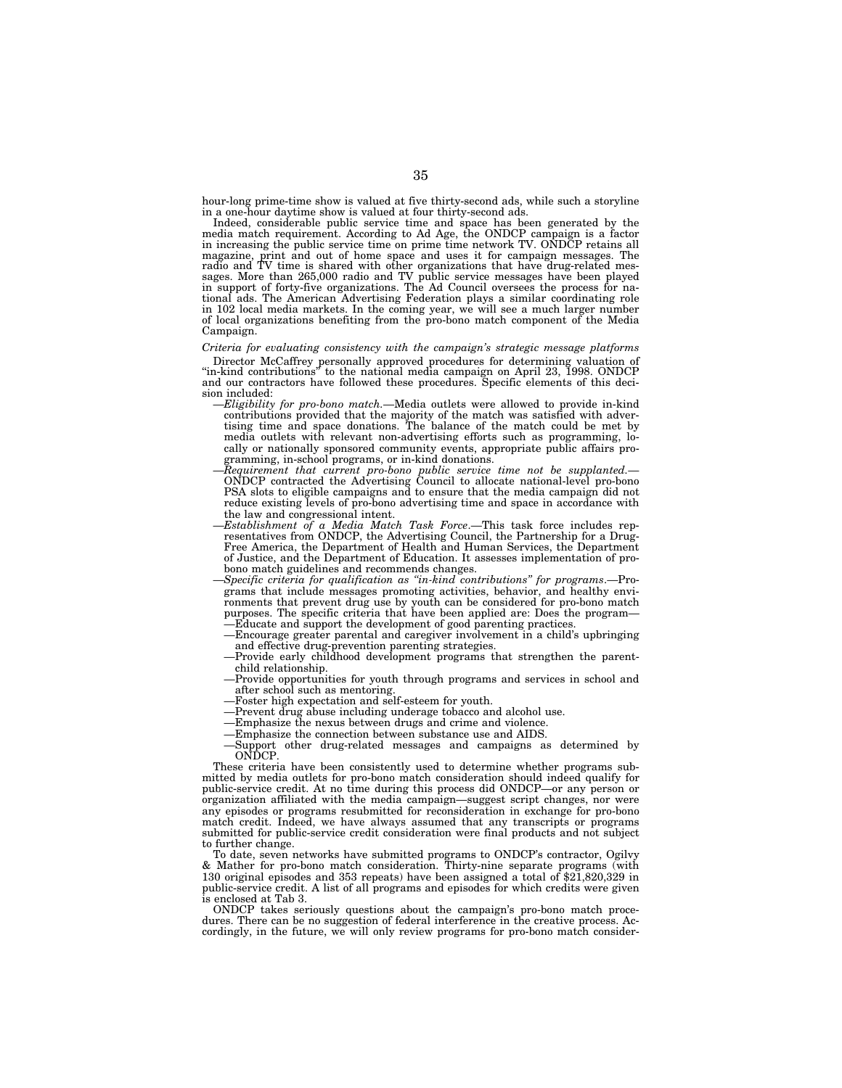hour-long prime-time show is valued at five thirty-second ads, while such a storyline in a one-hour daytime show is valued at four thirty-second ads.

Indeed, considerable public service time and space has been generated by the media match requirement. According to Ad Age, the ONDCP campaign is a factor in increasing the public service time on prime time network TV. ONDC tional ads. The American Advertising Federation plays a similar coordinating role in 102 local media markets. In the coming year, we will see a much larger number of local organizations benefiting from the pro-bono match component of the Media Campaign.

# *Criteria for evaluating consistency with the campaign's strategic message platforms*

Director McCaffrey personally approved procedures for determining valuation of "in-kind contributions" to the national media campaign on April 23, 1998. ONDCP<br>and our contractors have followed these procedures. Specific el

- sion included: —*Eligibility for pro-bono match.*—Media outlets were allowed to provide in-kind contributions provided that the majority of the match was satisfied with adver-tising time and space donations. The balance of the match could be met by media outlets with relevant non-advertising efforts such as programming, locally or nationally sponsored community events, appropriate public affairs programming, in-school programs, or in-kind donations.
	- —*Requirement that current pro-bono public service time not be supplanted.* ONDCP contracted the Advertising Council to allocate national-level pro-bono PSA slots to eligible campaigns and to ensure that the media campaign did not reduce existing levels of pro-bono advertising time and space in accordance with the law and congressional intent.
	- —*Establishment of a Media Match Task Force*.—This task force includes representatives from ONDCP, the Advertising Council, the Partnership for a Drug-Free America, the Department of Health and Human Services, the Department of Justice, and the Department of Education. It assesses implementation of probono match guidelines and recommends changes.
	- —*Specific criteria for qualification as ''in-kind contributions'' for programs*.—Programs that include messages promoting activities, behavior, and healthy environments that prevent drug use by youth can be considered for pro-bono match purposes. The specific criteria that have been applied are: Does the program— —Educate and support the development of good parenting practices.
	- —Encourage greater parental and caregiver involvement in a child's upbringing and effective drug-prevention parenting strategies.
	- —Provide early childhood development programs that strengthen the parentchild relationship.
	- —Provide opportunities for youth through programs and services in school and after school such as mentoring.
	- —Foster high expectation and self-esteem for youth.
	- —Prevent drug abuse including underage tobacco and alcohol use.
	- —Emphasize the nexus between drugs and crime and violence.
	- —Emphasize the connection between substance use and AIDS.
	- —Support other drug-related messages and campaigns as determined by ONDCP.

These criteria have been consistently used to determine whether programs submitted by media outlets for pro-bono match consideration should indeed qualify for public-service credit. At no time during this process did ONDCP—or any person or organization affiliated with the media campaign—suggest script changes, nor were any episodes or programs resubmitted for reconsideration in exchange for pro-bono match credit. Indeed, we have always assumed that any transcripts or programs submitted for public-service credit consideration were final products and not subject to further change.

To date, seven networks have submitted programs to ONDCP's contractor, Ogilvy & Mather for pro-bono match consideration. Thirty-nine separate programs (with 130 original episodes and 353 repeats) have been assigned a total of \$21,820,329 in public-service credit. A list of all programs and episodes for which credits were given is enclosed at Tab 3.

ONDCP takes seriously questions about the campaign's pro-bono match procedures. There can be no suggestion of federal interference in the creative process. Accordingly, in the future, we will only review programs for pro-bono match consider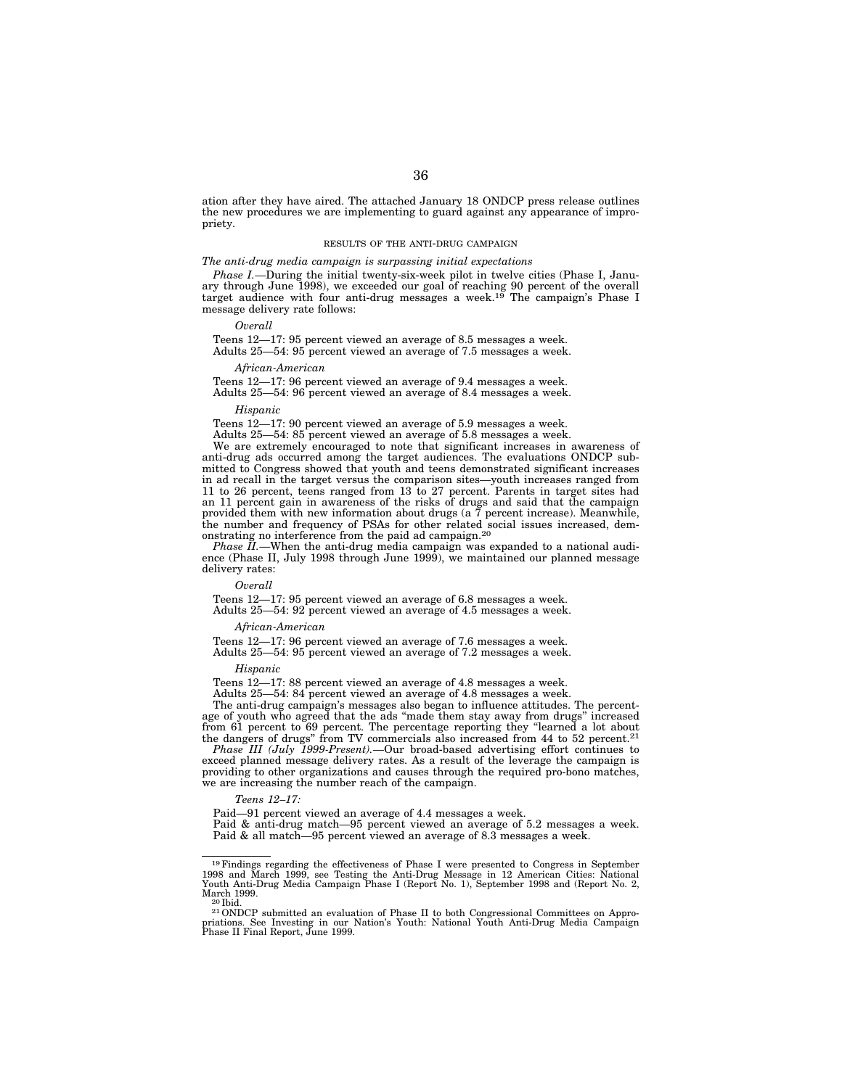ation after they have aired. The attached January 18 ONDCP press release outlines the new procedures we are implementing to guard against any appearance of impropriety.

# RESULTS OF THE ANTI-DRUG CAMPAIGN

### *The anti-drug media campaign is surpassing initial expectations*

*Phase I.*—During the initial twenty-six-week pilot in twelve cities (Phase I, January through June 1998), we exceeded our goal of reaching 90 percent of the overall<br>target audience with four anti-drug messages a week.<sup>19</sup> The campaign's Phase I message delivery rate follows:

#### *Overall*

Teens 12—17: 95 percent viewed an average of 8.5 messages a week. Adults 25—54: 95 percent viewed an average of 7.5 messages a week.

#### *African-American*

Teens 12—17: 96 percent viewed an average of 9.4 messages a week.

Adults 25—54: 96 percent viewed an average of 8.4 messages a week.

*Hispanic*

Teens 12—17: 90 percent viewed an average of 5.9 messages a week.

Adults 25—54: 85 percent viewed an average of 5.8 messages a week.

We are extremely encouraged to note that significant increases in awareness of anti-drug ads occurred among the target audiences. The evaluations ONDCP submitted to Congress showed that youth and teens demonstrated significant increases in ad recall in the target versus the comparison sites—youth increases ranged from 11 to 26 percent, teens ranged from 13 to 27 percent. Parents in target sites had an 11 percent gain in awareness of the risks of drugs and said that the campaign provided them with new information about drugs (a  $\overline{7}$  percent increase). Meanwhile, the number and frequency of PSAs for other related social issues increased, demonstrating no interference from the paid ad campaign.20

*Phase II.*—When the anti-drug media campaign was expanded to a national audience (Phase II, July 1998 through June 1999), we maintained our planned message delivery rates:

#### *Overall*

Teens 12—17: 95 percent viewed an average of 6.8 messages a week. Adults 25—54: 92 percent viewed an average of 4.5 messages a week.

#### *African-American*

Teens 12—17: 96 percent viewed an average of 7.6 messages a week. Adults 25—54: 95 percent viewed an average of 7.2 messages a week.

#### *Hispanic*

Teens 12—17: 88 percent viewed an average of 4.8 messages a week.

Adults 25—54: 84 percent viewed an average of 4.8 messages a week.

The anti-drug campaign's messages also began to influence attitudes. The percentage of youth who agreed that the ads ''made them stay away from drugs'' increased from 61 percent to 69 percent. The percentage reporting they "learned a lot about<br>the dangers of drugs" from TV commercials also increased from 44 to 52 percent.<sup>21</sup>

*Phase III (July 1999-Present).*—Our broad-based advertising effort continues to exceed planned message delivery rates. As a result of the leverage the campaign is providing to other organizations and causes through the required pro-bono matches, we are increasing the number reach of the campaign.

#### *Teens 12–17:*

Paid—91 percent viewed an average of 4.4 messages a week.

Paid & anti-drug match—95 percent viewed an average of 5.2 messages a week. Paid & all match—95 percent viewed an average of 8.3 messages a week.

<sup>&</sup>lt;sup>19</sup> Findings regarding the effectiveness of Phase I were presented to Congress in September 1998 and March 1999, see Testing the Anti-Drug Message in 12 American Cities: National Youth Anti-Drug Media Campaign Phase I (R March 1999.<br><sup>20</sup> Ibid. <sup>21</sup> ONDCP submitted an evaluation of Phase II to both Congressional Committees on Appro-

priations. See Investing in our Nation's Youth: National Youth Anti-Drug Media Campaign Phase II Final Report, June 1999.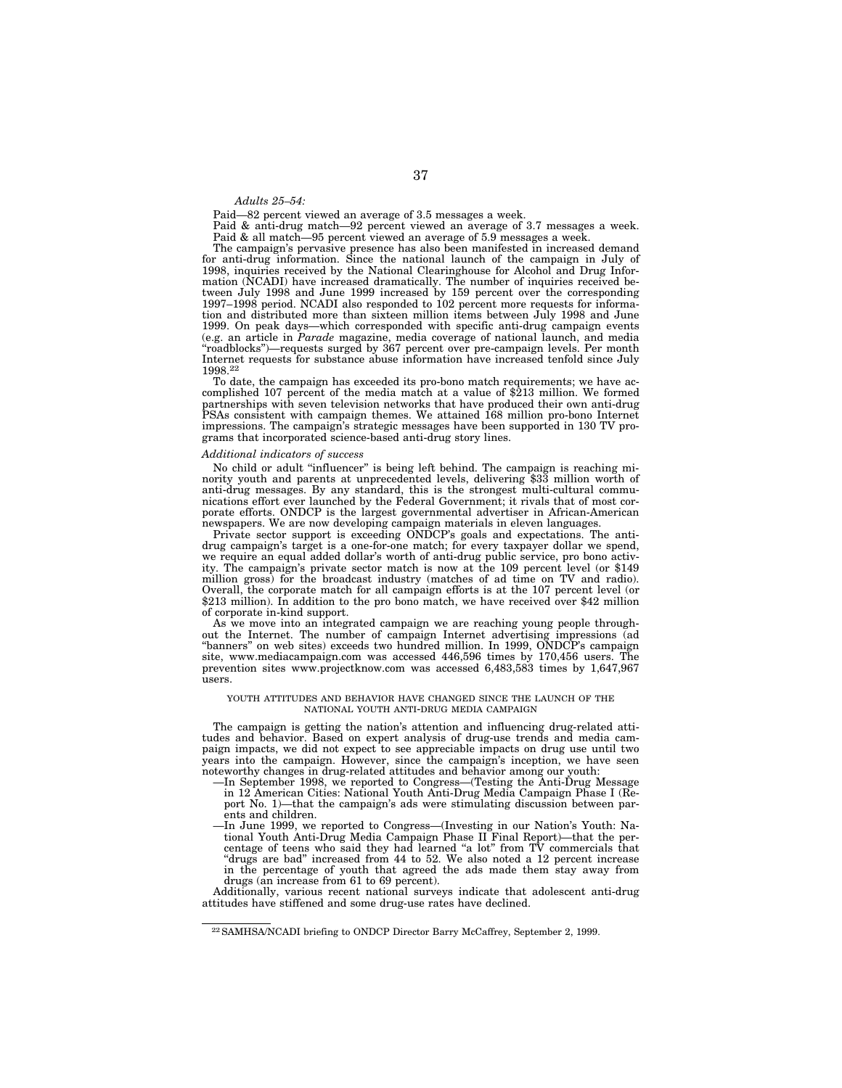#### *Adults 25–54:*

Paid—82 percent viewed an average of 3.5 messages a week.

Paid & anti-drug match—92 percent viewed an average of 3.7 messages a week. Paid & all match—95 percent viewed an average of 5.9 messages a week.

The campaign's pervasive presence has also been manifested in increased demand for anti-drug information. Since the national launch of the campaign in July of 1998, inquiries received by the National Clearinghouse for Alcohol and Drug Information (NCADI) have increased dramatically. The number of inquiries received between July 1998 and June 1999 increased by 159 percent over the corresponding 1997–1998 period. NCADI also responded to 102 percent more requests for information and distributed more than sixteen million items between July 1998 and June 1999. On peak days—which corresponded with specific anti-drug campaign events (e.g. an article in *Parade* magazine, media coverage of national launch, and media ''roadblocks'')—requests surged by 367 percent over pre-campaign levels. Per month Internet requests for substance abuse information have increased tenfold since July 1998.22

To date, the campaign has exceeded its pro-bono match requirements; we have accomplished 107 percent of the media match at a value of \$213 million. We formed partnerships with seven television networks that have produced their own anti-drug PSAs consistent with campaign themes. We attained 168 million pro-bono Internet impressions. The campaign's strategic messages have been supported in 130 TV programs that incorporated science-based anti-drug story lines.

# *Additional indicators of success*

No child or adult ''influencer'' is being left behind. The campaign is reaching minority youth and parents at unprecedented levels, delivering \$33 million worth of anti-drug messages. By any standard, this is the strongest multi-cultural communications effort ever launched by the Federal Government; it rivals that of most corporate efforts. ONDCP is the largest governmental advertiser in African-American newspapers. We are now developing campaign materials in eleven languages.

Private sector support is exceeding ONDCP's goals and expectations. The antidrug campaign's target is a one-for-one match; for every taxpayer dollar we spend, we require an equal added dollar's worth of anti-drug public service, pro bono activity. The campaign's private sector match is now at the 109 percent level (or \$149 million gross) for the broadcast industry (matches of ad time on TV and radio). Overall, the corporate match for all campaign efforts is at the 107 percent level (or \$213 million). In addition to the pro bono match, we have received over \$42 million of corporate in-kind support.

As we move into an integrated campaign we are reaching young people throughout the Internet. The number of campaign Internet advertising impressions (ad "banners" on web sites) exceeds two hundred million. In 1999, ONDCP's campaign site, www.mediacampaign.com was accessed 446,596 times by 170,456 users. The prevention sites www.projectknow.com was accessed 6,483,583 times by 1,647,967 users.

#### YOUTH ATTITUDES AND BEHAVIOR HAVE CHANGED SINCE THE LAUNCH OF THE NATIONAL YOUTH ANTI-DRUG MEDIA CAMPAIGN

The campaign is getting the nation's attention and influencing drug-related attitudes and behavior. Based on expert analysis of drug-use trends and media campaign impacts, we did not expect to see appreciable impacts on drug use until two years into the campaign. However, since the campaign's inception, we have seen noteworthy changes in drug-related attitudes and behavior among our youth:

- —In September 1998, we reported to Congress—(Testing the Anti-Drug Message in 12 American Cities: National Youth Anti-Drug Media Campaign Phase I (Report No. 1)—that the campaign's ads were stimulating discussion between parents and children.
- —In June 1999, we reported to Congress—(Investing in our Nation's Youth: National Youth Anti-Drug Media Campaign Phase II Final Report)—that the percentage of teens who said they had learned "a lot" from TV commercials that ''drugs are bad'' increased from 44 to 52. We also noted a 12 percent increase in the percentage of youth that agreed the ads made them stay away from drugs (an increase from 61 to 69 percent).

Additionally, various recent national surveys indicate that adolescent anti-drug attitudes have stiffened and some drug-use rates have declined.

<sup>22</sup>SAMHSA/NCADI briefing to ONDCP Director Barry McCaffrey, September 2, 1999.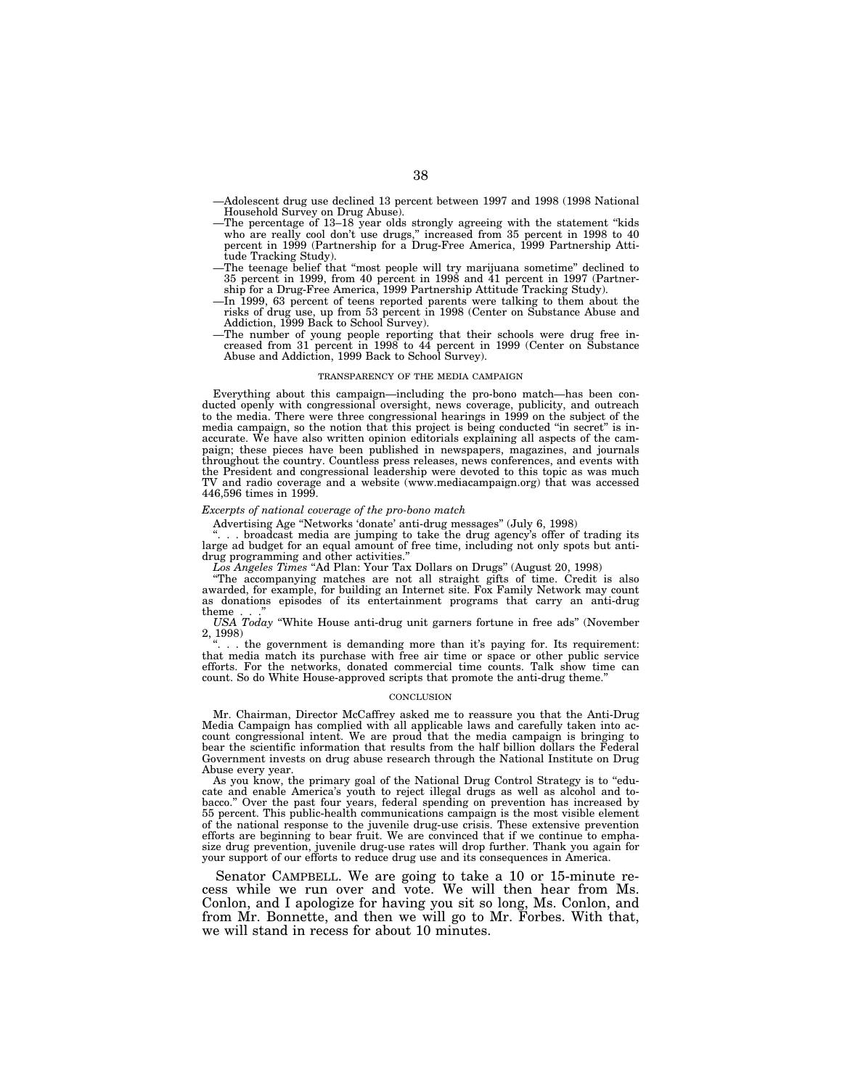—Adolescent drug use declined 13 percent between 1997 and 1998 (1998 National Household Survey on Drug Abuse).

- —The percentage of 13–18 year olds strongly agreeing with the statement ''kids who are really cool don't use drugs," increased from 35 percent in 1998 to 40 percent in 1999 (Partnership for a Drug-Free America, 1999 Partnership Attitude Tracking Study).
- —The teenage belief that ''most people will try marijuana sometime'' declined to 35 percent in 1999, from 40 percent in 1998 and 41 percent in 1997 (Partnership for a Drug-Free America, 1999 Partnership Attitude Tracking Study).
- —In 1999, 63 percent of teens reported parents were talking to them about the risks of drug use, up from 53 percent in 1998 (Center on Substance Abuse and Addiction, 1999 Back to School Survey).
- —The number of young people reporting that their schools were drug free increased from 31 percent in 1998 to 44 percent in 1999 (Center on Substance Abuse and Addiction, 1999 Back to School Survey).

## TRANSPARENCY OF THE MEDIA CAMPAIGN

Everything about this campaign—including the pro-bono match—has been conducted openly with congressional oversight, news coverage, publicity, and outreach to the media. There were three congressional hearings in 1999 on the subject of the media campaign, so the notion that this project is being conducted ''in secret'' is inaccurate. We have also written opinion editorials explaining all aspects of the campaign; these pieces have been published in newspapers, magazines, and journals throughout the country. Countless press releases, news conferences, and events with the President and congressional leadership were devoted to this topic as was much TV and radio coverage and a website (www.mediacampaign.org) that was accessed 446,596 times in 1999.

#### *Excerpts of national coverage of the pro-bono match*

Advertising Age ''Networks 'donate' anti-drug messages'' (July 6, 1998)

. broadcast media are jumping to take the drug agency's offer of trading its large ad budget for an equal amount of free time, including not only spots but antidrug programming and other activities.''

*Los Angeles Times* ''Ad Plan: Your Tax Dollars on Drugs'' (August 20, 1998)

''The accompanying matches are not all straight gifts of time. Credit is also awarded, for example, for building an Internet site. Fox Family Network may count as donations episodes of its entertainment programs that carry an anti-drug theme...''

*USA Today* ''White House anti-drug unit garners fortune in free ads'' (November 2, 1998)

''. . . the government is demanding more than it's paying for. Its requirement: that media match its purchase with free air time or space or other public service efforts. For the networks, donated commercial time counts. Talk show time can count. So do White House-approved scripts that promote the anti-drug theme.''

#### **CONCLUSION**

Mr. Chairman, Director McCaffrey asked me to reassure you that the Anti-Drug Media Campaign has complied with all applicable laws and carefully taken into account congressional intent. We are proud that the media campaign is bringing to bear the scientific information that results from the half billion dollars the Federal Government invests on drug abuse research through the National Institute on Drug Abuse every year.

As you know, the primary goal of the National Drug Control Strategy is to ''educate and enable America's youth to reject illegal drugs as well as alcohol and tobacco.'' Over the past four years, federal spending on prevention has increased by 55 percent. This public-health communications campaign is the most visible element of the national response to the juvenile drug-use crisis. These extensive prevention efforts are beginning to bear fruit. We are convinced that if we continue to emphasize drug prevention, juvenile drug-use rates will drop further. Thank you again for your support of our efforts to reduce drug use and its consequences in America.

Senator CAMPBELL. We are going to take a 10 or 15-minute recess while we run over and vote. We will then hear from Ms. Conlon, and I apologize for having you sit so long, Ms. Conlon, and from Mr. Bonnette, and then we will go to Mr. Forbes. With that, we will stand in recess for about 10 minutes.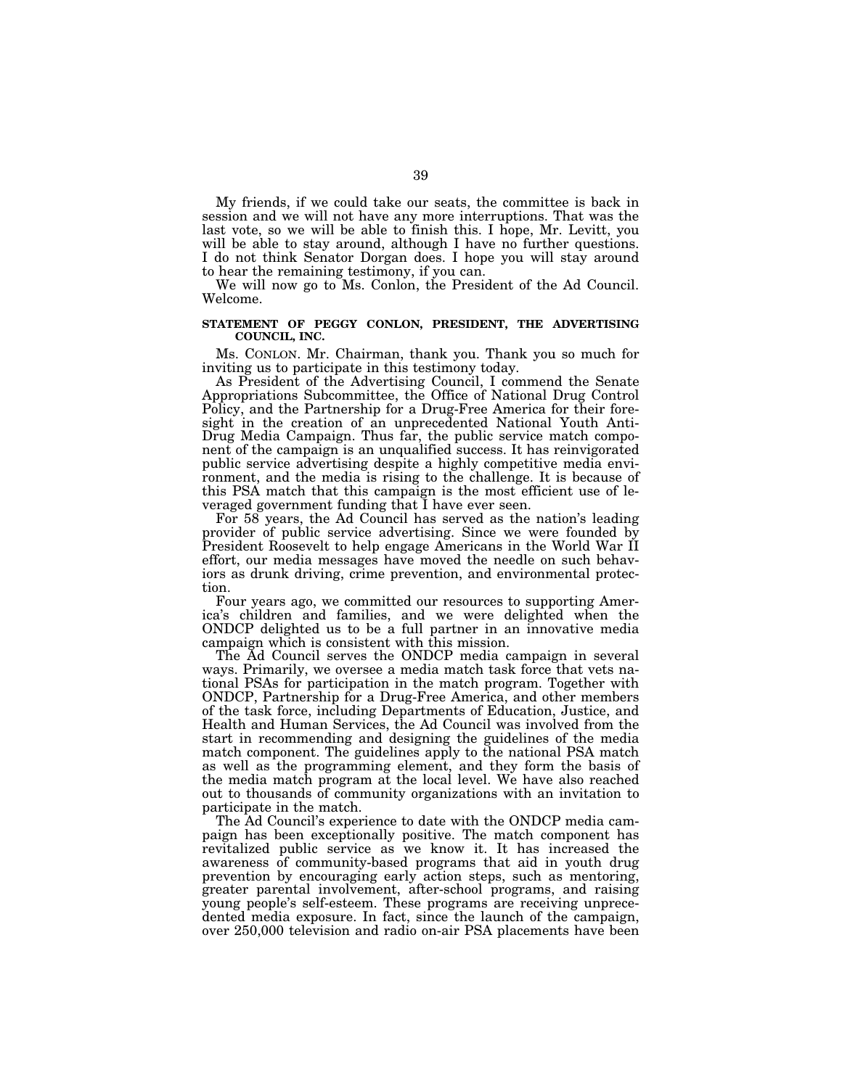My friends, if we could take our seats, the committee is back in session and we will not have any more interruptions. That was the last vote, so we will be able to finish this. I hope, Mr. Levitt, you will be able to stay around, although I have no further questions. I do not think Senator Dorgan does. I hope you will stay around to hear the remaining testimony, if you can.

We will now go to Ms. Conlon, the President of the Ad Council. Welcome.

# **STATEMENT OF PEGGY CONLON, PRESIDENT, THE ADVERTISING COUNCIL, INC.**

Ms. CONLON. Mr. Chairman, thank you. Thank you so much for inviting us to participate in this testimony today.

As President of the Advertising Council, I commend the Senate Appropriations Subcommittee, the Office of National Drug Control Policy, and the Partnership for a Drug-Free America for their foresight in the creation of an unprecedented National Youth Anti-Drug Media Campaign. Thus far, the public service match component of the campaign is an unqualified success. It has reinvigorated public service advertising despite a highly competitive media environment, and the media is rising to the challenge. It is because of this PSA match that this campaign is the most efficient use of leveraged government funding that I have ever seen.

For 58 years, the Ad Council has served as the nation's leading provider of public service advertising. Since we were founded by President Roosevelt to help engage Americans in the World War II effort, our media messages have moved the needle on such behaviors as drunk driving, crime prevention, and environmental protection.

Four years ago, we committed our resources to supporting America's children and families, and we were delighted when the ONDCP delighted us to be a full partner in an innovative media campaign which is consistent with this mission.

The Ad Council serves the ONDCP media campaign in several ways. Primarily, we oversee a media match task force that vets national PSAs for participation in the match program. Together with ONDCP, Partnership for a Drug-Free America, and other members of the task force, including Departments of Education, Justice, and Health and Human Services, the Ad Council was involved from the start in recommending and designing the guidelines of the media match component. The guidelines apply to the national PSA match as well as the programming element, and they form the basis of the media match program at the local level. We have also reached out to thousands of community organizations with an invitation to participate in the match.

The Ad Council's experience to date with the ONDCP media campaign has been exceptionally positive. The match component has revitalized public service as we know it. It has increased the awareness of community-based programs that aid in youth drug prevention by encouraging early action steps, such as mentoring, greater parental involvement, after-school programs, and raising young people's self-esteem. These programs are receiving unprecedented media exposure. In fact, since the launch of the campaign, over 250,000 television and radio on-air PSA placements have been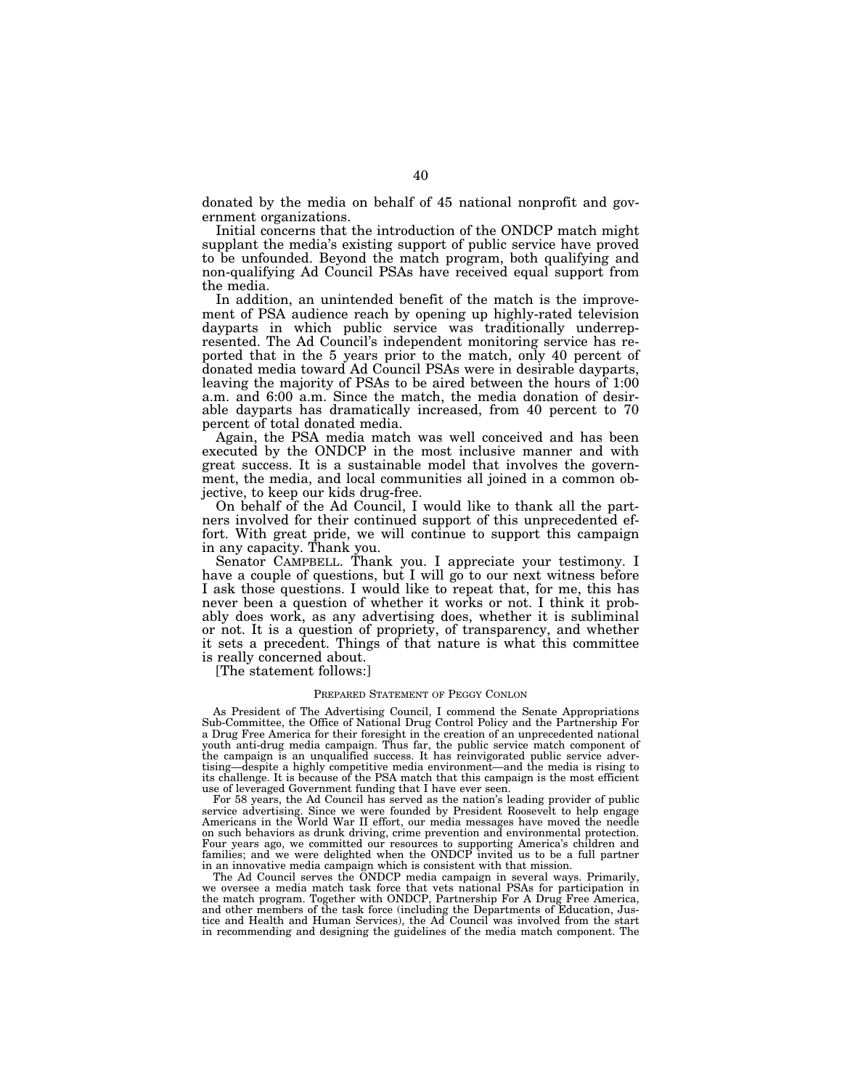donated by the media on behalf of 45 national nonprofit and government organizations.

Initial concerns that the introduction of the ONDCP match might supplant the media's existing support of public service have proved to be unfounded. Beyond the match program, both qualifying and non-qualifying Ad Council PSAs have received equal support from the media.

In addition, an unintended benefit of the match is the improvement of PSA audience reach by opening up highly-rated television dayparts in which public service was traditionally underrepresented. The Ad Council's independent monitoring service has reported that in the 5 years prior to the match, only 40 percent of donated media toward Ad Council PSAs were in desirable dayparts, leaving the majority of PSAs to be aired between the hours of 1:00 a.m. and 6:00 a.m. Since the match, the media donation of desirable dayparts has dramatically increased, from 40 percent to 70 percent of total donated media.

Again, the PSA media match was well conceived and has been executed by the ONDCP in the most inclusive manner and with great success. It is a sustainable model that involves the government, the media, and local communities all joined in a common objective, to keep our kids drug-free.

On behalf of the Ad Council, I would like to thank all the partners involved for their continued support of this unprecedented effort. With great pride, we will continue to support this campaign in any capacity. Thank you.

Senator CAMPBELL. Thank you. I appreciate your testimony. I have a couple of questions, but I will go to our next witness before I ask those questions. I would like to repeat that, for me, this has never been a question of whether it works or not. I think it probably does work, as any advertising does, whether it is subliminal or not. It is a question of propriety, of transparency, and whether it sets a precedent. Things of that nature is what this committee is really concerned about.

[The statement follows:]

# PREPARED STATEMENT OF PEGGY CONLON

As President of The Advertising Council, I commend the Senate Appropriations Sub-Committee, the Office of National Drug Control Policy and the Partnership For a Drug Free America for their foresight in the creation of an unprecedented national youth anti-drug media campaign. Thus far, the public service match component of the campaign is an unqualified success. It has reinvigorated public service advertising—despite a highly competitive media environment—and the media is rising to its challenge. It is because of the PSA match that this campaign is the most efficient use of leveraged Government funding that I have ever seen.

For 58 years, the Ad Council has served as the nation's leading provider of public service advertising. Since we were founded by President Roosevelt to help engage Americans in the World War II effort, our media messages have moved the needle on such behaviors as drunk driving, crime prevention and environmental protection. Four years ago, we committed our resources to supporting America's children and families; and we were delighted when the ONDCP invited us to be a full partner in an innovative media campaign which is consistent with that mission.

The Ad Council serves the ONDCP media campaign in several ways. Primarily, we oversee a media match task force that vets national PSAs for participation in the match program. Together with ONDCP, Partnership For A Drug Free America, and other members of the task force (including the Departments of Education, Jus-tice and Health and Human Services), the Ad Council was involved from the start in recommending and designing the guidelines of the media match component. The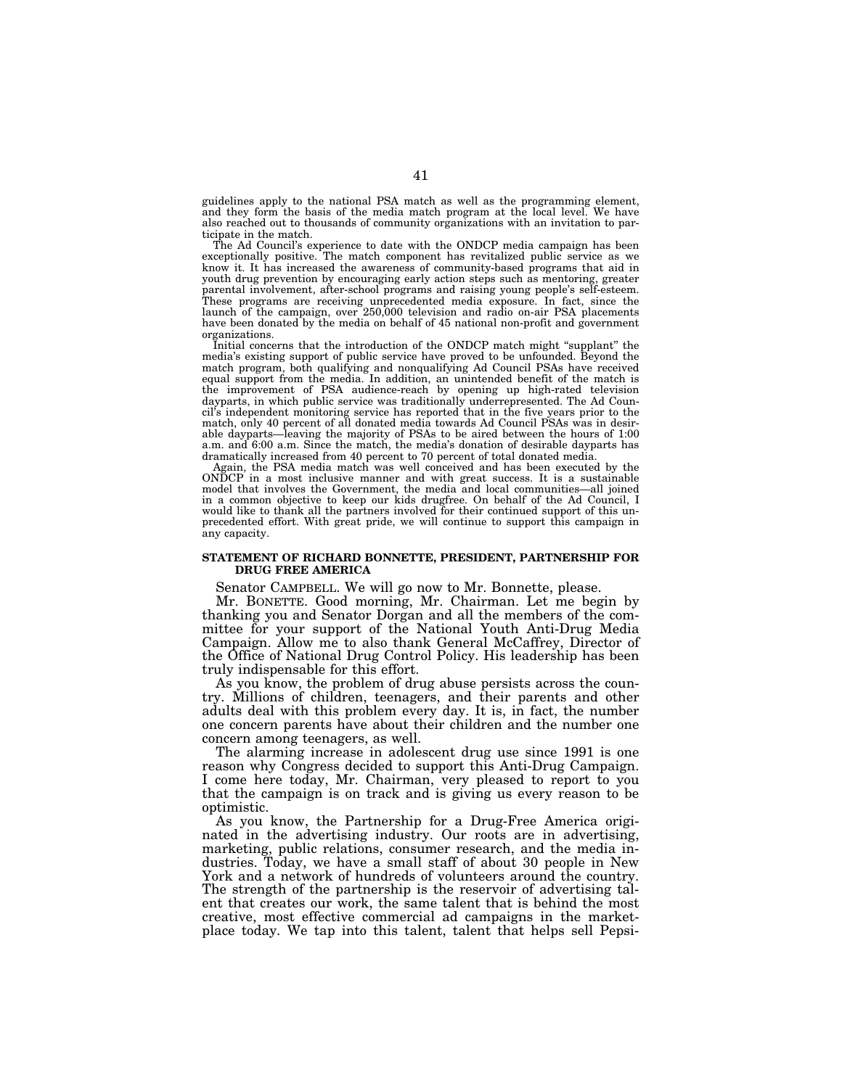guidelines apply to the national PSA match as well as the programming element, and they form the basis of the media match program at the local level. We have also reached out to thousands of community organizations with an invitation to participate in the match.

The Ad Council's experience to date with the ONDCP media campaign has been exceptionally positive. The match component has revitalized public service as we know it. It has increased the awareness of community-based programs that aid in youth drug prevention by encouraging early action steps such as mentoring, greater parental involvement, after-school programs and raising young people's self-esteem. These programs are receiving unprecedented media exposure. In fact, since the launch of the campaign, over 250,000 television and radio on-air PSA placements have been donated by the media on behalf of 45 national non-profit and government organizations.

Initial concerns that the introduction of the ONDCP match might "supplant" the media's existing support of public service have proved to be unfounded. Beyond the match program, both qualifying and nonqualifying Ad Council PSAs have received equal support from the media. In addition, an unintended benefit of the match is the improvement of PSA audience-reach by opening up high-rated television dayparts, in which public service was traditionally underrepresented. The Ad Council's independent monitoring service has reported that in the five years prior to the match, only 40 percent of all donated media towards Ad Council PSAs was in desirable dayparts—leaving the majority of PSAs to be aired between the hours of 1:00 a.m. and 6:00 a.m. Since the match, the media's donation of desirable dayparts has dramatically increased from 40 percent to 70 percent of total donated media.

Again, the PSA media match was well conceived and has been executed by the ONDCP in a most inclusive manner and with great success. It is a sustainable in a most inclusive manner and with great success. It is a sustainable model that involves the Government, the media and local communities—all joined in a common objective to keep our kids drugfree. On behalf of the Ad Council, I would like to thank all the partners involved for their continued support of this unprecedented effort. With great pride, we will continue to support this campaign in any capacity.

# **STATEMENT OF RICHARD BONNETTE, PRESIDENT, PARTNERSHIP FOR DRUG FREE AMERICA**

Senator CAMPBELL. We will go now to Mr. Bonnette, please.

Mr. BONETTE. Good morning, Mr. Chairman. Let me begin by thanking you and Senator Dorgan and all the members of the committee for your support of the National Youth Anti-Drug Media Campaign. Allow me to also thank General McCaffrey, Director of the Office of National Drug Control Policy. His leadership has been truly indispensable for this effort.

As you know, the problem of drug abuse persists across the country. Millions of children, teenagers, and their parents and other adults deal with this problem every day. It is, in fact, the number one concern parents have about their children and the number one concern among teenagers, as well.

The alarming increase in adolescent drug use since 1991 is one reason why Congress decided to support this Anti-Drug Campaign. I come here today, Mr. Chairman, very pleased to report to you that the campaign is on track and is giving us every reason to be optimistic.

As you know, the Partnership for a Drug-Free America originated in the advertising industry. Our roots are in advertising, marketing, public relations, consumer research, and the media industries. Today, we have a small staff of about 30 people in New York and a network of hundreds of volunteers around the country. The strength of the partnership is the reservoir of advertising talent that creates our work, the same talent that is behind the most creative, most effective commercial ad campaigns in the marketplace today. We tap into this talent, talent that helps sell Pepsi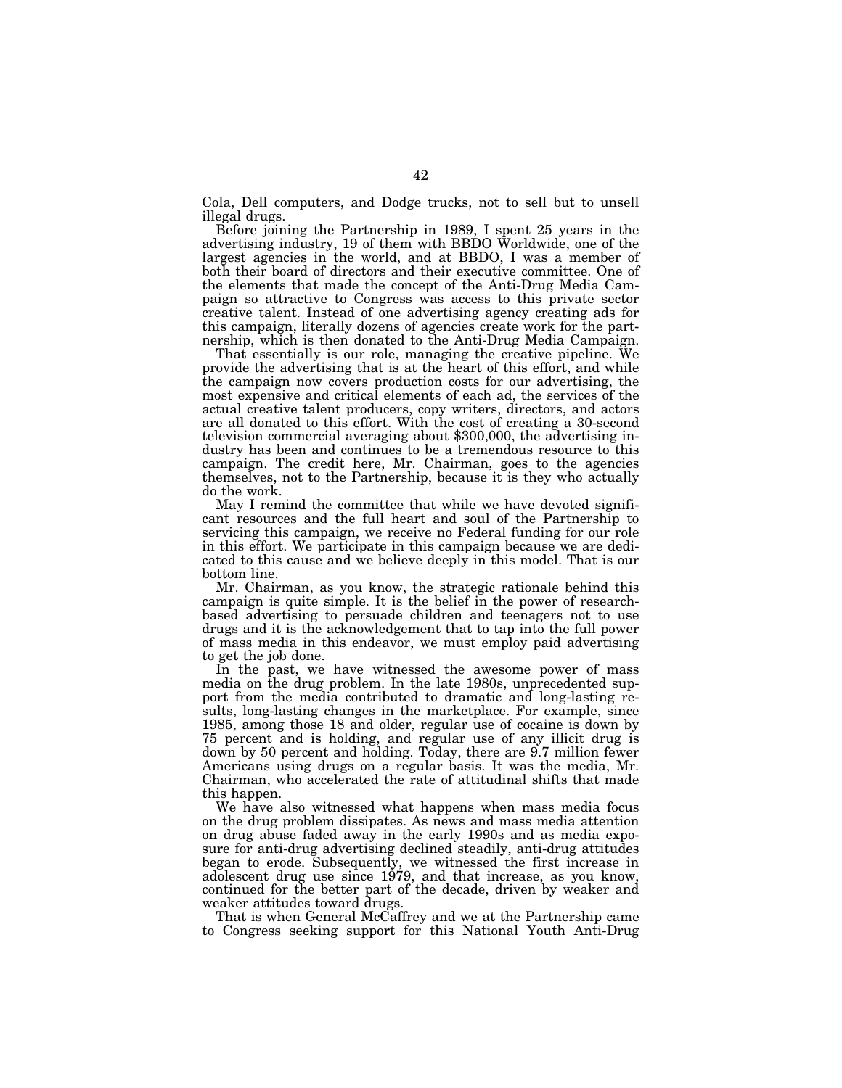Cola, Dell computers, and Dodge trucks, not to sell but to unsell illegal drugs.

Before joining the Partnership in 1989, I spent 25 years in the advertising industry, 19 of them with BBDO Worldwide, one of the largest agencies in the world, and at BBDO, I was a member of both their board of directors and their executive committee. One of the elements that made the concept of the Anti-Drug Media Campaign so attractive to Congress was access to this private sector creative talent. Instead of one advertising agency creating ads for this campaign, literally dozens of agencies create work for the partnership, which is then donated to the Anti-Drug Media Campaign.

That essentially is our role, managing the creative pipeline. We provide the advertising that is at the heart of this effort, and while the campaign now covers production costs for our advertising, the most expensive and critical elements of each ad, the services of the actual creative talent producers, copy writers, directors, and actors are all donated to this effort. With the cost of creating a 30-second television commercial averaging about \$300,000, the advertising industry has been and continues to be a tremendous resource to this campaign. The credit here, Mr. Chairman, goes to the agencies themselves, not to the Partnership, because it is they who actually do the work.

May I remind the committee that while we have devoted significant resources and the full heart and soul of the Partnership to servicing this campaign, we receive no Federal funding for our role in this effort. We participate in this campaign because we are dedicated to this cause and we believe deeply in this model. That is our bottom line.

Mr. Chairman, as you know, the strategic rationale behind this campaign is quite simple. It is the belief in the power of researchbased advertising to persuade children and teenagers not to use drugs and it is the acknowledgement that to tap into the full power of mass media in this endeavor, we must employ paid advertising to get the job done.

In the past, we have witnessed the awesome power of mass media on the drug problem. In the late 1980s, unprecedented support from the media contributed to dramatic and long-lasting results, long-lasting changes in the marketplace. For example, since 1985, among those 18 and older, regular use of cocaine is down by 75 percent and is holding, and regular use of any illicit drug is down by 50 percent and holding. Today, there are 9.7 million fewer Americans using drugs on a regular basis. It was the media, Mr. Chairman, who accelerated the rate of attitudinal shifts that made this happen.

We have also witnessed what happens when mass media focus on the drug problem dissipates. As news and mass media attention on drug abuse faded away in the early 1990s and as media exposure for anti-drug advertising declined steadily, anti-drug attitudes began to erode. Subsequently, we witnessed the first increase in adolescent drug use since 1979, and that increase, as you know, continued for the better part of the decade, driven by weaker and weaker attitudes toward drugs.

That is when General McCaffrey and we at the Partnership came to Congress seeking support for this National Youth Anti-Drug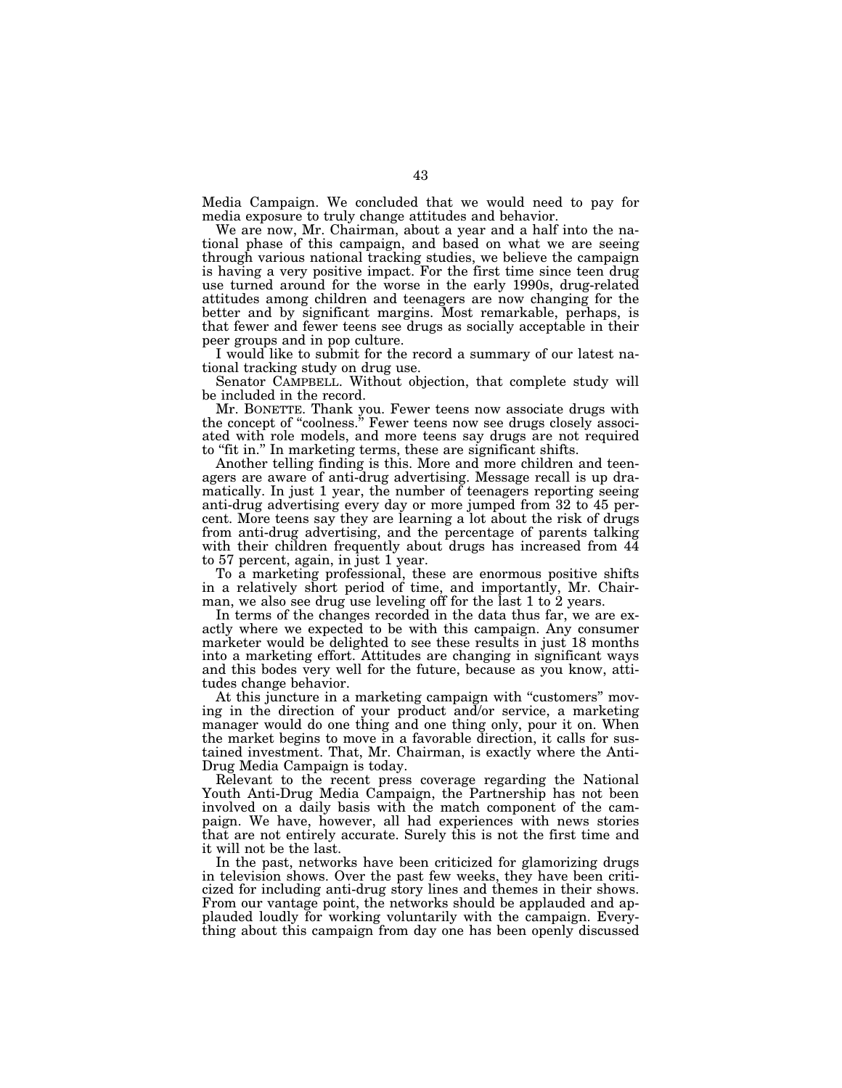Media Campaign. We concluded that we would need to pay for media exposure to truly change attitudes and behavior.

We are now, Mr. Chairman, about a year and a half into the national phase of this campaign, and based on what we are seeing through various national tracking studies, we believe the campaign is having a very positive impact. For the first time since teen drug use turned around for the worse in the early 1990s, drug-related attitudes among children and teenagers are now changing for the better and by significant margins. Most remarkable, perhaps, is that fewer and fewer teens see drugs as socially acceptable in their peer groups and in pop culture.

I would like to submit for the record a summary of our latest national tracking study on drug use.

Senator CAMPBELL. Without objection, that complete study will be included in the record.

Mr. BONETTE. Thank you. Fewer teens now associate drugs with the concept of "coolness." Fewer teens now see drugs closely associated with role models, and more teens say drugs are not required to "fit in." In marketing terms, these are significant shifts.

Another telling finding is this. More and more children and teenagers are aware of anti-drug advertising. Message recall is up dramatically. In just 1 year, the number of teenagers reporting seeing anti-drug advertising every day or more jumped from 32 to 45 percent. More teens say they are learning a lot about the risk of drugs from anti-drug advertising, and the percentage of parents talking with their children frequently about drugs has increased from 44 to 57 percent, again, in just 1 year.

To a marketing professional, these are enormous positive shifts in a relatively short period of time, and importantly, Mr. Chairman, we also see drug use leveling off for the last 1 to 2 years.

In terms of the changes recorded in the data thus far, we are exactly where we expected to be with this campaign. Any consumer marketer would be delighted to see these results in just 18 months into a marketing effort. Attitudes are changing in significant ways and this bodes very well for the future, because as you know, attitudes change behavior.

At this juncture in a marketing campaign with "customers" moving in the direction of your product and/or service, a marketing manager would do one thing and one thing only, pour it on. When the market begins to move in a favorable direction, it calls for sustained investment. That, Mr. Chairman, is exactly where the Anti-Drug Media Campaign is today.

Relevant to the recent press coverage regarding the National Youth Anti-Drug Media Campaign, the Partnership has not been involved on a daily basis with the match component of the campaign. We have, however, all had experiences with news stories that are not entirely accurate. Surely this is not the first time and it will not be the last.

In the past, networks have been criticized for glamorizing drugs in television shows. Over the past few weeks, they have been criticized for including anti-drug story lines and themes in their shows. From our vantage point, the networks should be applauded and applauded loudly for working voluntarily with the campaign. Everything about this campaign from day one has been openly discussed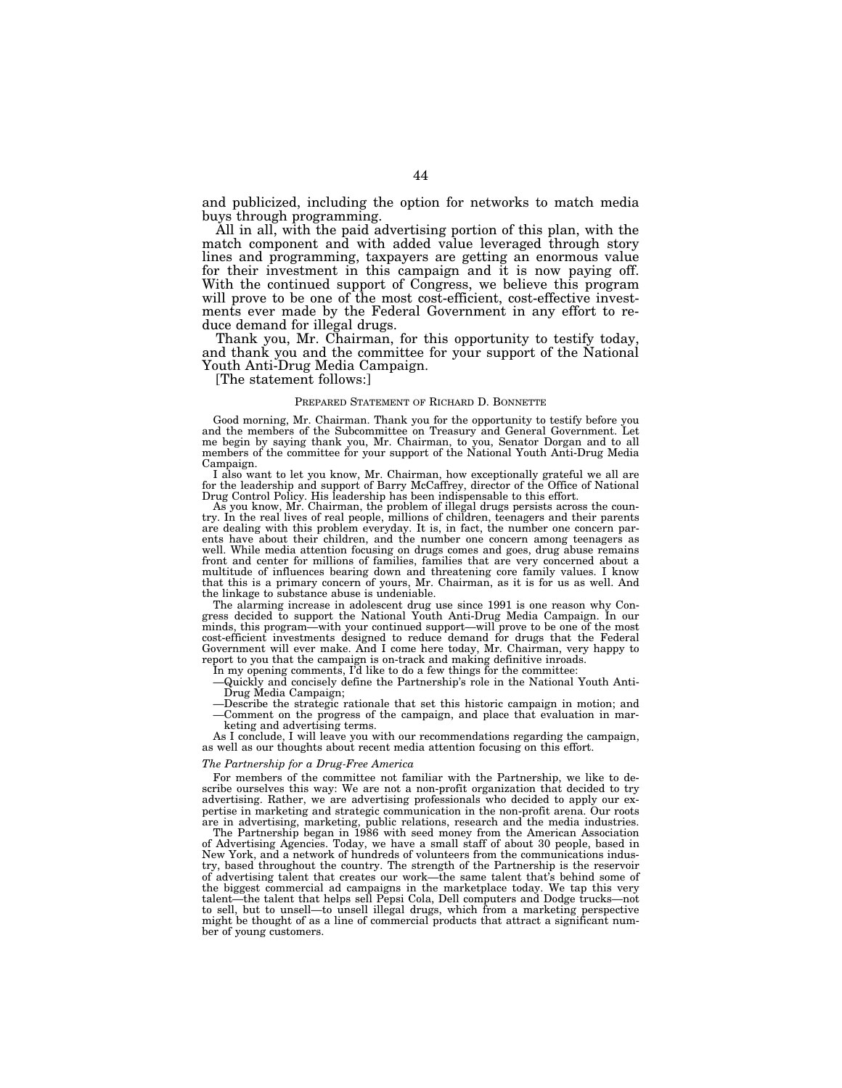and publicized, including the option for networks to match media buys through programming.

All in all, with the paid advertising portion of this plan, with the match component and with added value leveraged through story lines and programming, taxpayers are getting an enormous value for their investment in this campaign and it is now paying off. With the continued support of Congress, we believe this program will prove to be one of the most cost-efficient, cost-effective investments ever made by the Federal Government in any effort to reduce demand for illegal drugs.

Thank you, Mr. Chairman, for this opportunity to testify today, and thank you and the committee for your support of the National Youth Anti-Drug Media Campaign.

[The statement follows:]

# PREPARED STATEMENT OF RICHARD D. BONNETTE

Good morning, Mr. Chairman. Thank you for the opportunity to testify before you and the members of the Subcommittee on Treasury and General Government. Let me begin by saying thank you, Mr. Chairman, to you, Senator Dorgan and to all members of the committee for your support of the National Youth Anti-Drug Media Campaign.

I also want to let you know, Mr. Chairman, how exceptionally grateful we all are for the leadership and support of Barry McCaffrey, director of the Office of National Drug Control Policy. His leadership has been indispensable to this effort.

As you know, Mr. Chairman, the problem of illegal drugs persists across the country. In the real lives of real people, millions of children, teenagers and their parents are dealing with this problem everyday. It is, in fact, the number one concern parents have about their children, and the number one concern among teenagers as well. While media attention focusing on drugs comes and goes, drug abuse remains front and center for millions of families, families that are very concerned about a multitude of influences bearing down and threatening core family values. I know that this is a primary concern of yours, Mr. Chairman, as it is for us as well. And the linkage to substance abuse is undeniable.

The alarming increase in adolescent drug use since 1991 is one reason why Congress decided to support the National Youth Anti-Drug Media Campaign. In our minds, this program—with your continued support—will prove to be one of the most cost-efficient investments designed to reduce demand for drugs that the Federal Government will ever make. And I come here today, Mr. Chairman, very happy to report to you that the campaign is on-track and making definitive inroads.

In my opening comments, I'd like to do a few things for the committee:

—Quickly and concisely define the Partnership's role in the National Youth Anti-Drug Media Campaign;

—Describe the strategic rationale that set this historic campaign in motion; and —Comment on the progress of the campaign, and place that evaluation in mar-

keting and advertising terms.

As I conclude, I will leave you with our recommendations regarding the campaign, as well as our thoughts about recent media attention focusing on this effort.

#### *The Partnership for a Drug-Free America*

For members of the committee not familiar with the Partnership, we like to describe ourselves this way: We are not a non-profit organization that decided to try advertising. Rather, we are advertising professionals who decided to apply our expertise in marketing and strategic communication in the non-profit arena. Our roots are in advertising, marketing, public relations, research and the media industries.

The Partnership began in 1986 with seed money from the American Association of Advertising Agencies. Today, we have a small staff of about 30 people, based in New York, and a network of hundreds of volunteers from the communications industry, based throughout the country. The strength of the Partnership is the reservoir of advertising talent that creates our work—the same talent that's behind some of the biggest commercial ad campaigns in the marketplace today. We tap this very talent—the talent that helps sell Pepsi Cola. Dell computers and Dodge trucks—not  $\stackrel{\sim}{\text{the}}$  talent that helps sell Pepsi Cola, Dell computers and Dodge trucks—not to sell, but to unsell—to unsell illegal drugs, which from a marketing perspective might be thought of as a line of commercial products that attract a significant number of young customers.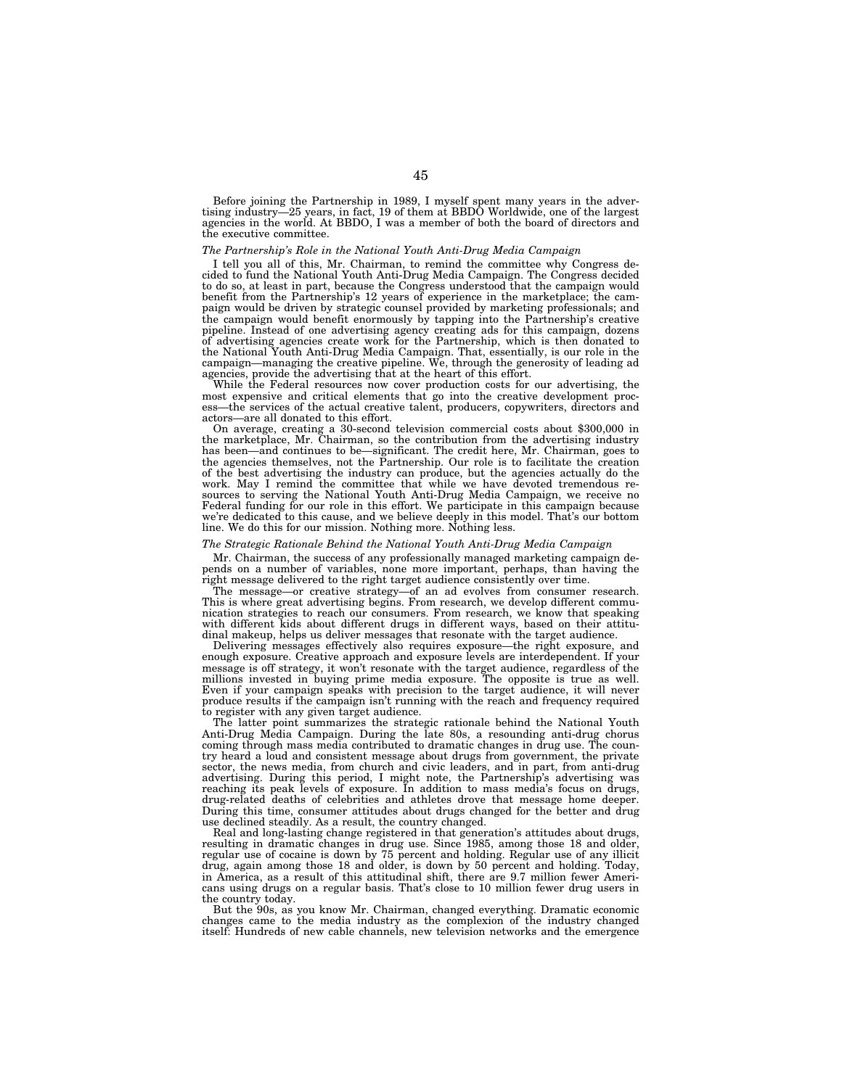Before joining the Partnership in 1989, I myself spent many years in the advertising industry—25 years, in fact, 19 of them at BBDO Worldwide, one of the largest agencies in the world. At BBDO, I was a member of both the board of directors and the executive committee.

# *The Partnership's Role in the National Youth Anti-Drug Media Campaign*

I tell you all of this, Mr. Chairman, to remind the committee why Congress decided to fund the National Youth Anti-Drug Media Campaign. The Congress decided to do so, at least in part, because the Congress understood that the campaign would benefit from the Partnership's 12 years of experience in the marketplace; the campaign would be driven by strategic counsel provided by marketing professionals; and the campaign would benefit enormously by tapping into the Partnership's creative pipeline. Instead of one advertising agency creating ads for this campaign, dozens of advertising agencies create work for the Partnership, which is then donated to the National Youth Anti-Drug Media Campaign. That, essentially, is our role in the campaign—managing the creative pipeline. We, through the generosity of leading ad agencies, provide the advertising that at the heart of this effort.

While the Federal resources now cover production costs for our advertising, the most expensive and critical elements that go into the creative development process—the services of the actual creative talent, producers, copywriters, directors and actors—are all donated to this effort.

On average, creating a 30-second television commercial costs about \$300,000 in the marketplace, Mr. Chairman, so the contribution from the advertising industry has been—and continues to be—significant. The credit here, Mr. Chairman, goes to the agencies themselves, not the Partnership. Our role is to facilitate the creation of the best advertising the industry can produce, but the agencies actually do the work. May I remind the committee that while we have devoted tremendous resources to serving the National Youth Anti-Drug Media Campaign, we receive no Federal funding for our role in this effort. We participate in this campaign because we're dedicated to this cause, and we believe deeply in this model. That's our bottom line. We do this for our mission. Nothing more. Nothing less.

# *The Strategic Rationale Behind the National Youth Anti-Drug Media Campaign*

Mr. Chairman, the success of any professionally managed marketing campaign depends on a number of variables, none more important, perhaps, than having the right message delivered to the right target audience consistently over time.

The message—or creative strategy—of an ad evolves from consumer research. This is where great advertising begins. From research, we develop different communication strategies to reach our consumers. From research, we know that speaking with different kids about different drugs in different ways, based on their attitudinal makeup, helps us deliver messages that resonate with the target audience.

Delivering messages effectively also requires exposure—the right exposure, and enough exposure. Creative approach and exposure levels are interdependent. If your message is off strategy, it won't resonate with the target audience, regardless of the millions invested in buying prime media exposure. The opposite is true as well. Even if your campaign speaks with precision to the target audience, it will never produce results if the campaign isn't running with the reach and frequency required to register with any given target audience.

The latter point summarizes the strategic rationale behind the National Youth Anti-Drug Media Campaign. During the late 80s, a resounding anti-drug chorus coming through mass media contributed to dramatic changes in drug use. The country heard a loud and consistent message about drugs from government, the private sector, the news media, from church and civic leaders, and in part, from anti-drug advertising. During this period, I might note, the Partnership's advertising was reaching its peak levels of exposure. In addition to mass media's focus on drugs, drug-related deaths of celebrities and athletes drove that message home deeper. During this time, consumer attitudes about drugs changed for the better and drug use declined steadily. As a result, the country changed.

Real and long-lasting change registered in that generation's attitudes about drugs, resulting in dramatic changes in drug use. Since 1985, among those 18 and older, regular use of cocaine is down by 75 percent and holding. Regular use of any illicit drug, again among those 18 and older, is down by 50 percent and holding. Today, in America, as a result of this attitudinal shift, there are 9.7 million fewer Americans using drugs on a regular basis. That's close to 10 million fewer drug users in the country today.

But the 90s, as you know Mr. Chairman, changed everything. Dramatic economic changes came to the media industry as the complexion of the industry changed itself: Hundreds of new cable channels, new television networks and the emergence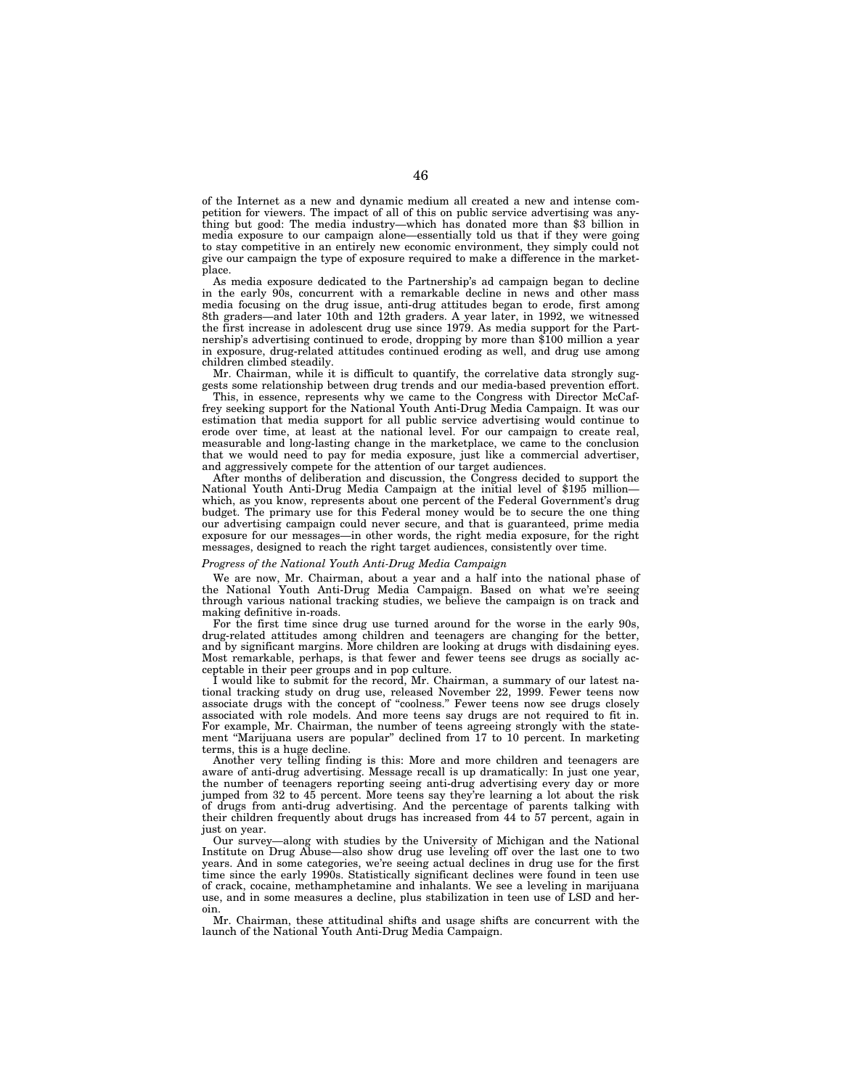of the Internet as a new and dynamic medium all created a new and intense competition for viewers. The impact of all of this on public service advertising was anything but good: The media industry—which has donated more than \$3 billion in media exposure to our campaign alone—essentially told us that if they were going to stay competitive in an entirely new economic environment, they simply could not give our campaign the type of exposure required to make a difference in the marketplace.

As media exposure dedicated to the Partnership's ad campaign began to decline in the early 90s, concurrent with a remarkable decline in news and other mass media focusing on the drug issue, anti-drug attitudes began to erode, first among 8th graders—and later 10th and 12th graders. A year later, in 1992, we witnessed the first increase in adolescent drug use since 1979. As media support for the Partnership's advertising continued to erode, dropping by more than \$100 million a year in exposure, drug-related attitudes continued eroding as well, and drug use among children climbed steadily.

Mr. Chairman, while it is difficult to quantify, the correlative data strongly suggests some relationship between drug trends and our media-based prevention effort.

This, in essence, represents why we came to the Congress with Director McCaffrey seeking support for the National Youth Anti-Drug Media Campaign. It was our estimation that media support for all public service advertising would continue to erode over time, at least at the national level. For our campaign to create real, measurable and long-lasting change in the marketplace, we came to the conclusion that we would need to pay for media exposure, just like a commercial advertiser, and aggressively compete for the attention of our target audiences.

After months of deliberation and discussion, the Congress decided to support the National Youth Anti-Drug Media Campaign at the initial level of \$195 million which, as you know, represents about one percent of the Federal Government's drug budget. The primary use for this Federal money would be to secure the one thing our advertising campaign could never secure, and that is guaranteed, prime media exposure for our messages—in other words, the right media exposure, for the right messages, designed to reach the right target audiences, consistently over time.

# *Progress of the National Youth Anti-Drug Media Campaign*

We are now, Mr. Chairman, about a year and a half into the national phase of the National Youth Anti-Drug Media Campaign. Based on what we're seeing through various national tracking studies, we believe the campaign is on track and making definitive in-roads.

For the first time since drug use turned around for the worse in the early 90s, drug-related attitudes among children and teenagers are changing for the better, and by significant margins. More children are looking at drugs with disdaining eyes. Most remarkable, perhaps, is that fewer and fewer teens see drugs as socially acceptable in their peer groups and in pop culture.

I would like to submit for the record, Mr. Chairman, a summary of our latest national tracking study on drug use, released November 22, 1999. Fewer teens now associate drugs with the concept of ''coolness.'' Fewer teens now see drugs closely associated with role models. And more teens say drugs are not required to fit in. For example, Mr. Chairman, the number of teens agreeing strongly with the statement "Marijuana users are popular" declined from 17 to 10 percent. In marketing terms, this is a huge decline.

Another very telling finding is this: More and more children and teenagers are aware of anti-drug advertising. Message recall is up dramatically: In just one year, the number of teenagers reporting seeing anti-drug advertising every day or more jumped from 32 to 45 percent. More teens say they're learning a lot about the risk of drugs from anti-drug advertising. And the percentage of parents talking with their children frequently about drugs has increased from 44 to 57 percent, again in just on year.

Our survey—along with studies by the University of Michigan and the National Institute on Drug Abuse—also show drug use leveling off over the last one to two years. And in some categories, we're seeing actual declines in drug use for the first time since the early 1990s. Statistically significant declines were found in teen use of crack, cocaine, methamphetamine and inhalants. We see a leveling in marijuana use, and in some measures a decline, plus stabilization in teen use of LSD and heroin.

Mr. Chairman, these attitudinal shifts and usage shifts are concurrent with the launch of the National Youth Anti-Drug Media Campaign.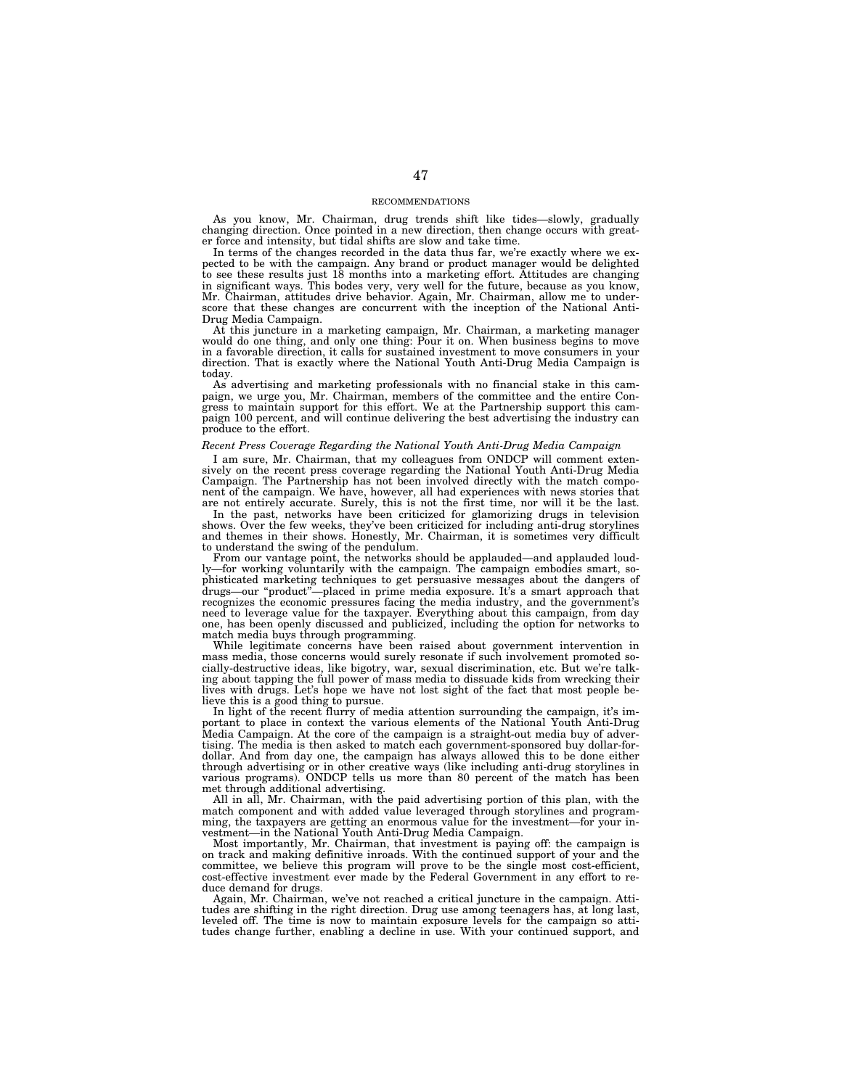### RECOMMENDATIONS

As you know, Mr. Chairman, drug trends shift like tides—slowly, gradually changing direction. Once pointed in a new direction, then change occurs with greater force and intensity, but tidal shifts are slow and take time.

In terms of the changes recorded in the data thus far, we're exactly where we expected to be with the campaign. Any brand or product manager would be delighted to see these results just 18 months into a marketing effort. Attitudes are changing in significant ways. This bodes very, very well for the future, because as you know, Mr. Chairman, attitudes drive behavior. Again, Mr. Chairman, allow me to underscore that these changes are concurrent with the inception of the National Anti-Drug Media Campaign.

At this juncture in a marketing campaign, Mr. Chairman, a marketing manager would do one thing, and only one thing: Pour it on. When business begins to move in a favorable direction, it calls for sustained investment to move consumers in your direction. That is exactly where the National Youth Anti-Drug Media Campaign is today.

As advertising and marketing professionals with no financial stake in this campaign, we urge you, Mr. Chairman, members of the committee and the entire Congress to maintain support for this effort. We at the Partnership support this campaign 100 percent, and will continue delivering the best advertising the industry can produce to the effort.

# *Recent Press Coverage Regarding the National Youth Anti-Drug Media Campaign*

I am sure, Mr. Chairman, that my colleagues from ONDCP will comment extensively on the recent press coverage regarding the National Youth Anti-Drug Media Campaign. The Partnership has not been involved directly with the match component of the campaign. We have, however, all had experiences with news stories that are not entirely accurate. Surely, this is not the first time, nor will it be the last.

In the past, networks have been criticized for glamorizing drugs in television shows. Over the few weeks, they've been criticized for including anti-drug storylines and themes in their shows. Honestly, Mr. Chairman, it is sometimes very difficult to understand the swing of the pendulum.

From our vantage point, the networks should be applauded—and applauded loudly—for working voluntarily with the campaign. The campaign embodies smart, sophisticated marketing techniques to get persuasive messages about the dangers of drugs—our ''product''—placed in prime media exposure. It's a smart approach that recognizes the economic pressures facing the media industry, and the government's need to leverage value for the taxpayer. Everything about this campaign, from day one, has been openly discussed and publicized, including the option for networks to match media buys through programming.

While legitimate concerns have been raised about government intervention in mass media, those concerns would surely resonate if such involvement promoted socially-destructive ideas, like bigotry, war, sexual discrimination, etc. But we're talking about tapping the full power of mass media to dissuade kids from wrecking their lives with drugs. Let's hope we have not lost sight of the fact that most people believe this is a good thing to pursue.

In light of the recent flurry of media attention surrounding the campaign, it's important to place in context the various elements of the National Youth Anti-Drug Media Campaign. At the core of the campaign is a straight-out media buy of advertising. The media is then asked to match each government-sponsored buy dollar-fordollar. And from day one, the campaign has always allowed this to be done either through advertising or in other creative ways (like including anti-drug storylines in various programs). ONDCP tells us more than 80 percent of the match has been met through additional advertising.

All in all, Mr. Chairman, with the paid advertising portion of this plan, with the match component and with added value leveraged through storylines and programming, the taxpayers are getting an enormous value for the investment—for your investment—in the National Youth Anti-Drug Media Campaign.

Most importantly, Mr. Chairman, that investment is paying off: the campaign is on track and making definitive inroads. With the continued support of your and the committee, we believe this program will prove to be the single most cost-efficient, cost-effective investment ever made by the Federal Government in any effort to reduce demand for drugs.

Again, Mr. Chairman, we've not reached a critical juncture in the campaign. Attitudes are shifting in the right direction. Drug use among teenagers has, at long last, leveled off. The time is now to maintain exposure levels for the campaign so attitudes change further, enabling a decline in use. With your continued support, and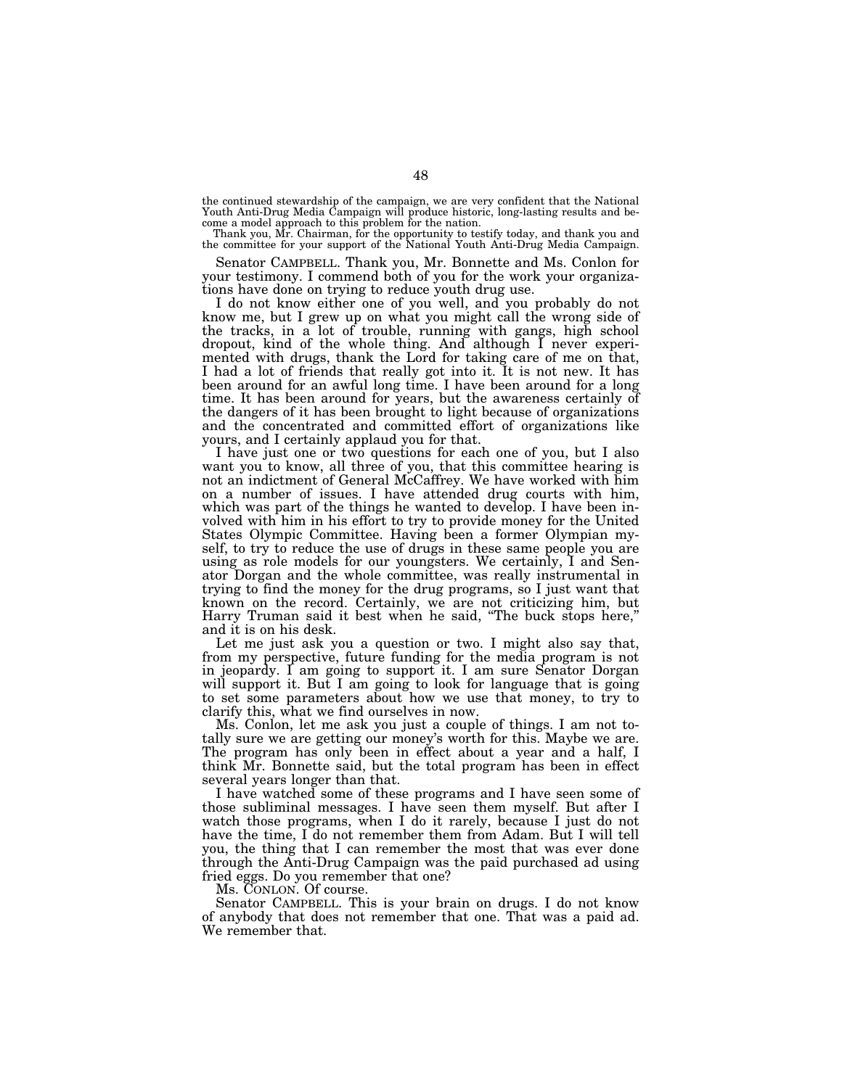the continued stewardship of the campaign, we are very confident that the National Youth Anti-Drug Media Campaign will produce historic, long-lasting results and be-come a model approach to this problem for the nation.

Thank you, Mr. Chairman, for the opportunity to testify today, and thank you and the committee for your support of the National Youth Anti-Drug Media Campaign.

Senator CAMPBELL. Thank you, Mr. Bonnette and Ms. Conlon for your testimony. I commend both of you for the work your organizations have done on trying to reduce youth drug use.

I do not know either one of you well, and you probably do not know me, but I grew up on what you might call the wrong side of the tracks, in a lot of trouble, running with gangs, high school dropout, kind of the whole thing. And although I never experimented with drugs, thank the Lord for taking care of me on that, I had a lot of friends that really got into it. It is not new. It has been around for an awful long time. I have been around for a long time. It has been around for years, but the awareness certainly of the dangers of it has been brought to light because of organizations and the concentrated and committed effort of organizations like yours, and I certainly applaud you for that.

I have just one or two questions for each one of you, but I also want you to know, all three of you, that this committee hearing is not an indictment of General McCaffrey. We have worked with him on a number of issues. I have attended drug courts with him, which was part of the things he wanted to develop. I have been involved with him in his effort to try to provide money for the United States Olympic Committee. Having been a former Olympian myself, to try to reduce the use of drugs in these same people you are using as role models for our youngsters. We certainly, I and Senator Dorgan and the whole committee, was really instrumental in trying to find the money for the drug programs, so I just want that known on the record. Certainly, we are not criticizing him, but Harry Truman said it best when he said, ''The buck stops here,'' and it is on his desk.

Let me just ask you a question or two. I might also say that, from my perspective, future funding for the media program is not in jeopardy. I am going to support it. I am sure Senator Dorgan will support it. But I am going to look for language that is going to set some parameters about how we use that money, to try to clarify this, what we find ourselves in now.

Ms. Conlon, let me ask you just a couple of things. I am not totally sure we are getting our money's worth for this. Maybe we are. The program has only been in effect about a year and a half, I think Mr. Bonnette said, but the total program has been in effect several years longer than that.

I have watched some of these programs and I have seen some of those subliminal messages. I have seen them myself. But after I watch those programs, when I do it rarely, because I just do not have the time, I do not remember them from Adam. But I will tell you, the thing that I can remember the most that was ever done through the Anti-Drug Campaign was the paid purchased ad using fried eggs. Do you remember that one?

Ms. CONLON. Of course.

Senator CAMPBELL. This is your brain on drugs. I do not know of anybody that does not remember that one. That was a paid ad. We remember that.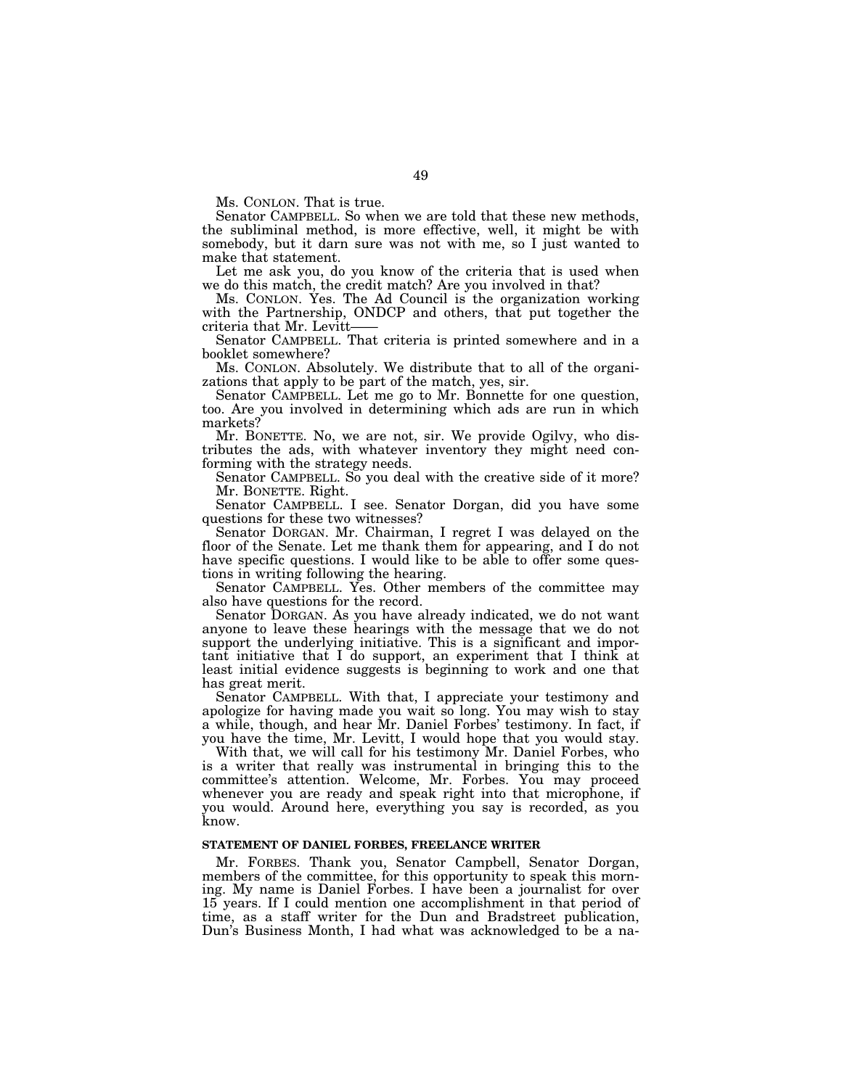Ms. CONLON. That is true.

Senator CAMPBELL. So when we are told that these new methods, the subliminal method, is more effective, well, it might be with somebody, but it darn sure was not with me, so I just wanted to make that statement.

Let me ask you, do you know of the criteria that is used when we do this match, the credit match? Are you involved in that?

Ms. CONLON. Yes. The Ad Council is the organization working with the Partnership, ONDCP and others, that put together the criteria that Mr. Levitt——<br>Senator CAMPBELL. That criteria is printed somewhere and in a

booklet somewhere?

Ms. CONLON. Absolutely. We distribute that to all of the organizations that apply to be part of the match, yes, sir.

Senator CAMPBELL. Let me go to Mr. Bonnette for one question, too. Are you involved in determining which ads are run in which markets?

Mr. BONETTE. No, we are not, sir. We provide Ogilvy, who distributes the ads, with whatever inventory they might need conforming with the strategy needs.

Senator CAMPBELL. So you deal with the creative side of it more? Mr. BONETTE. Right.

Senator CAMPBELL. I see. Senator Dorgan, did you have some questions for these two witnesses?

Senator DORGAN. Mr. Chairman, I regret I was delayed on the floor of the Senate. Let me thank them for appearing, and I do not have specific questions. I would like to be able to offer some questions in writing following the hearing.

Senator CAMPBELL. Yes. Other members of the committee may also have questions for the record.

Senator DORGAN. As you have already indicated, we do not want anyone to leave these hearings with the message that we do not support the underlying initiative. This is a significant and important initiative that I do support, an experiment that I think at least initial evidence suggests is beginning to work and one that has great merit.

Senator CAMPBELL. With that, I appreciate your testimony and apologize for having made you wait so long. You may wish to stay a while, though, and hear Mr. Daniel Forbes' testimony. In fact, if you have the time, Mr. Levitt, I would hope that you would stay.

With that, we will call for his testimony Mr. Daniel Forbes, who is a writer that really was instrumental in bringing this to the committee's attention. Welcome, Mr. Forbes. You may proceed whenever you are ready and speak right into that microphone, if you would. Around here, everything you say is recorded, as you know.

# **STATEMENT OF DANIEL FORBES, FREELANCE WRITER**

Mr. FORBES. Thank you, Senator Campbell, Senator Dorgan, members of the committee, for this opportunity to speak this morning. My name is Daniel Forbes. I have been a journalist for over 15 years. If I could mention one accomplishment in that period of time, as a staff writer for the Dun and Bradstreet publication, Dun's Business Month, I had what was acknowledged to be a na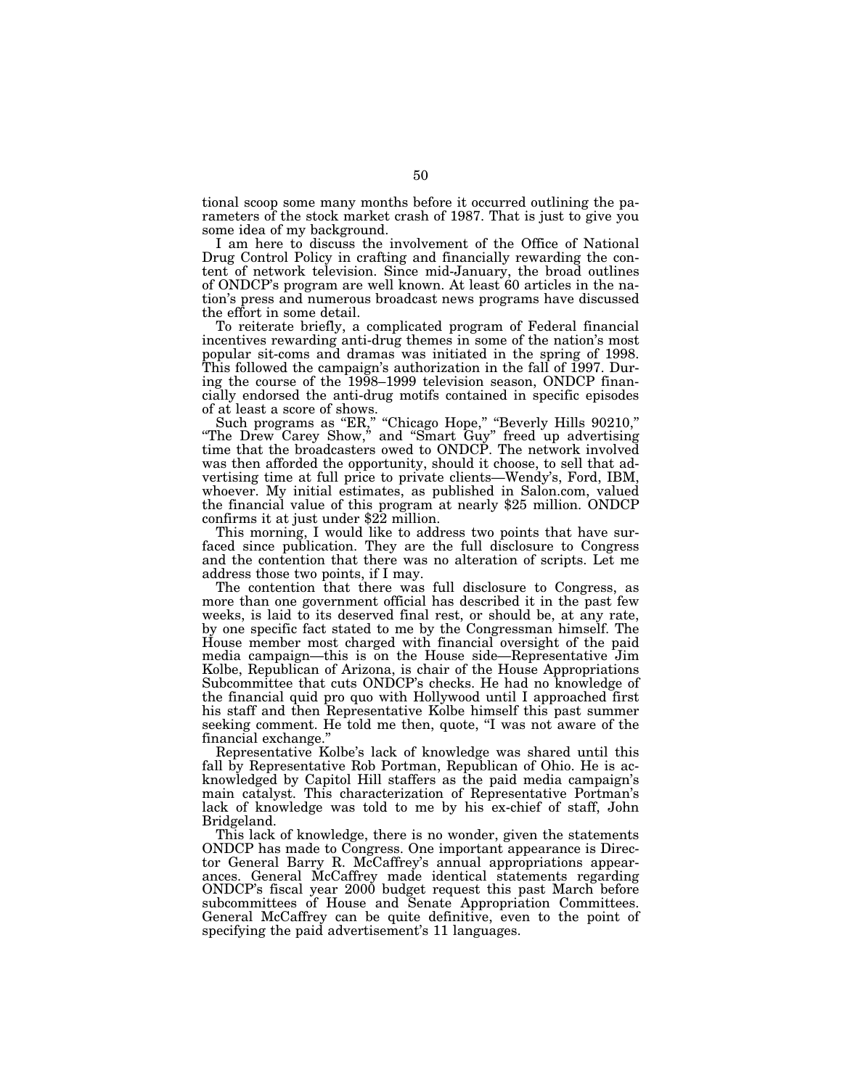tional scoop some many months before it occurred outlining the parameters of the stock market crash of 1987. That is just to give you some idea of my background.

I am here to discuss the involvement of the Office of National Drug Control Policy in crafting and financially rewarding the content of network television. Since mid-January, the broad outlines of ONDCP's program are well known. At least 60 articles in the nation's press and numerous broadcast news programs have discussed the effort in some detail.

To reiterate briefly, a complicated program of Federal financial incentives rewarding anti-drug themes in some of the nation's most popular sit-coms and dramas was initiated in the spring of 1998. This followed the campaign's authorization in the fall of 1997. During the course of the 1998–1999 television season, ONDCP financially endorsed the anti-drug motifs contained in specific episodes of at least a score of shows.

Such programs as "ER," "Chicago Hope," "Beverly Hills 90210,"<br>"The Drew Carey Show," and "Smart Guy" freed up advertising time that the broadcasters owed to ONDCP. The network involved was then afforded the opportunity, should it choose, to sell that advertising time at full price to private clients—Wendy's, Ford, IBM, whoever. My initial estimates, as published in Salon.com, valued the financial value of this program at nearly \$25 million. ONDCP confirms it at just under \$22 million.

This morning, I would like to address two points that have surfaced since publication. They are the full disclosure to Congress and the contention that there was no alteration of scripts. Let me address those two points, if I may.

The contention that there was full disclosure to Congress, as more than one government official has described it in the past few weeks, is laid to its deserved final rest, or should be, at any rate, by one specific fact stated to me by the Congressman himself. The House member most charged with financial oversight of the paid media campaign—this is on the House side—Representative Jim Kolbe, Republican of Arizona, is chair of the House Appropriations Subcommittee that cuts ONDCP's checks. He had no knowledge of the financial quid pro quo with Hollywood until I approached first his staff and then Representative Kolbe himself this past summer seeking comment. He told me then, quote, "I was not aware of the financial exchange.''

Representative Kolbe's lack of knowledge was shared until this fall by Representative Rob Portman, Republican of Ohio. He is acknowledged by Capitol Hill staffers as the paid media campaign's main catalyst. This characterization of Representative Portman's lack of knowledge was told to me by his ex-chief of staff, John Bridgeland.

This lack of knowledge, there is no wonder, given the statements ONDCP has made to Congress. One important appearance is Director General Barry R. McCaffrey's annual appropriations appearances. General McCaffrey made identical statements regarding ONDCP's fiscal year 2000 budget request this past March before subcommittees of House and Senate Appropriation Committees. General McCaffrey can be quite definitive, even to the point of specifying the paid advertisement's 11 languages.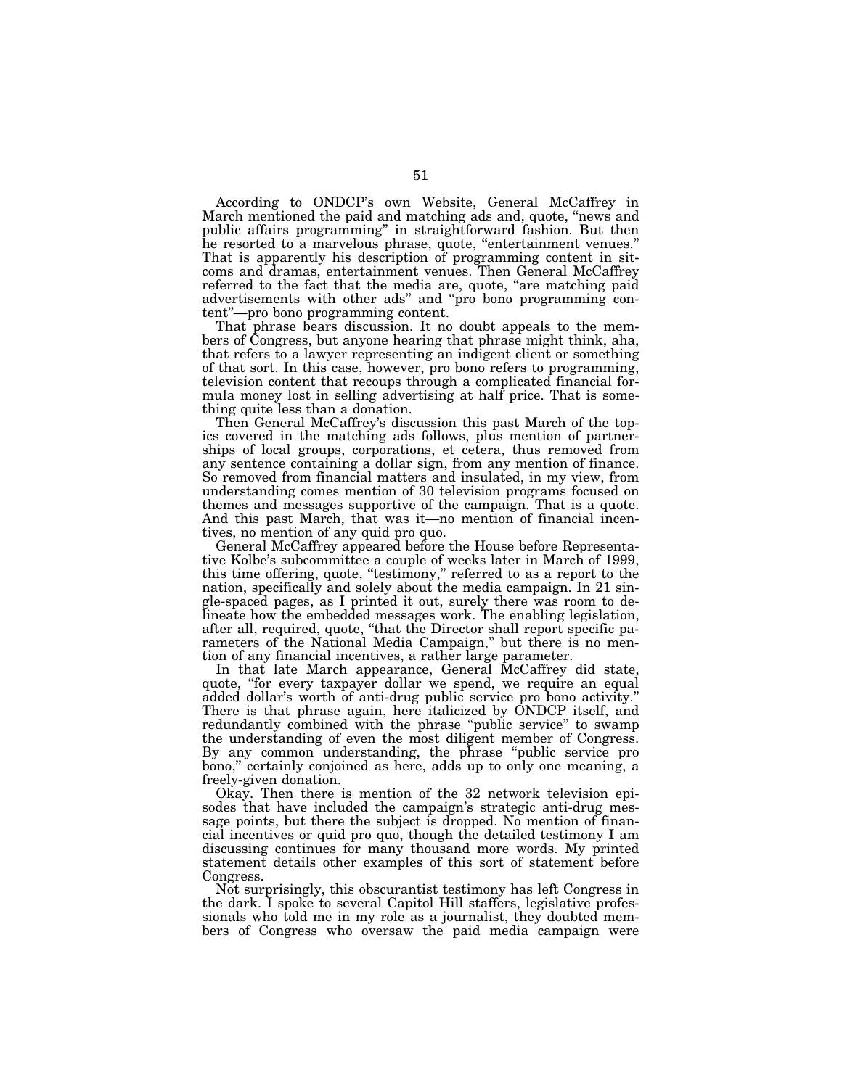According to ONDCP's own Website, General McCaffrey in March mentioned the paid and matching ads and, quote, ''news and public affairs programming'' in straightforward fashion. But then he resorted to a marvelous phrase, quote, "entertainment venues."<br>That is apparently his description of programming content in sitcoms and dramas, entertainment venues. Then General McCaffrey referred to the fact that the media are, quote, "are matching paid advertisements with other ads'' and ''pro bono programming content''—pro bono programming content.

That phrase bears discussion. It no doubt appeals to the members of Congress, but anyone hearing that phrase might think, aha, that refers to a lawyer representing an indigent client or something of that sort. In this case, however, pro bono refers to programming, television content that recoups through a complicated financial formula money lost in selling advertising at half price. That is something quite less than a donation.

Then General McCaffrey's discussion this past March of the topics covered in the matching ads follows, plus mention of partnerships of local groups, corporations, et cetera, thus removed from any sentence containing a dollar sign, from any mention of finance. So removed from financial matters and insulated, in my view, from understanding comes mention of 30 television programs focused on themes and messages supportive of the campaign. That is a quote. And this past March, that was it—no mention of financial incentives, no mention of any quid pro quo.

General McCaffrey appeared before the House before Representative Kolbe's subcommittee a couple of weeks later in March of 1999, this time offering, quote, "testimony," referred to as a report to the nation, specifically and solely about the media campaign. In 21 single-spaced pages, as I printed it out, surely there was room to delineate how the embedded messages work. The enabling legislation, after all, required, quote, ''that the Director shall report specific parameters of the National Media Campaign,'' but there is no mention of any financial incentives, a rather large parameter.

In that late March appearance, General McCaffrey did state, quote, ''for every taxpayer dollar we spend, we require an equal added dollar's worth of anti-drug public service pro bono activity.'' There is that phrase again, here italicized by ONDCP itself, and redundantly combined with the phrase "public service" to swamp the understanding of even the most diligent member of Congress. By any common understanding, the phrase ''public service pro bono,'' certainly conjoined as here, adds up to only one meaning, a freely-given donation.

Okay. Then there is mention of the 32 network television episodes that have included the campaign's strategic anti-drug message points, but there the subject is dropped. No mention of financial incentives or quid pro quo, though the detailed testimony I am discussing continues for many thousand more words. My printed statement details other examples of this sort of statement before Congress.

Not surprisingly, this obscurantist testimony has left Congress in the dark. I spoke to several Capitol Hill staffers, legislative professionals who told me in my role as a journalist, they doubted members of Congress who oversaw the paid media campaign were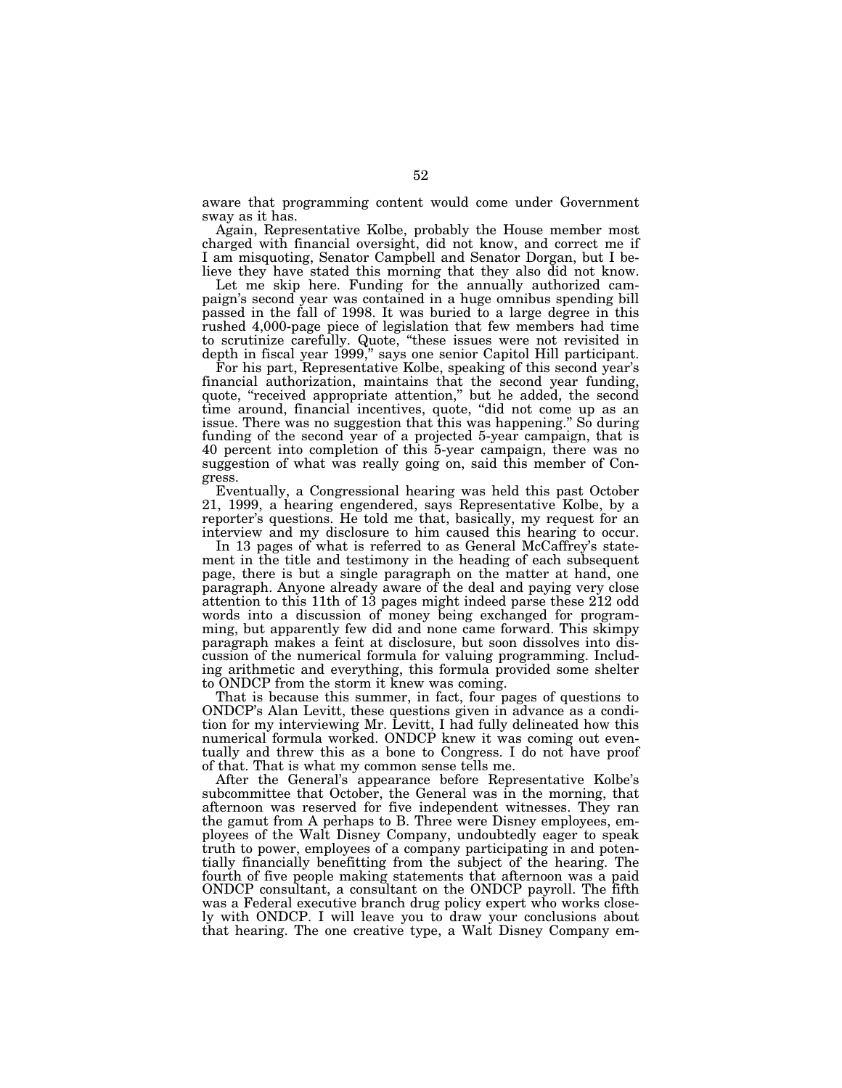aware that programming content would come under Government sway as it has.

Again, Representative Kolbe, probably the House member most charged with financial oversight, did not know, and correct me if I am misquoting, Senator Campbell and Senator Dorgan, but I believe they have stated this morning that they also did not know.

Let me skip here. Funding for the annually authorized campaign's second year was contained in a huge omnibus spending bill passed in the fall of 1998. It was buried to a large degree in this rushed 4,000-page piece of legislation that few members had time to scrutinize carefully. Quote, ''these issues were not revisited in depth in fiscal year 1999,'' says one senior Capitol Hill participant.

For his part, Representative Kolbe, speaking of this second year's financial authorization, maintains that the second year funding, quote, "received appropriate attention," but he added, the second time around, financial incentives, quote, ''did not come up as an issue. There was no suggestion that this was happening.'' So during funding of the second year of a projected 5-year campaign, that is 40 percent into completion of this 5-year campaign, there was no suggestion of what was really going on, said this member of Congress.

Eventually, a Congressional hearing was held this past October 21, 1999, a hearing engendered, says Representative Kolbe, by a reporter's questions. He told me that, basically, my request for an interview and my disclosure to him caused this hearing to occur.

In 13 pages of what is referred to as General McCaffrey's statement in the title and testimony in the heading of each subsequent page, there is but a single paragraph on the matter at hand, one paragraph. Anyone already aware of the deal and paying very close attention to this 11th of 13 pages might indeed parse these 212 odd words into a discussion of money being exchanged for programming, but apparently few did and none came forward. This skimpy paragraph makes a feint at disclosure, but soon dissolves into discussion of the numerical formula for valuing programming. Including arithmetic and everything, this formula provided some shelter to ONDCP from the storm it knew was coming.

That is because this summer, in fact, four pages of questions to ONDCP's Alan Levitt, these questions given in advance as a condition for my interviewing Mr. Levitt, I had fully delineated how this numerical formula worked. ONDCP knew it was coming out eventually and threw this as a bone to Congress. I do not have proof of that. That is what my common sense tells me.

After the General's appearance before Representative Kolbe's subcommittee that October, the General was in the morning, that afternoon was reserved for five independent witnesses. They ran the gamut from A perhaps to B. Three were Disney employees, employees of the Walt Disney Company, undoubtedly eager to speak truth to power, employees of a company participating in and potentially financially benefitting from the subject of the hearing. The fourth of five people making statements that afternoon was a paid ONDCP consultant, a consultant on the ONDCP payroll. The fifth was a Federal executive branch drug policy expert who works closely with ONDCP. I will leave you to draw your conclusions about that hearing. The one creative type, a Walt Disney Company em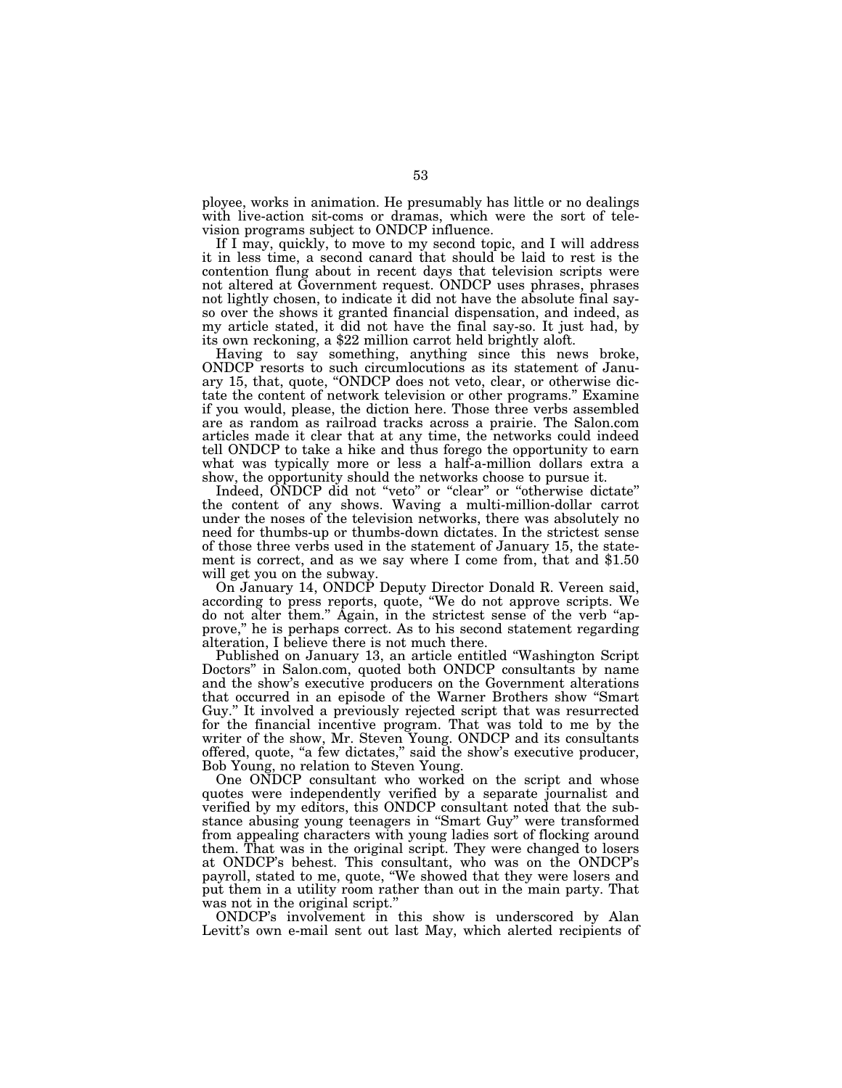ployee, works in animation. He presumably has little or no dealings with live-action sit-coms or dramas, which were the sort of television programs subject to ONDCP influence.

If I may, quickly, to move to my second topic, and I will address it in less time, a second canard that should be laid to rest is the contention flung about in recent days that television scripts were not altered at Government request. ONDCP uses phrases, phrases not lightly chosen, to indicate it did not have the absolute final sayso over the shows it granted financial dispensation, and indeed, as my article stated, it did not have the final say-so. It just had, by its own reckoning, a \$22 million carrot held brightly aloft.

Having to say something, anything since this news broke, ONDCP resorts to such circumlocutions as its statement of January 15, that, quote, ''ONDCP does not veto, clear, or otherwise dictate the content of network television or other programs.'' Examine if you would, please, the diction here. Those three verbs assembled are as random as railroad tracks across a prairie. The Salon.com articles made it clear that at any time, the networks could indeed tell ONDCP to take a hike and thus forego the opportunity to earn what was typically more or less a half-a-million dollars extra a show, the opportunity should the networks choose to pursue it.

Indeed, ONDCP did not "veto" or "clear" or "otherwise dictate" the content of any shows. Waving a multi-million-dollar carrot under the noses of the television networks, there was absolutely no need for thumbs-up or thumbs-down dictates. In the strictest sense of those three verbs used in the statement of January 15, the statement is correct, and as we say where I come from, that and \$1.50 will get you on the subway.

On January 14, ONDCP Deputy Director Donald R. Vereen said, according to press reports, quote, ''We do not approve scripts. We do not alter them.'' Again, in the strictest sense of the verb ''approve,'' he is perhaps correct. As to his second statement regarding alteration, I believe there is not much there.

Published on January 13, an article entitled ''Washington Script Doctors'' in Salon.com, quoted both ONDCP consultants by name and the show's executive producers on the Government alterations that occurred in an episode of the Warner Brothers show ''Smart Guy.'' It involved a previously rejected script that was resurrected for the financial incentive program. That was told to me by the writer of the show, Mr. Steven Young. ONDCP and its consultants offered, quote, ''a few dictates,'' said the show's executive producer, Bob Young, no relation to Steven Young.

One ONDCP consultant who worked on the script and whose quotes were independently verified by a separate journalist and verified by my editors, this ONDCP consultant noted that the substance abusing young teenagers in ''Smart Guy'' were transformed from appealing characters with young ladies sort of flocking around them. That was in the original script. They were changed to losers at ONDCP's behest. This consultant, who was on the ONDCP's payroll, stated to me, quote, ''We showed that they were losers and put them in a utility room rather than out in the main party. That was not in the original script."

ONDCP's involvement in this show is underscored by Alan Levitt's own e-mail sent out last May, which alerted recipients of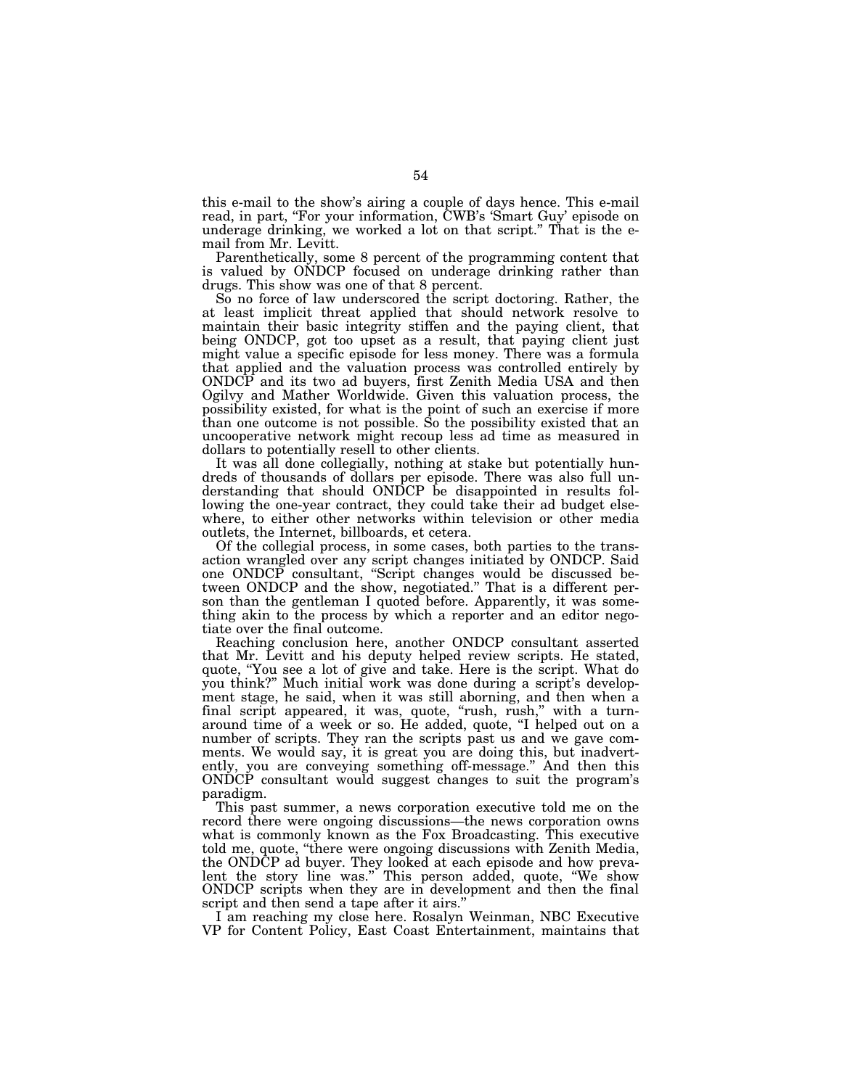this e-mail to the show's airing a couple of days hence. This e-mail read, in part, "For your information, CWB's 'Smart Guy' episode on underage drinking, we worked a lot on that script.'' That is the email from Mr. Levitt.

Parenthetically, some 8 percent of the programming content that is valued by ONDCP focused on underage drinking rather than drugs. This show was one of that 8 percent.

So no force of law underscored the script doctoring. Rather, the at least implicit threat applied that should network resolve to maintain their basic integrity stiffen and the paying client, that being ONDCP, got too upset as a result, that paying client just might value a specific episode for less money. There was a formula that applied and the valuation process was controlled entirely by ONDCP and its two ad buyers, first Zenith Media USA and then Ogilvy and Mather Worldwide. Given this valuation process, the possibility existed, for what is the point of such an exercise if more than one outcome is not possible. So the possibility existed that an uncooperative network might recoup less ad time as measured in dollars to potentially resell to other clients.

It was all done collegially, nothing at stake but potentially hundreds of thousands of dollars per episode. There was also full understanding that should ONDCP be disappointed in results following the one-year contract, they could take their ad budget elsewhere, to either other networks within television or other media outlets, the Internet, billboards, et cetera.

Of the collegial process, in some cases, both parties to the transaction wrangled over any script changes initiated by ONDCP. Said one ONDCP consultant, ''Script changes would be discussed between ONDCP and the show, negotiated.'' That is a different person than the gentleman I quoted before. Apparently, it was something akin to the process by which a reporter and an editor negotiate over the final outcome.

Reaching conclusion here, another ONDCP consultant asserted that Mr. Levitt and his deputy helped review scripts. He stated, quote, ''You see a lot of give and take. Here is the script. What do you think?'' Much initial work was done during a script's development stage, he said, when it was still aborning, and then when a final script appeared, it was, quote, "rush, rush," with a turnaround time of a week or so. He added, quote, "I helped out on a number of scripts. They ran the scripts past us and we gave comments. We would say, it is great you are doing this, but inadvertently, you are conveying something off-message.'' And then this ONDCP consultant would suggest changes to suit the program's paradigm.

This past summer, a news corporation executive told me on the record there were ongoing discussions—the news corporation owns what is commonly known as the Fox Broadcasting. This executive told me, quote, "there were ongoing discussions with Zenith Media, the ONDCP ad buyer. They looked at each episode and how prevalent the story line was.'' This person added, quote, ''We show ONDCP scripts when they are in development and then the final script and then send a tape after it airs.''

I am reaching my close here. Rosalyn Weinman, NBC Executive VP for Content Policy, East Coast Entertainment, maintains that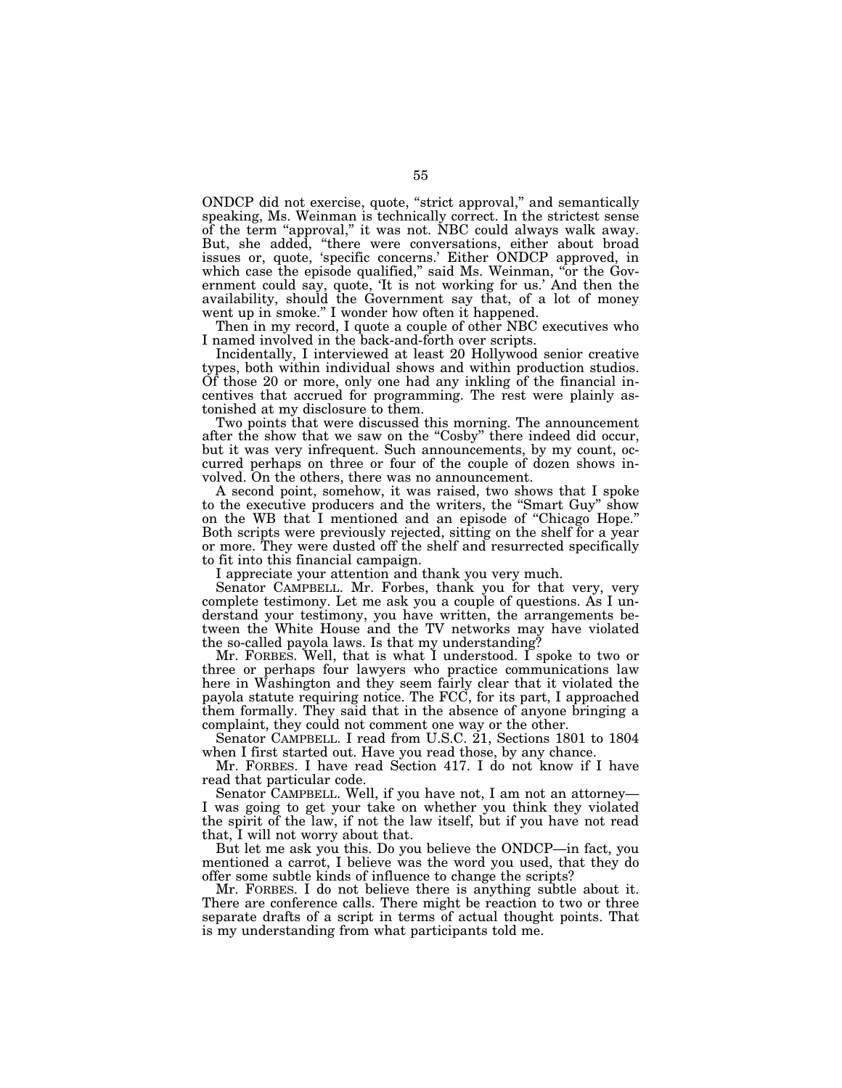ONDCP did not exercise, quote, "strict approval," and semantically speaking, Ms. Weinman is technically correct. In the strictest sense of the term ''approval,'' it was not. NBC could always walk away. But, she added, "there were conversations, either about broad issues or, quote, 'specific concerns.' Either ONDCP approved, in which case the episode qualified," said Ms. Weinman, "or the Government could say, quote, 'It is not working for us.' And then the availability, should the Government say that, of a lot of money went up in smoke.'' I wonder how often it happened.

Then in my record, I quote a couple of other NBC executives who I named involved in the back-and-forth over scripts.

Incidentally, I interviewed at least 20 Hollywood senior creative types, both within individual shows and within production studios. Of those 20 or more, only one had any inkling of the financial incentives that accrued for programming. The rest were plainly astonished at my disclosure to them.

Two points that were discussed this morning. The announcement after the show that we saw on the "Cosby" there indeed did occur, but it was very infrequent. Such announcements, by my count, occurred perhaps on three or four of the couple of dozen shows involved. On the others, there was no announcement.

A second point, somehow, it was raised, two shows that I spoke to the executive producers and the writers, the ''Smart Guy'' show on the WB that I mentioned and an episode of ''Chicago Hope.'' Both scripts were previously rejected, sitting on the shelf for a year or more. They were dusted off the shelf and resurrected specifically to fit into this financial campaign.

I appreciate your attention and thank you very much.

Senator CAMPBELL. Mr. Forbes, thank you for that very, very complete testimony. Let me ask you a couple of questions. As I understand your testimony, you have written, the arrangements between the White House and the TV networks may have violated the so-called payola laws. Is that my understanding?

Mr. FORBES. Well, that is what I understood. I spoke to two or three or perhaps four lawyers who practice communications law here in Washington and they seem fairly clear that it violated the payola statute requiring notice. The FCC, for its part, I approached them formally. They said that in the absence of anyone bringing a complaint, they could not comment one way or the other.

Senator CAMPBELL. I read from U.S.C. 21, Sections 1801 to 1804 when I first started out. Have you read those, by any chance.

Mr. FORBES. I have read Section 417. I do not know if I have read that particular code.

Senator CAMPBELL. Well, if you have not, I am not an attorney— I was going to get your take on whether you think they violated the spirit of the law, if not the law itself, but if you have not read that, I will not worry about that.

But let me ask you this. Do you believe the ONDCP—in fact, you mentioned a carrot, I believe was the word you used, that they do offer some subtle kinds of influence to change the scripts?

Mr. FORBES. I do not believe there is anything subtle about it. There are conference calls. There might be reaction to two or three separate drafts of a script in terms of actual thought points. That is my understanding from what participants told me.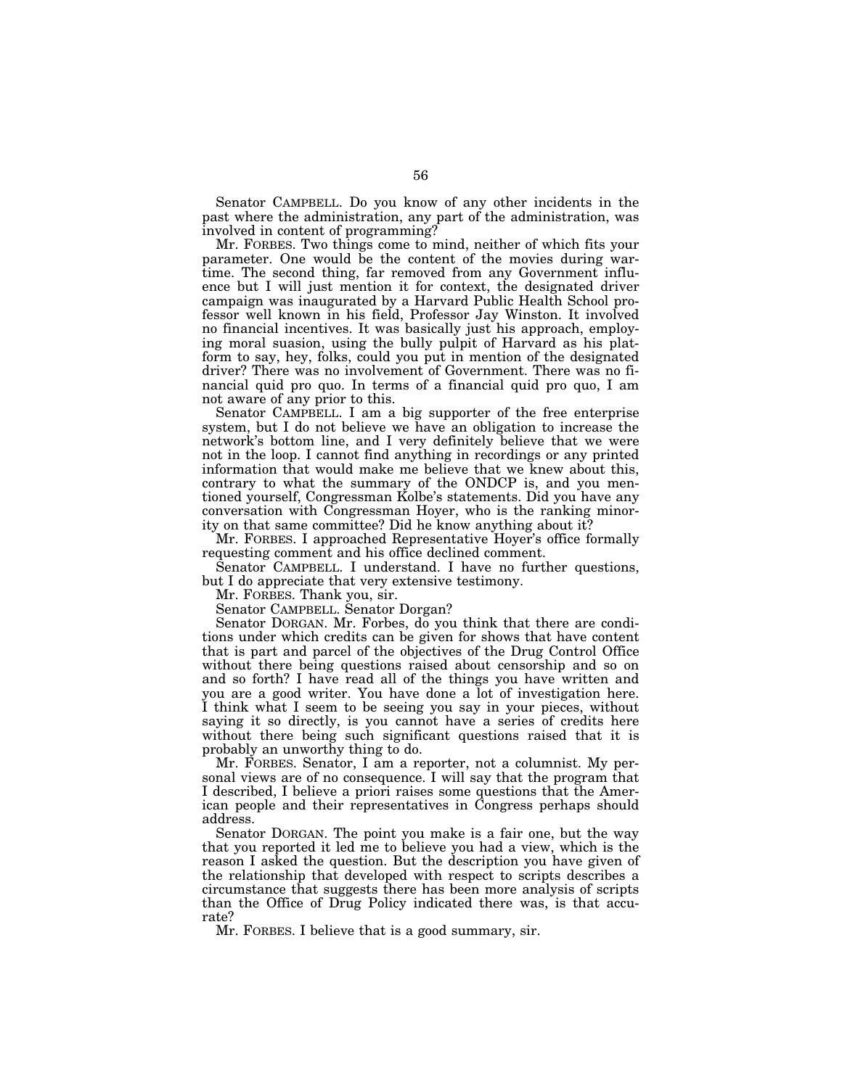Senator CAMPBELL. Do you know of any other incidents in the past where the administration, any part of the administration, was involved in content of programming?

Mr. FORBES. Two things come to mind, neither of which fits your parameter. One would be the content of the movies during wartime. The second thing, far removed from any Government influence but I will just mention it for context, the designated driver campaign was inaugurated by a Harvard Public Health School professor well known in his field, Professor Jay Winston. It involved no financial incentives. It was basically just his approach, employing moral suasion, using the bully pulpit of Harvard as his platform to say, hey, folks, could you put in mention of the designated driver? There was no involvement of Government. There was no financial quid pro quo. In terms of a financial quid pro quo, I am not aware of any prior to this.

Senator CAMPBELL. I am a big supporter of the free enterprise system, but I do not believe we have an obligation to increase the network's bottom line, and I very definitely believe that we were not in the loop. I cannot find anything in recordings or any printed information that would make me believe that we knew about this, contrary to what the summary of the ONDCP is, and you mentioned yourself, Congressman Kolbe's statements. Did you have any conversation with Congressman Hoyer, who is the ranking minority on that same committee? Did he know anything about it?

Mr. FORBES. I approached Representative Hoyer's office formally requesting comment and his office declined comment.

Senator CAMPBELL. I understand. I have no further questions, but I do appreciate that very extensive testimony.

Mr. FORBES. Thank you, sir.

Senator CAMPBELL. Senator Dorgan?

Senator DORGAN. Mr. Forbes, do you think that there are conditions under which credits can be given for shows that have content that is part and parcel of the objectives of the Drug Control Office without there being questions raised about censorship and so on and so forth? I have read all of the things you have written and you are a good writer. You have done a lot of investigation here. I think what I seem to be seeing you say in your pieces, without saying it so directly, is you cannot have a series of credits here without there being such significant questions raised that it is probably an unworthy thing to do.

Mr. FORBES. Senator, I am a reporter, not a columnist. My personal views are of no consequence. I will say that the program that I described, I believe a priori raises some questions that the American people and their representatives in Congress perhaps should address.

Senator DORGAN. The point you make is a fair one, but the way that you reported it led me to believe you had a view, which is the reason I asked the question. But the description you have given of the relationship that developed with respect to scripts describes a circumstance that suggests there has been more analysis of scripts than the Office of Drug Policy indicated there was, is that accurate?

Mr. FORBES. I believe that is a good summary, sir.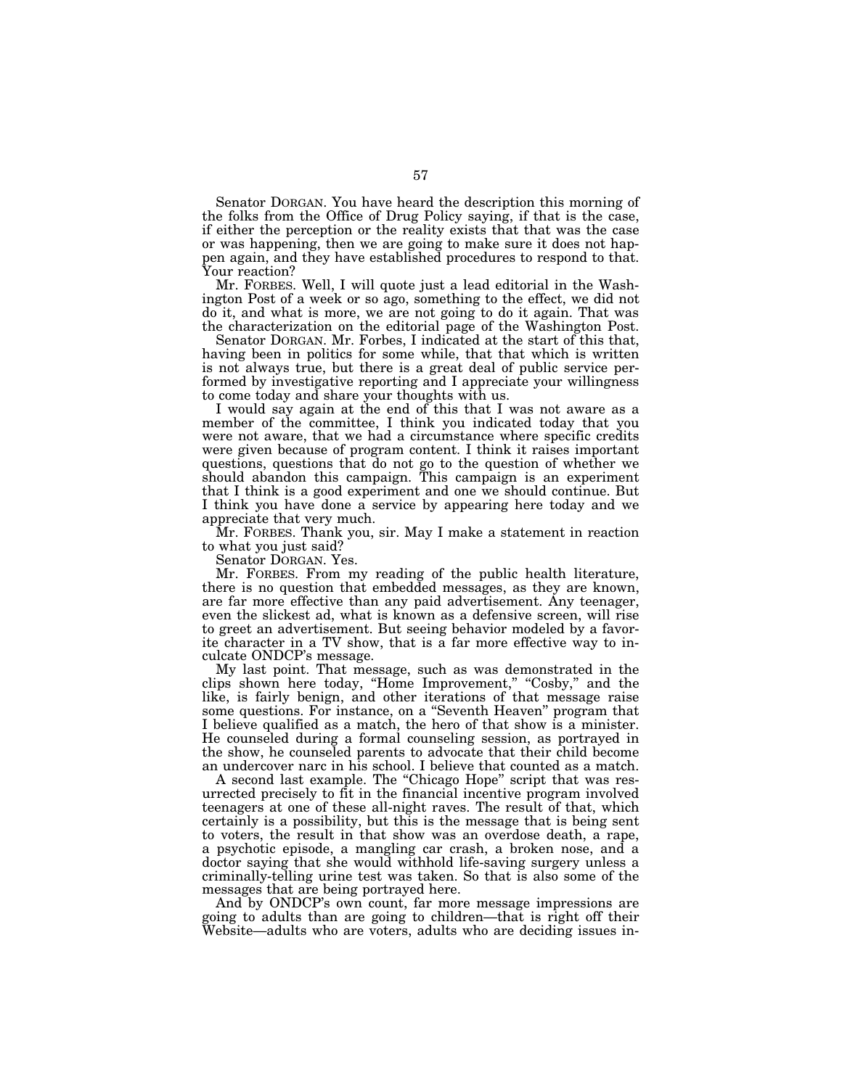Senator DORGAN. You have heard the description this morning of the folks from the Office of Drug Policy saying, if that is the case, if either the perception or the reality exists that that was the case or was happening, then we are going to make sure it does not happen again, and they have established procedures to respond to that. Your reaction?

Mr. FORBES. Well, I will quote just a lead editorial in the Washington Post of a week or so ago, something to the effect, we did not do it, and what is more, we are not going to do it again. That was the characterization on the editorial page of the Washington Post.

Senator DORGAN. Mr. Forbes, I indicated at the start of this that, having been in politics for some while, that that which is written is not always true, but there is a great deal of public service performed by investigative reporting and I appreciate your willingness to come today and share your thoughts with us.

I would say again at the end of this that I was not aware as a member of the committee, I think you indicated today that you were not aware, that we had a circumstance where specific credits were given because of program content. I think it raises important questions, questions that do not go to the question of whether we should abandon this campaign. This campaign is an experiment that I think is a good experiment and one we should continue. But I think you have done a service by appearing here today and we appreciate that very much.

Mr. FORBES. Thank you, sir. May I make a statement in reaction to what you just said?

Senator DORGAN. Yes.

Mr. FORBES. From my reading of the public health literature, there is no question that embedded messages, as they are known, are far more effective than any paid advertisement. Any teenager, even the slickest ad, what is known as a defensive screen, will rise to greet an advertisement. But seeing behavior modeled by a favorite character in a TV show, that is a far more effective way to inculcate ONDCP's message.

My last point. That message, such as was demonstrated in the clips shown here today, "Home Improvement," "Cosby," and the like, is fairly benign, and other iterations of that message raise some questions. For instance, on a ''Seventh Heaven'' program that I believe qualified as a match, the hero of that show is a minister. He counseled during a formal counseling session, as portrayed in the show, he counseled parents to advocate that their child become an undercover narc in his school. I believe that counted as a match.

A second last example. The "Chicago Hope" script that was resurrected precisely to fit in the financial incentive program involved teenagers at one of these all-night raves. The result of that, which certainly is a possibility, but this is the message that is being sent to voters, the result in that show was an overdose death, a rape, a psychotic episode, a mangling car crash, a broken nose, and a doctor saying that she would withhold life-saving surgery unless a criminally-telling urine test was taken. So that is also some of the messages that are being portrayed here.

And by ONDCP's own count, far more message impressions are going to adults than are going to children—that is right off their Website—adults who are voters, adults who are deciding issues in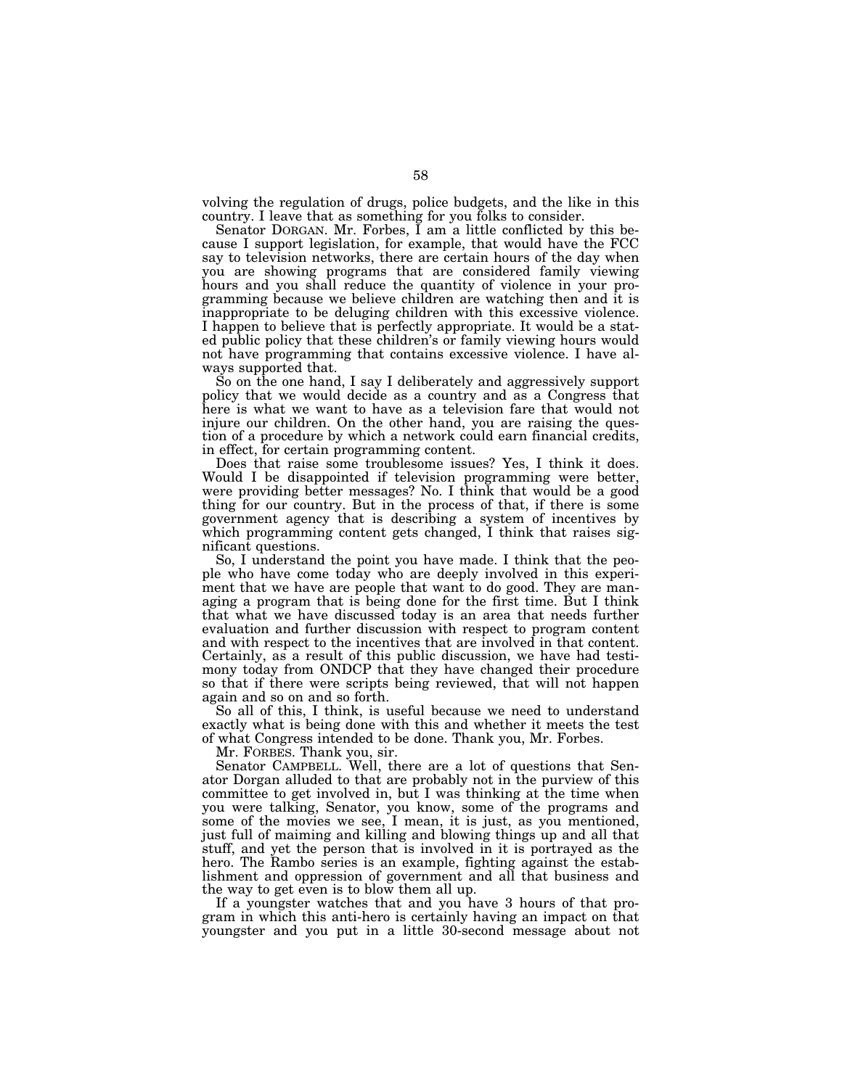volving the regulation of drugs, police budgets, and the like in this country. I leave that as something for you folks to consider.

Senator DORGAN. Mr. Forbes, I am a little conflicted by this because I support legislation, for example, that would have the FCC say to television networks, there are certain hours of the day when you are showing programs that are considered family viewing hours and you shall reduce the quantity of violence in your programming because we believe children are watching then and it is inappropriate to be deluging children with this excessive violence. I happen to believe that is perfectly appropriate. It would be a stated public policy that these children's or family viewing hours would not have programming that contains excessive violence. I have always supported that.

So on the one hand, I say I deliberately and aggressively support policy that we would decide as a country and as a Congress that here is what we want to have as a television fare that would not injure our children. On the other hand, you are raising the question of a procedure by which a network could earn financial credits, in effect, for certain programming content.

Does that raise some troublesome issues? Yes, I think it does. Would I be disappointed if television programming were better, were providing better messages? No. I think that would be a good thing for our country. But in the process of that, if there is some government agency that is describing a system of incentives by which programming content gets changed, I think that raises significant questions.

So, I understand the point you have made. I think that the people who have come today who are deeply involved in this experiment that we have are people that want to do good. They are managing a program that is being done for the first time. But I think that what we have discussed today is an area that needs further evaluation and further discussion with respect to program content and with respect to the incentives that are involved in that content. Certainly, as a result of this public discussion, we have had testimony today from ONDCP that they have changed their procedure so that if there were scripts being reviewed, that will not happen again and so on and so forth.

So all of this, I think, is useful because we need to understand exactly what is being done with this and whether it meets the test of what Congress intended to be done. Thank you, Mr. Forbes.

Mr. FORBES. Thank you, sir.

Senator CAMPBELL. Well, there are a lot of questions that Senator Dorgan alluded to that are probably not in the purview of this committee to get involved in, but I was thinking at the time when you were talking, Senator, you know, some of the programs and some of the movies we see, I mean, it is just, as you mentioned, just full of maiming and killing and blowing things up and all that stuff, and yet the person that is involved in it is portrayed as the hero. The Rambo series is an example, fighting against the establishment and oppression of government and all that business and the way to get even is to blow them all up.

If a youngster watches that and you have 3 hours of that program in which this anti-hero is certainly having an impact on that youngster and you put in a little 30-second message about not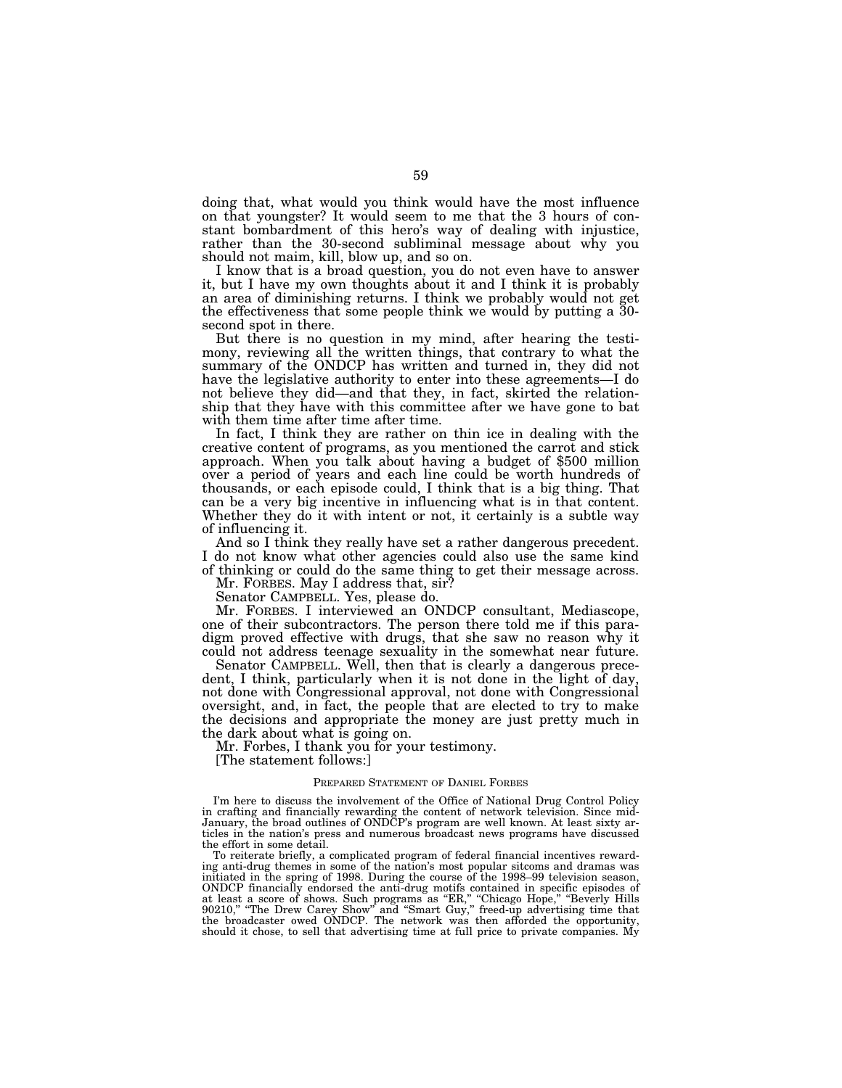doing that, what would you think would have the most influence on that youngster? It would seem to me that the 3 hours of constant bombardment of this hero's way of dealing with injustice, rather than the 30-second subliminal message about why you should not maim, kill, blow up, and so on.

I know that is a broad question, you do not even have to answer it, but I have my own thoughts about it and I think it is probably an area of diminishing returns. I think we probably would not get the effectiveness that some people think we would by putting a 30 second spot in there.

But there is no question in my mind, after hearing the testimony, reviewing all the written things, that contrary to what the summary of the ONDCP has written and turned in, they did not have the legislative authority to enter into these agreements—I do not believe they did—and that they, in fact, skirted the relationship that they have with this committee after we have gone to bat with them time after time after time.

In fact, I think they are rather on thin ice in dealing with the creative content of programs, as you mentioned the carrot and stick approach. When you talk about having a budget of \$500 million over a period of years and each line could be worth hundreds of thousands, or each episode could, I think that is a big thing. That can be a very big incentive in influencing what is in that content. Whether they do it with intent or not, it certainly is a subtle way of influencing it.

And so I think they really have set a rather dangerous precedent. I do not know what other agencies could also use the same kind of thinking or could do the same thing to get their message across.

Mr. FORBES. May I address that, sir?

Senator CAMPBELL. Yes, please do.

Mr. FORBES. I interviewed an ONDCP consultant, Mediascope, one of their subcontractors. The person there told me if this paradigm proved effective with drugs, that she saw no reason why it could not address teenage sexuality in the somewhat near future.

Senator CAMPBELL. Well, then that is clearly a dangerous precedent, I think, particularly when it is not done in the light of day, not done with Congressional approval, not done with Congressional oversight, and, in fact, the people that are elected to try to make the decisions and appropriate the money are just pretty much in the dark about what is going on.

Mr. Forbes, I thank you for your testimony.

[The statement follows:]

## PREPARED STATEMENT OF DANIEL FORBES

I'm here to discuss the involvement of the Office of National Drug Control Policy in crafting and financially rewarding the content of network television. Since mid-January, the broad outlines of ONDCP's program are well known. At least sixty articles in the nation's press and numerous broadcast news programs have discussed the effort in some detail.

To reiterate briefly, a complicated program of federal financial incentives rewarding anti-drug themes in some of the nation's most popular sitcoms and dramas was initiated in the spring of 1998. During the course of the 1998–99 television season, ONDCP financially endorsed the anti-drug motifs contained in specific episodes of at least a score of shows. Such programs as "ER," "Chicago Hope," "Beverly Hills<br>90210," "The Drew Carey Show" and "Smart Guy," freed-up advertising time that<br>the broadcaster owed ONDCP. The network was then afforded the o should it chose, to sell that advertising time at full price to private companies. My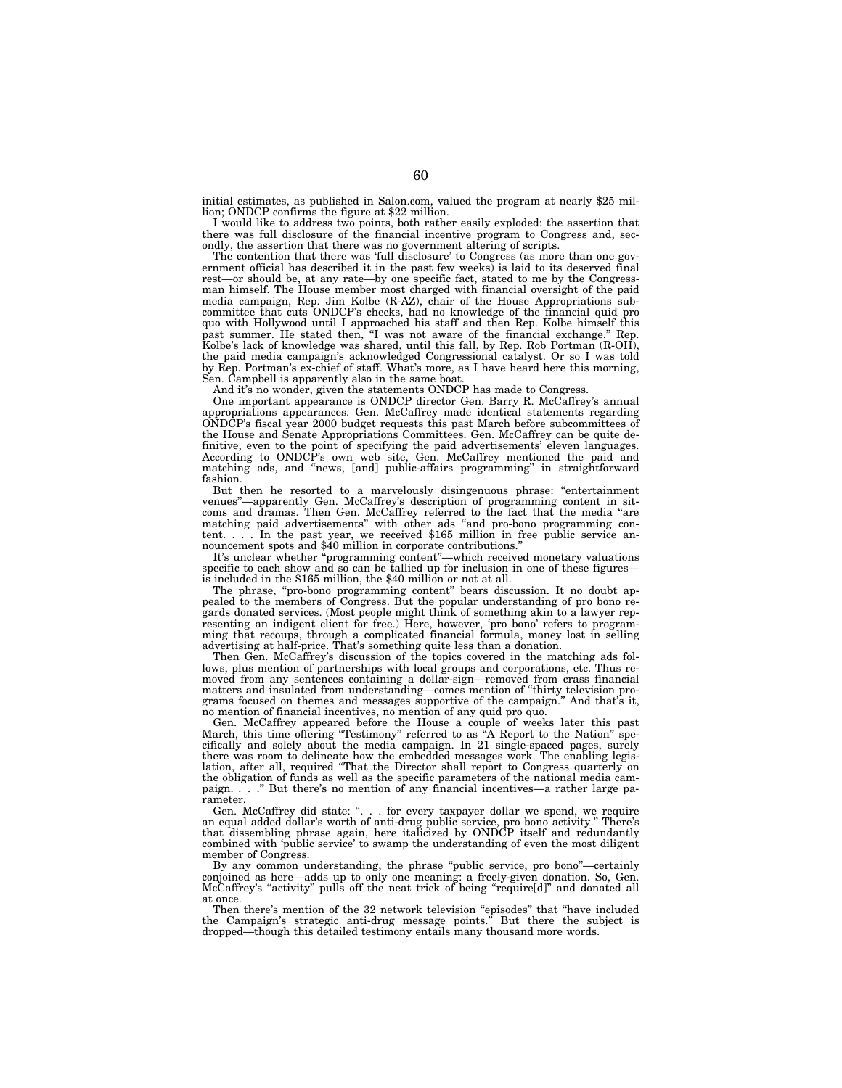initial estimates, as published in Salon.com, valued the program at nearly \$25 million; ONDCP confirms the figure at \$22 million.

I would like to address two points, both rather easily exploded: the assertion that there was full disclosure of the financial incentive program to Congress and, secondly, the assertion that there was no government altering of scripts.

The contention that there was 'full disclosure' to Congress (as more than one government official has described it in the past few weeks) is laid to its deserved final rest—or should be, at any rate—by one specific fact, stated to me by the Congressman himself. The House member most charged with financial oversight of the paid media campaign, Rep. Jim Kolbe (R-AZ), chair of the House Appropriations subcommittee that cuts ONDCP's checks, had no knowledge of the financial quid pro quo with Hollywood until I approached his staff and then Rep. Kolbe himself this past summer. He stated then, ''I was not aware of the financial exchange.'' Rep. Kolbe's lack of knowledge was shared, until this fall, by Rep. Rob Portman (R-OH), the paid media campaign's acknowledged Congressional catalyst. Or so I was told by Rep. Portman's ex-chief of staff. What's more, as I have heard here this morning, Sen. Campbell is apparently also in the same boat.

And it's no wonder, given the statements ONDCP has made to Congress.

One important appearance is ONDCP director Gen. Barry R. McCaffrey's annual appropriations appearances. Gen. McCaffrey made identical statements regarding ONDCP's fiscal year 2000 budget requests this past March before subcommittees of the House and Senate Appropriations Committees. Gen. McCaffrey can be quite definitive, even to the point of specifying the paid advertisements' eleven languages. According to ONDCP's own web site, Gen. McCaffrey mentioned the paid and matching ads, and "news, [and] public-affairs programming" in straightforward fashion.

But then he resorted to a marvelously disingenuous phrase: ''entertainment venues''—apparently Gen. McCaffrey's description of programming content in sitcoms and dramas. Then Gen. McCaffrey referred to the fact that the media ''are matching paid advertisements'' with other ads ''and pro-bono programming content. . . . In the past year, we received \$165 million in free public service announcement spots and \$40 million in corporate contributions.''

It's unclear whether ''programming content''—which received monetary valuations specific to each show and so can be tallied up for inclusion in one of these figures is included in the \$165 million, the \$40 million or not at all.

The phrase, ''pro-bono programming content'' bears discussion. It no doubt appealed to the members of Congress. But the popular understanding of pro bono regards donated services. (Most people might think of something akin to a lawyer representing an indigent client for free.) Here, however, 'pro bono' refers to programming that recoups, through a complicated financial formula, money lost in selling advertising at half-price. That's something quite less than a donation.

Then Gen. McCaffrey's discussion of the topics covered in the matching ads follows, plus mention of partnerships with local groups and corporations, etc. Thus removed from any sentences containing a dollar-sign—removed from crass financial matters and insulated from understanding—comes mention of ''thirty television programs focused on themes and messages supportive of the campaign.'' And that's it, no mention of financial incentives, no mention of any quid pro quo.

Gen. McCaffrey appeared before the House a couple of weeks later this past March, this time offering ''Testimony'' referred to as ''A Report to the Nation'' specifically and solely about the media campaign. In 21 single-spaced pages, surely there was room to delineate how the embedded messages work. The enabling legislation, after all, required ''That the Director shall report to Congress quarterly on the obligation of funds as well as the specific parameters of the national media campaign. . . .'' But there's no mention of any financial incentives—a rather large pa-

rameter.<br>Gen. McCaffrey did state: ". . for every taxpayer dollar we spend, we require an equal added dollar's worth of anti-drug public service, pro bono activity.'' There's that dissembling phrase again, here italicized by ONDCP itself and redundantly combined with 'public service' to swamp the understanding of even the most diligent member of Congress.

By any common understanding, the phrase ''public service, pro bono''—certainly conjoined as here—adds up to only one meaning: a freely-given donation. So, Gen. McCaffrey's ''activity'' pulls off the neat trick of being ''require[d]'' and donated all at once.

Then there's mention of the 32 network television "episodes" that "have included the Campaign's strategic anti-drug message points." But there the subject is dropped—though this detailed testimony entails many thousand more words.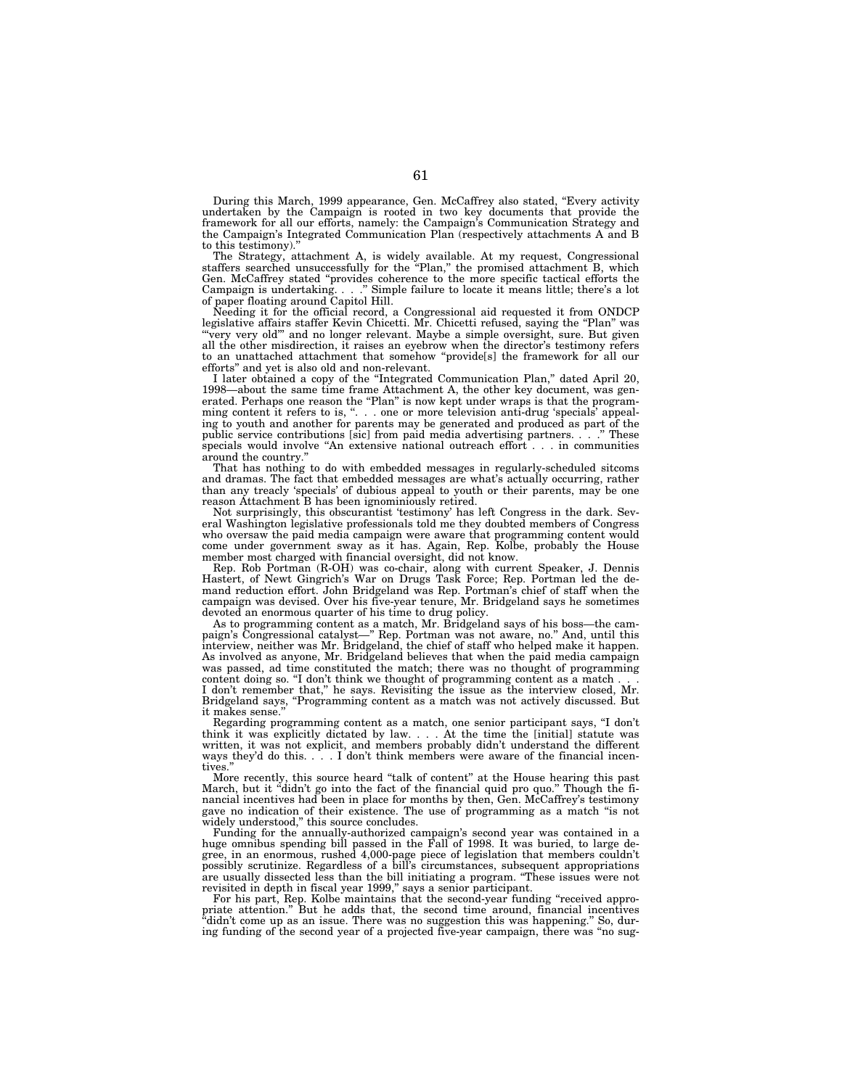During this March, 1999 appearance, Gen. McCaffrey also stated, "Every activity undertaken by the Campaign is rooted in two key documents that provide the framework for all our efforts, namely: the Campaign's Communication Strategy and the Campaign's Integrated Communication Plan (respectively attachments A and B to this testimony).''

The Strategy, attachment A, is widely available. At my request, Congressional staffers searched unsuccessfully for the "Plan," the promised attachment B, which Gen. McCaffrey stated ''provides coherence to the more specific tactical efforts the Campaign is undertaking. . . .'' Simple failure to locate it means little; there's a lot of paper floating around Capitol Hill.

Needing it for the official record, a Congressional aid requested it from ONDCP legislative affairs staffer Kevin Chicetti. Mr. Chicetti refused, saying the "Plan" was 'very very old''' and no longer relevant. Maybe a simple oversight, sure. But given all the other misdirection, it raises an eyebrow when the director's testimony refers to an unattached attachment that somehow ''provide[s] the framework for all our efforts'' and yet is also old and non-relevant.

I later obtained a copy of the ''Integrated Communication Plan,'' dated April 20, 1998—about the same time frame Attachment A, the other key document, was generated. Perhaps one reason the "Plan" is now kept under wraps is that the program-<br>ming content it refers to is, ". . . one or more television anti-drug 'specials' appealming content it refers to is, ''. . . one or more television anti-drug 'specials' appealing to youth and another for parents may be generated and produced as part of the public service contributions [sic] from paid media advertising partners. . . .'' These specials would involve "An extensive national outreach effort... in communities around the country.

That has nothing to do with embedded messages in regularly-scheduled sitcoms and dramas. The fact that embedded messages are what's actually occurring, rather than any treacly 'specials' of dubious appeal to youth or their parents, may be one reason Attachment B has been ignominiously retired.

Not surprisingly, this obscurantist 'testimony' has left Congress in the dark. Several Washington legislative professionals told me they doubted members of Congress who oversaw the paid media campaign were aware that programming content would come under government sway as it has. Again, Rep. Kolbe, probably the House member most charged with financial oversight, did not know.

Rep. Rob Portman (R-OH) was co-chair, along with current Speaker, J. Dennis Hastert, of Newt Gingrich's War on Drugs Task Force; Rep. Portman led the demand reduction effort. John Bridgeland was Rep. Portman's chief of staff when the campaign was devised. Over his five-year tenure, Mr. Bridgeland says he sometimes devoted an enormous quarter of his time to drug policy.

As to programming content as a match, Mr. Bridgeland says of his boss—the campaign's Congressional catalyst—'' Rep. Portman was not aware, no.'' And, until this interview, neither was Mr. Bridgeland, the chief of staff who helped make it happen. As involved as anyone, Mr. Bridgeland believes that when the paid media campaign was passed, ad time constituted the match; there was no thought of programming content doing so. "I don't think we thought of programming content as a match... I don't remember that,'' he says. Revisiting the issue as the interview closed, Mr.

Bridgeland says, "Programming content as a match was not actively discussed. But it makes sense.

Regarding programming content as a match, one senior participant says, "I don't think it was explicitly dictated by law. . . . At the time the [initial] statute was written, it was not explicit, and members probably didn't understand the different ways they'd do this. . . . I don't think members were aware of the financial incentives.''

More recently, this source heard ''talk of content'' at the House hearing this past March, but it "didn't go into the fact of the financial quid pro quo." Though the financial incentives had been in place for months by then, Gen. McCaffrey's testimony gave no indication of their existence. The use of programming as a match ''is not widely understood,'' this source concludes.

Funding for the annually-authorized campaign's second year was contained in a huge omnibus spending bill passed in the Fall of 1998. It was buried, to large degree, in an enormous, rushed 4,000-page piece of legislation that members couldn't possibly scrutinize. Regardless of a bill's circumstances, subsequent appropriations are usually dissected less than the bill initiating a program. ''These issues were not revisited in depth in fiscal year 1999," says a senior participant.

For his part, Rep. Kolbe maintains that the second-year funding "received appropriate attention." But he adds that, the second time around, financial incentives "didn't come up as an issue. There was no suggestion this was happening." So, during funding of the second year of a projected five-year campaign, there was ''no sug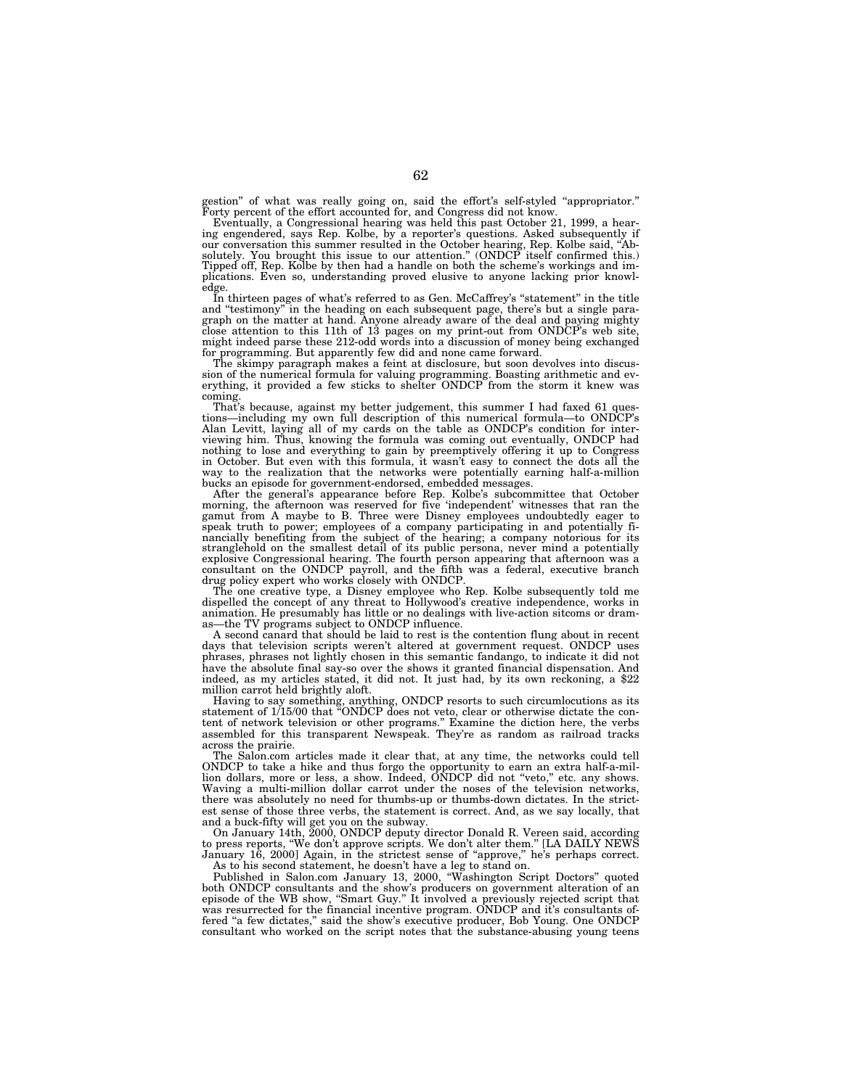gestion'' of what was really going on, said the effort's self-styled ''appropriator.'' Forty percent of the effort accounted for, and Congress did not know.

Eventually, a Congressional hearing was held this past October 21, 1999, a hearing engendered, says Rep. Kolbe, by a reporter's questions. Asked subsequently if our conversation this summer resulted in the October hearing, Rep. Kolbe said, "Ab-<br>solutely. You brought this issue to our attention." (ONDCP itself confirmed this.)<br>Tipped off, Rep. Kolbe by then had a handle on both the plications. Even so, understanding proved elusive to anyone lacking prior knowledge.

In thirteen pages of what's referred to as Gen. McCaffrey's ''statement'' in the title and ''testimony'' in the heading on each subsequent page, there's but a single paragraph on the matter at hand. Anyone already aware of the deal and paying mighty close attention to this 11th of 13 pages on my print-out from ONDCP's web site, might indeed parse these 212-odd words into a discussion of money being exchanged for programming. But apparently few did and none came forward.

The skimpy paragraph makes a feint at disclosure, but soon devolves into discus-sion of the numerical formula for valuing programming. Boasting arithmetic and everything, it provided a few sticks to shelter ONDCP from the storm it knew was coming.

That's because, against my better judgement, this summer I had faxed 61 questions—including my own full description of this numerical formula—to ONDCP's tions—including my own full description of this numerical formula—to ONDCP's<br>Alan Levitt, laying all of my cards on the table as ONDCP's condition for inter-<br>viewing him. Thus, knowing the formula was coming out eventually nothing to lose and everything to gain by preemptively offering it up to Congress in October. But even with this formula, it wasn't easy to connect the dots all the way to the realization that the networks were potentially earning half-a-million bucks an episode for government-endorsed, embedded messages.

After the general's appearance before Rep. Kolbe's subcommittee that October morning, the afternoon was reserved for five 'independent' witnesses that ran the gamut from A maybe to B. Three were Disney employees undoubtedl nancially benefiting from the subject of the hearing; a company notorious for its stranglehold on the smallest detail of its public persona, never mind a potentially explosive Congressional hearing. The fourth person appearing that afternoon was a consultant on the ONDCP payroll, and the fifth was a federal, executive branch drug policy expert who works closely with ONDCP.

The one creative type, a Disney employee who Rep. Kolbe subsequently told me dispelled the concept of any threat to Hollywood's creative independence, works in animation. He presumably has little or no dealings with live-action sitcoms or dramas—the TV programs subject to ONDCP influence.

A second canard that should be laid to rest is the contention flung about in recent days that television scripts weren't altered at government request. ONDCP uses phrases, phrases not lightly chosen in this semantic fandango, to indicate it did not have the absolute final say-so over the shows it granted financial dispensation. And indeed, as my articles stated, it did not. It just had, by its own reckoning, a \$22 million carrot held brightly aloft.

Having to say something, anything, ONDCP resorts to such circumlocutions as its statement of 1/15/00 that ''ONDCP does not veto, clear or otherwise dictate the content of network television or other programs.'' Examine the diction here, the verbs assembled for this transparent Newspeak. They're as random as railroad tracks across the prairie.

The Salon.com articles made it clear that, at any time, the networks could tell ONDCP to take a hike and thus forgo the opportunity to earn an extra half-a-million dollars, more or less, a show. Indeed, ONDCP did not "veto," etc. any shows. Waving a multi-million dollar carrot under the noses of the television networks, there was absolutely no need for thumbs-up or thumbs-down dictates. In the strictest sense of those three verbs, the statement is correct. And, as we say locally, that and a buck-fifty will get you on the subway.

On January 14th, 2000, ONDCP deputy director Donald R. Vereen said, according to press reports, ''We don't approve scripts. We don't alter them.'' [LA DAILY NEWS January 16, 2000] Again, in the strictest sense of ''approve,'' he's perhaps correct. As to his second statement, he doesn't have a leg to stand on.

Published in Salon.com January 13, 2000, ''Washington Script Doctors'' quoted both ONDCP consultants and the show's producers on government alteration of an episode of the WB show, ''Smart Guy.'' It involved a previously rejected script that was resurrected for the financial incentive program. ONDCP and it's consultants offered "a few dictates," said the show's executive producer, Bob Young. One ONDCP consultant who worked on the script notes that the substance-abusing young teens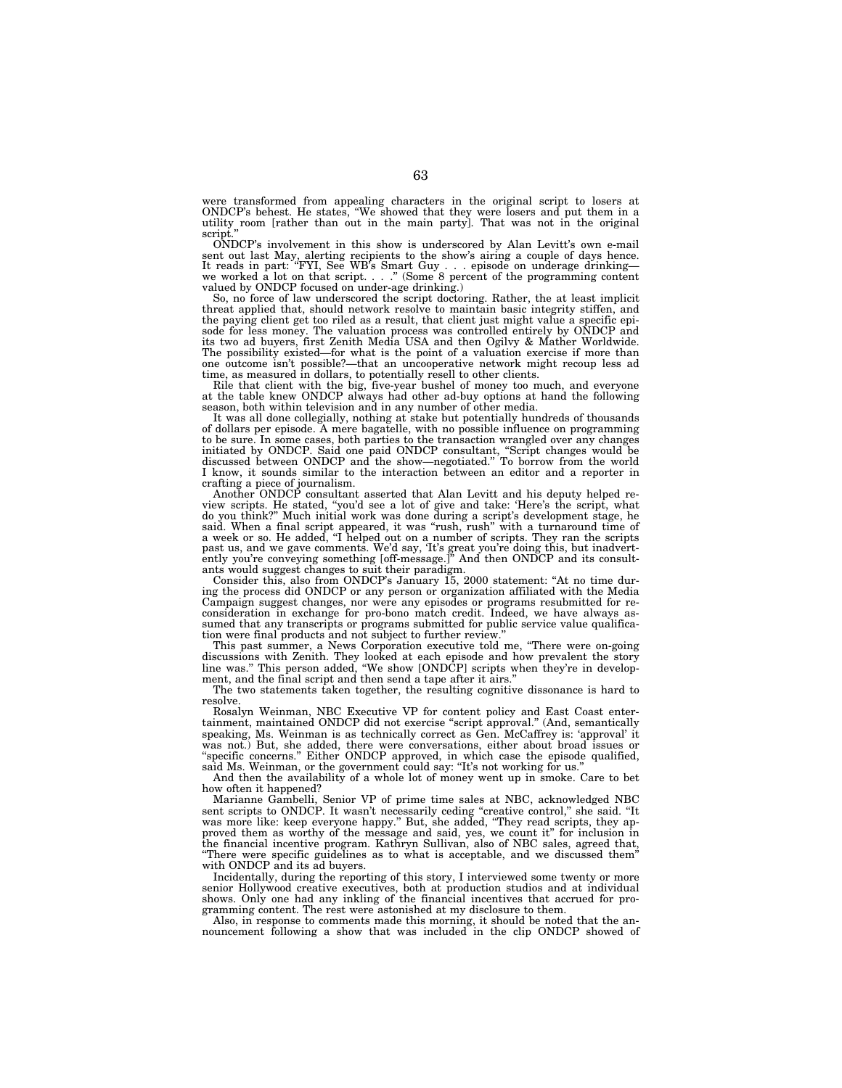were transformed from appealing characters in the original script to losers at ONDCP's behest. He states, ''We showed that they were losers and put them in a utility room [rather than out in the main party]. That was not in the original

script.'' ONDCP's involvement in this show is underscored by Alan Levitt's own e-mail sent out last May, alerting recipients to the show's airing a couple of days hence.<br>It reads in part: "FYI, See WB's Smart Guy . . . episode on underage drinking—<br>we worked a lot on that script. . . ." (Some 8 percent of t

So, no force of law underscored the script doctoring. Rather, the at least implicit threat applied that, should network resolve to maintain basic integrity stiffen, and the paying client get too riled as a result, that client just might value a specific episode for less money. The valuation process was controlled entirely by ONDCP and its two ad buyers, first Zenith Media USA and then Ogilvy & Mather Worldwide. The possibility existed—for what is the point of a valuation exercise if more than one outcome isn't possible?—that an uncooperative network might recoup less ad time, as measured in dollars, to potentially resell to other clients.

Rile that client with the big, five-year bushel of money too much, and everyone at the table knew ONDCP always had other ad-buy options at hand the following

season, both within television and in any number of other media. It was all done collegially, nothing at stake but potentially hundreds of thousands of dollars per episode. A mere bagatelle, with no possible influence on programming to be sure. In some cases, both parties to the transaction wrangled over any changes initiated by ONDCP. Said one paid ONDCP consultant, ''Script changes would be discussed between ONDCP and the show—negotiated.'' To borrow from the world I know, it sounds similar to the interaction between an editor and a reporter in

crafting a piece of journalism. Another ONDCP consultant asserted that Alan Levitt and his deputy helped review scripts. He stated, "you'd see a lot of give and take: 'Here's the script, what<br>do you think?" Much initial work was done during a script's development stage, he<br>said. When a final script appeared, it was "rush, rush" past us, and we gave comments. We'd say, 'It's great you're doing this, but inadvert-ently you're conveying something [off-message.]'' And then ONDCP and its consultants would suggest changes to suit their paradigm.

Consider this, also from ONDCP's January 15, 2000 statement: ''At no time during the process did ONDCP or any person or organization affiliated with the Media<br>Campaign suggest changes, nor were any episodes or programs resubmitted for re-<br>consideration in exchange for pro-bono match credit. Indeed, sumed that any transcripts or programs submitted for public service value qualification were final products and not subject to further review.''

This past summer, a News Corporation executive told me, ''There were on-going discussions with Zenith. They looked at each episode and how prevalent the story line was.'' This person added, ''We show [ONDCP] scripts when they're in development, and the final script and then send a tape after it airs.''

The two statements taken together, the resulting cognitive dissonance is hard to resolve.

Rosalyn Weinman, NBC Executive VP for content policy and East Coast entertainment, maintained ONDCP did not exercise ''script approval.'' (And, semantically speaking, Ms. Weinman is as technically correct as Gen. McCaffrey is: 'approval' it was not.) But, she added, there were conversations, either about broad issues or ''specific concerns.'' Either ONDCP approved, in which case the episode qualified, said Ms. Weinman, or the government could say: ''It's not working for us.''

And then the availability of a whole lot of money went up in smoke. Care to bet how often it happened?

Marianne Gambelli, Senior VP of prime time sales at NBC, acknowledged NBC sent scripts to ONDCP. It wasn't necessarily ceding "creative control," she said. "It was more like: keep everyone happy.'' But, she added, ''They read scripts, they approved them as worthy of the message and said, yes, we count it'' for inclusion in the financial incentive program. Kathryn Sullivan, also of NBC sales, agreed that, ''There were specific guidelines as to what is acceptable, and we discussed them'' with ONDCP and its ad buyers.

Incidentally, during the reporting of this story, I interviewed some twenty or more senior Hollywood creative executives, both at production studios and at individual shows. Only one had any inkling of the financial incentives that accrued for programming content. The rest were astonished at my disclosure to them.

Also, in response to comments made this morning, it should be noted that the announcement following a show that was included in the clip ONDCP showed of